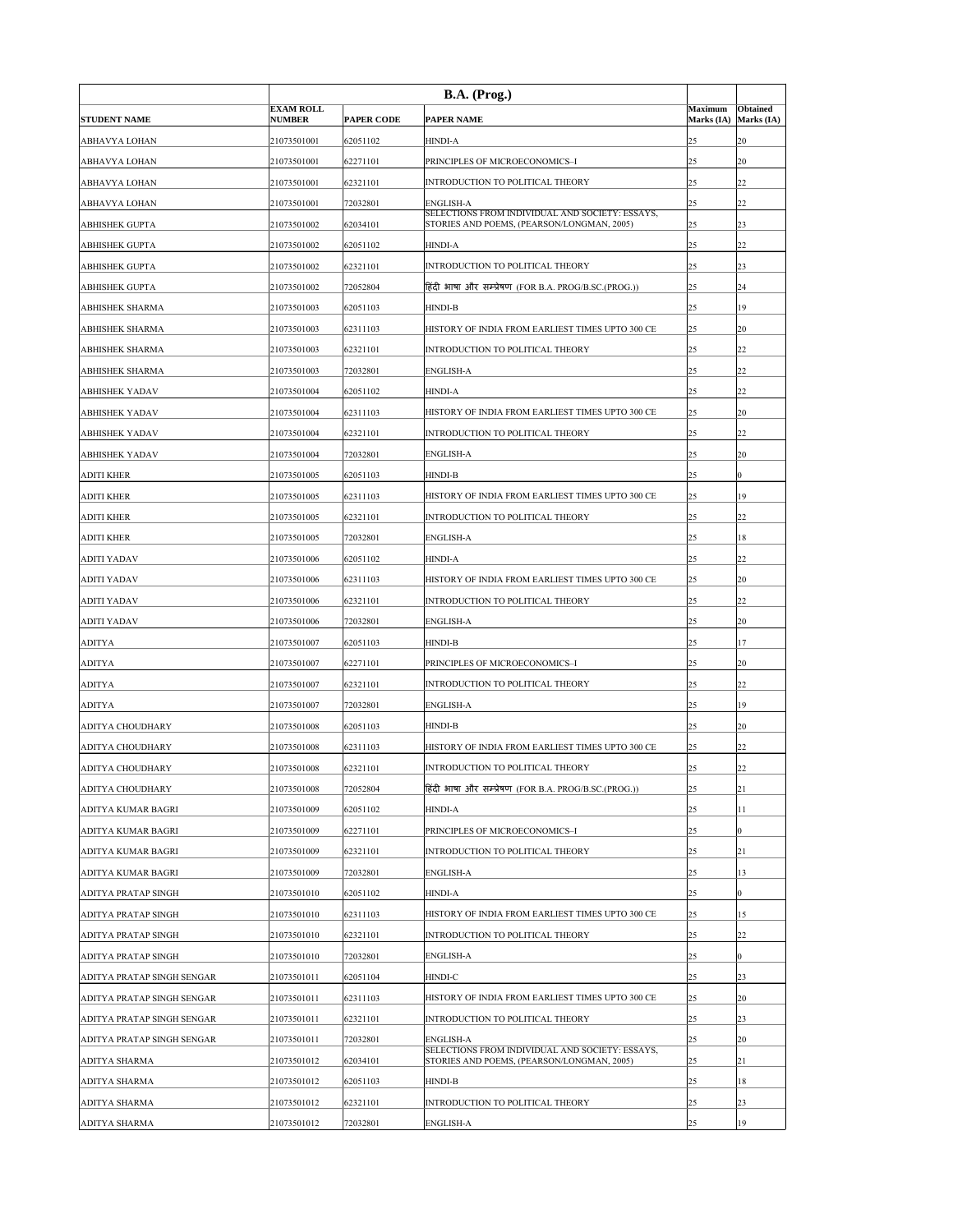| <b>STUDENT NAME</b>        | <b>EXAM ROLL</b><br><b>NUMBER</b> | <b>PAPER CODE</b> | B.A. (Prog.)<br><b>PAPER NAME</b>                                                             | <b>Maximum</b><br>Marks (IA) | <b>Obtained</b><br>Marks (IA) |
|----------------------------|-----------------------------------|-------------------|-----------------------------------------------------------------------------------------------|------------------------------|-------------------------------|
| <b>ABHAVYA LOHAN</b>       | 21073501001                       | 62051102          | <b>HINDI-A</b>                                                                                | 25                           | <b>20</b>                     |
| <b>ABHAVYA LOHAN</b>       | 21073501001                       | 62271101          | PRINCIPLES OF MICROECONOMICS-I                                                                | 25                           | <b>20</b>                     |
| <b>ABHAVYA LOHAN</b>       | 21073501001                       | 62321101          | INTRODUCTION TO POLITICAL THEORY                                                              | 25                           | 22                            |
| <b>ABHAVYA LOHAN</b>       | 21073501001                       | 72032801          | <b>ENGLISH-A</b>                                                                              | 25                           | 22                            |
| <b>ABHISHEK GUPTA</b>      | 21073501002                       | 62034101          | SELECTIONS FROM INDIVIDUAL AND SOCIETY: ESSAYS,<br>STORIES AND POEMS, (PEARSON/LONGMAN, 2005) | 25                           | 23                            |
| <b>ABHISHEK GUPTA</b>      | 21073501002                       | 62051102          | <b>HINDI-A</b>                                                                                | 25                           | 22                            |
| <b>ABHISHEK GUPTA</b>      | 21073501002                       | 62321101          | INTRODUCTION TO POLITICAL THEORY                                                              | 25                           | 23                            |
| <b>ABHISHEK GUPTA</b>      | 21073501002                       | 72052804          | हिंदी भाषा और सम्प्रेषण (FOR B.A. PROG/B.SC.(PROG.))                                          | 25                           | 24                            |
| <b>ABHISHEK SHARMA</b>     | 21073501003                       | 62051103          | <b>HINDI-B</b>                                                                                | 25                           | 19                            |
| <b>ABHISHEK SHARMA</b>     | 21073501003                       | 62311103          | HISTORY OF INDIA FROM EARLIEST TIMES UPTO 300 CE                                              | 25                           | <b>20</b>                     |
| <b>ABHISHEK SHARMA</b>     | 21073501003                       | 62321101          | INTRODUCTION TO POLITICAL THEORY                                                              | 25                           | 22                            |
| <b>ABHISHEK SHARMA</b>     | 21073501003                       | 72032801          | <b>ENGLISH-A</b>                                                                              | 25                           | 22                            |
| <b>ABHISHEK YADAV</b>      | 21073501004                       | 62051102          | <b>HINDI-A</b>                                                                                | 25                           | 22                            |
| <b>ABHISHEK YADAV</b>      | 21073501004                       | 62311103          | HISTORY OF INDIA FROM EARLIEST TIMES UPTO 300 CE                                              | 25                           | 20                            |
| <b>ABHISHEK YADAV</b>      | 21073501004                       | 62321101          | <b>INTRODUCTION TO POLITICAL THEORY</b>                                                       | 25                           | 22                            |
| <b>ABHISHEK YADAV</b>      | 21073501004                       | 72032801          | <b>ENGLISH-A</b>                                                                              | 25                           | <b>20</b>                     |
| <b>ADITI KHER</b>          |                                   | 62051103          |                                                                                               |                              |                               |
|                            | 21073501005                       |                   | <b>HINDI-B</b><br>HISTORY OF INDIA FROM EARLIEST TIMES UPTO 300 CE                            | 25                           |                               |
| <b>ADITI KHER</b>          | 21073501005                       | 62311103          |                                                                                               | 25                           | 19                            |
| <b>ADITI KHER</b>          | 21073501005                       | 62321101          | <b>INTRODUCTION TO POLITICAL THEORY</b>                                                       | 25                           | 22                            |
| <b>ADITI KHER</b>          | 21073501005                       | 72032801          | <b>ENGLISH-A</b>                                                                              | 25                           | 18                            |
| <b>ADITI YADAV</b>         | 21073501006                       | 62051102          | <b>HINDI-A</b>                                                                                | 25                           | 22                            |
| <b>ADITI YADAV</b>         | 21073501006                       | 62311103          | HISTORY OF INDIA FROM EARLIEST TIMES UPTO 300 CE                                              | 25                           | <b>20</b>                     |
| <b>ADITI YADAV</b>         | 21073501006                       | 62321101          | <b>INTRODUCTION TO POLITICAL THEORY</b>                                                       | 25                           | 22                            |
| <b>ADITI YADAV</b>         | 21073501006                       | 72032801          | <b>ENGLISH-A</b>                                                                              | 25                           | <b>20</b>                     |
| <b>ADITYA</b>              | 21073501007                       | 62051103          | <b>HINDI-B</b>                                                                                | 25                           | 17                            |
| <b>ADITYA</b>              | 21073501007                       | 62271101          | PRINCIPLES OF MICROECONOMICS-I                                                                | 25                           | <b>20</b>                     |
| <b>ADITYA</b>              | 21073501007                       | 62321101          | <b>INTRODUCTION TO POLITICAL THEORY</b>                                                       | 25                           | 22                            |
| <b>ADITYA</b>              | 21073501007                       | 72032801          | <b>ENGLISH-A</b>                                                                              | 25                           | 19                            |
| <b>ADITYA CHOUDHARY</b>    | 21073501008                       | 62051103          | <b>HINDI-B</b>                                                                                | 25                           | <b>20</b>                     |
| <b>ADITYA CHOUDHARY</b>    | 21073501008                       | 62311103          | HISTORY OF INDIA FROM EARLIEST TIMES UPTO 300 CE                                              | 25                           | 22                            |
| <b>ADITYA CHOUDHARY</b>    | 21073501008                       | 62321101          | <b>INTRODUCTION TO POLITICAL THEORY</b>                                                       | 25                           | 22                            |
| <b>ADITYA CHOUDHARY</b>    | 21073501008                       | 72052804          | हिंदी भाषा और सम्प्रेषण (FOR B.A. PROG/B.SC.(PROG.))                                          | 25                           | 21                            |
| <b>ADITYA KUMAR BAGRI</b>  | 21073501009                       | 62051102          | <b>HINDI-A</b>                                                                                | 25                           | 11                            |
| <b>ADITYA KUMAR BAGRI</b>  | 21073501009                       | 62271101          | PRINCIPLES OF MICROECONOMICS-I                                                                | 25                           | $ 0\rangle$                   |
| <b>ADITYA KUMAR BAGRI</b>  | 21073501009                       | 62321101          | <b>INTRODUCTION TO POLITICAL THEORY</b>                                                       | 25                           | 21                            |
| ADITYA KUMAR BAGRI         | 21073501009                       | 72032801          | <b>ENGLISH-A</b>                                                                              | 25                           | 13                            |
| <b>ADITYA PRATAP SINGH</b> | 21073501010                       | 62051102          | <b>HINDI-A</b>                                                                                | 25                           |                               |
| <b>ADITYA PRATAP SINGH</b> | 21073501010                       | 62311103          | HISTORY OF INDIA FROM EARLIEST TIMES UPTO 300 CE                                              | 25                           | 15                            |
| <b>ADITYA PRATAP SINGH</b> | 21073501010                       | 62321101          | <b>INTRODUCTION TO POLITICAL THEORY</b>                                                       | 25                           | 22                            |
| <b>ADITYA PRATAP SINGH</b> | 21073501010                       | 72032801          | <b>ENGLISH-A</b>                                                                              | 25                           | $ 0\rangle$                   |
| ADITYA PRATAP SINGH SENGAR | 21073501011                       | 62051104          | <b>HINDI-C</b>                                                                                | 25                           | 23                            |
| ADITYA PRATAP SINGH SENGAR | 21073501011                       | 62311103          | HISTORY OF INDIA FROM EARLIEST TIMES UPTO 300 CE                                              | 25                           | 20                            |
| ADITYA PRATAP SINGH SENGAR | 21073501011                       | 62321101          | INTRODUCTION TO POLITICAL THEORY                                                              | 25                           | 23                            |
| ADITYA PRATAP SINGH SENGAR | 21073501011                       | 72032801          | <b>ENGLISH-A</b><br>SELECTIONS FROM INDIVIDUAL AND SOCIETY: ESSAYS,                           | 25                           | 20                            |
| <b>ADITYA SHARMA</b>       | 21073501012                       | 62034101          | STORIES AND POEMS, (PEARSON/LONGMAN, 2005)                                                    | 25                           | 21                            |
| <b>ADITYA SHARMA</b>       | 21073501012                       | 62051103          | <b>HINDI-B</b>                                                                                | 25                           | 18                            |
| <b>ADITYA SHARMA</b>       | 21073501012                       | 62321101          | INTRODUCTION TO POLITICAL THEORY                                                              | 25                           | 23                            |
| <b>ADITYA SHARMA</b>       | 21073501012                       | 72032801          | <b>ENGLISH-A</b>                                                                              | 25                           | 19                            |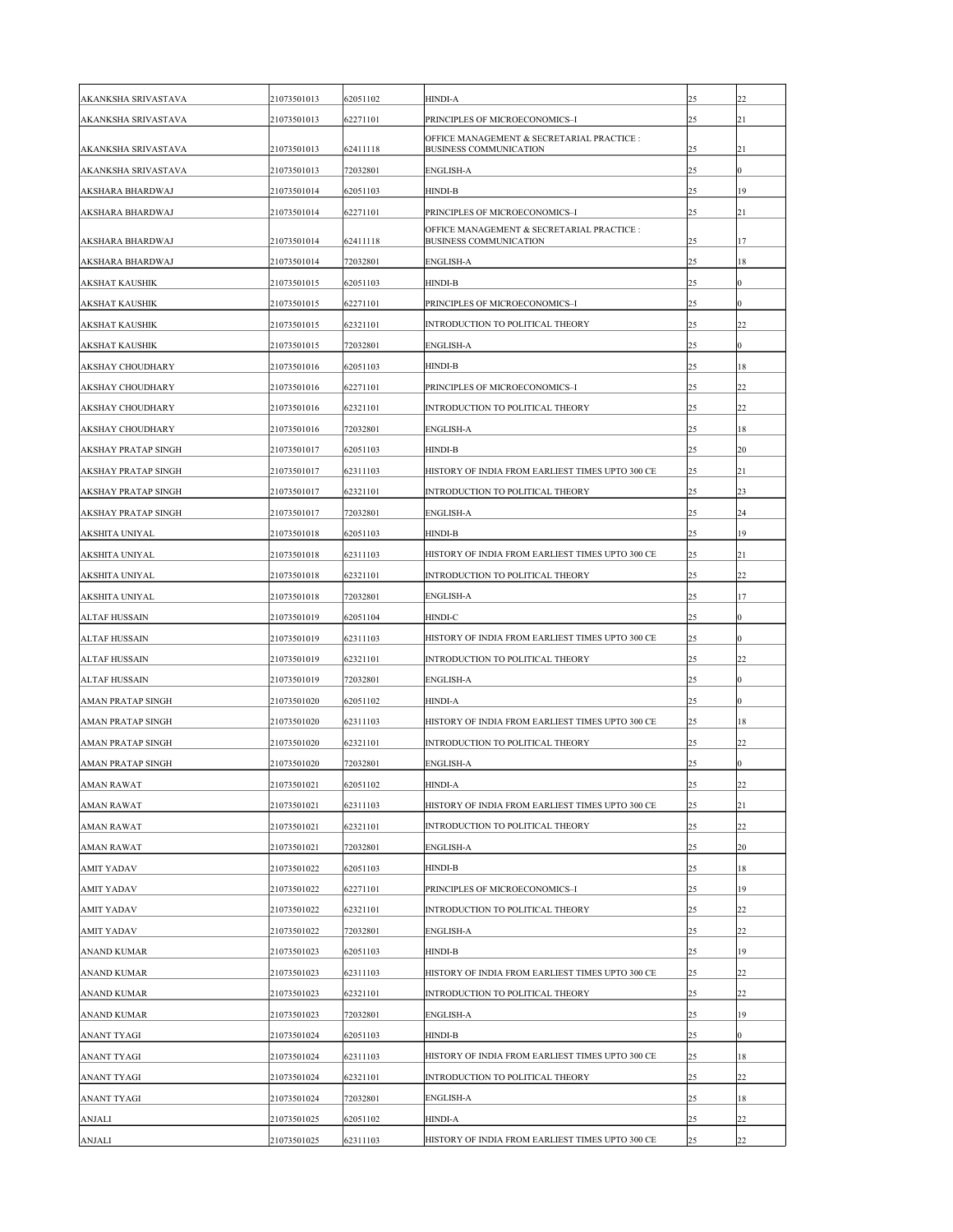| <b>AKANKSHA SRIVASTAVA</b> | 21073501013 | 62051102 | <b>HINDI-A</b>                                                              | 25 | 22             |
|----------------------------|-------------|----------|-----------------------------------------------------------------------------|----|----------------|
| AKANKSHA SRIVASTAVA        | 21073501013 | 62271101 | PRINCIPLES OF MICROECONOMICS-I                                              | 25 | 21             |
| <b>AKANKSHA SRIVASTAVA</b> | 21073501013 | 62411118 | OFFICE MANAGEMENT & SECRETARIAL PRACTICE :<br><b>BUSINESS COMMUNICATION</b> | 25 | 21             |
| <b>AKANKSHA SRIVASTAVA</b> | 21073501013 | 72032801 | <b>ENGLISH-A</b>                                                            | 25 | $ 0\rangle$    |
| <b>AKSHARA BHARDWAJ</b>    | 21073501014 | 62051103 | <b>HINDI-B</b>                                                              | 25 | 19             |
| <b>AKSHARA BHARDWAJ</b>    | 21073501014 | 62271101 | PRINCIPLES OF MICROECONOMICS-I                                              | 25 | 21             |
|                            |             |          | OFFICE MANAGEMENT & SECRETARIAL PRACTICE :                                  |    |                |
| <b>AKSHARA BHARDWAJ</b>    | 21073501014 | 62411118 | <b>BUSINESS COMMUNICATION</b>                                               | 25 | 17             |
| <b>AKSHARA BHARDWAJ</b>    | 21073501014 | 72032801 | <b>ENGLISH-A</b>                                                            | 25 | 18             |
| <b>AKSHAT KAUSHIK</b>      | 21073501015 | 62051103 | <b>HINDI-B</b>                                                              | 25 | $\overline{0}$ |
| <b>AKSHAT KAUSHIK</b>      | 21073501015 | 62271101 | PRINCIPLES OF MICROECONOMICS-I                                              | 25 | $ 0\rangle$    |
| <b>AKSHAT KAUSHIK</b>      | 21073501015 | 62321101 | INTRODUCTION TO POLITICAL THEORY                                            | 25 | 22             |
| <b>AKSHAT KAUSHIK</b>      | 21073501015 | 72032801 | <b>ENGLISH-A</b>                                                            | 25 | $\overline{0}$ |
| <b>AKSHAY CHOUDHARY</b>    | 21073501016 | 62051103 | <b>HINDI-B</b>                                                              | 25 | 18             |
| <b>AKSHAY CHOUDHARY</b>    | 21073501016 | 62271101 | PRINCIPLES OF MICROECONOMICS-I                                              | 25 | 22             |
| <b>AKSHAY CHOUDHARY</b>    | 21073501016 | 62321101 | INTRODUCTION TO POLITICAL THEORY                                            | 25 | 22             |
| <b>AKSHAY CHOUDHARY</b>    | 21073501016 | 72032801 | <b>ENGLISH-A</b>                                                            | 25 | 18             |
| <b>AKSHAY PRATAP SINGH</b> | 21073501017 | 62051103 | <b>HINDI-B</b>                                                              | 25 | <b>20</b>      |
| <b>AKSHAY PRATAP SINGH</b> | 21073501017 | 62311103 | HISTORY OF INDIA FROM EARLIEST TIMES UPTO 300 CE                            | 25 | 21             |
| <b>AKSHAY PRATAP SINGH</b> | 21073501017 | 62321101 | INTRODUCTION TO POLITICAL THEORY                                            | 25 | 23             |
| <b>AKSHAY PRATAP SINGH</b> | 21073501017 | 72032801 | <b>ENGLISH-A</b>                                                            | 25 | 24             |
| <b>AKSHITA UNIYAL</b>      | 21073501018 | 62051103 | <b>HINDI-B</b>                                                              | 25 | 19             |
| <b>AKSHITA UNIYAL</b>      | 21073501018 | 62311103 | HISTORY OF INDIA FROM EARLIEST TIMES UPTO 300 CE                            | 25 | 21             |
| <b>AKSHITA UNIYAL</b>      | 21073501018 | 62321101 | INTRODUCTION TO POLITICAL THEORY                                            | 25 | 22             |
| <b>AKSHITA UNIYAL</b>      | 21073501018 | 72032801 | <b>ENGLISH-A</b>                                                            | 25 | 17             |
| <b>ALTAF HUSSAIN</b>       | 21073501019 | 62051104 | <b>HINDI-C</b>                                                              | 25 | $ 0\rangle$    |
| <b>ALTAF HUSSAIN</b>       | 21073501019 | 62311103 | HISTORY OF INDIA FROM EARLIEST TIMES UPTO 300 CE                            | 25 | $ 0\rangle$    |
| <b>ALTAF HUSSAIN</b>       | 21073501019 | 62321101 | INTRODUCTION TO POLITICAL THEORY                                            | 25 | 22             |
| <b>ALTAF HUSSAIN</b>       | 21073501019 | 72032801 | <b>ENGLISH-A</b>                                                            | 25 | $ 0\rangle$    |
| <b>AMAN PRATAP SINGH</b>   | 21073501020 | 62051102 | <b>HINDI-A</b>                                                              | 25 | $\overline{0}$ |
| <b>AMAN PRATAP SINGH</b>   | 21073501020 | 62311103 | HISTORY OF INDIA FROM EARLIEST TIMES UPTO 300 CE                            | 25 | 18             |
| <b>AMAN PRATAP SINGH</b>   | 21073501020 | 62321101 | <b>INTRODUCTION TO POLITICAL THEORY</b>                                     | 25 | 22             |
| <b>AMAN PRATAP SINGH</b>   | 21073501020 | 72032801 | <b>ENGLISH-A</b>                                                            | 25 | $ 0\rangle$    |
| <b>AMAN RAWAT</b>          | 21073501021 | 62051102 | <b>HINDI-A</b>                                                              | 25 | 22             |
| <b>AMAN RAWAT</b>          | 21073501021 | 62311103 | HISTORY OF INDIA FROM EARLIEST TIMES UPTO 300 CE                            | 25 | 21             |
| <b>AMAN RAWAT</b>          | 21073501021 | 62321101 | INTRODUCTION TO POLITICAL THEORY                                            | 25 | 22             |
| <b>AMAN RAWAT</b>          | 21073501021 | 72032801 | <b>ENGLISH-A</b>                                                            | 25 | <b>20</b>      |
| <b>AMIT YADAV</b>          | 21073501022 | 62051103 | <b>HINDI-B</b>                                                              | 25 | 18             |
| <b>AMIT YADAV</b>          | 21073501022 | 62271101 | PRINCIPLES OF MICROECONOMICS-I                                              | 25 | 19             |
| <b>AMIT YADAV</b>          | 21073501022 | 62321101 | INTRODUCTION TO POLITICAL THEORY                                            | 25 | 22             |
| <b>AMIT YADAV</b>          | 21073501022 | 72032801 | <b>ENGLISH-A</b>                                                            | 25 | 22             |
| <b>ANAND KUMAR</b>         | 21073501023 | 62051103 | <b>HINDI-B</b>                                                              | 25 | 19             |
| <b>ANAND KUMAR</b>         | 21073501023 | 62311103 | HISTORY OF INDIA FROM EARLIEST TIMES UPTO 300 CE                            | 25 | 22             |
| <b>ANAND KUMAR</b>         | 21073501023 | 62321101 | INTRODUCTION TO POLITICAL THEORY                                            | 25 | 22             |
| <b>ANAND KUMAR</b>         | 21073501023 | 72032801 | <b>ENGLISH-A</b>                                                            | 25 | 19             |
| <b>ANANT TYAGI</b>         | 21073501024 | 62051103 | <b>HINDI-B</b>                                                              | 25 | $ 0\rangle$    |
| <b>ANANT TYAGI</b>         | 21073501024 | 62311103 | HISTORY OF INDIA FROM EARLIEST TIMES UPTO 300 CE                            | 25 | 18             |
| <b>ANANT TYAGI</b>         | 21073501024 | 62321101 | INTRODUCTION TO POLITICAL THEORY                                            | 25 | 22             |
| <b>ANANT TYAGI</b>         | 21073501024 | 72032801 | <b>ENGLISH-A</b>                                                            | 25 | 18             |
| <b>ANJALI</b>              | 21073501025 | 62051102 | <b>HINDI-A</b>                                                              | 25 | 22             |
| <b>ANJALI</b>              | 21073501025 | 62311103 | HISTORY OF INDIA FROM EARLIEST TIMES UPTO 300 CE                            | 25 | 22             |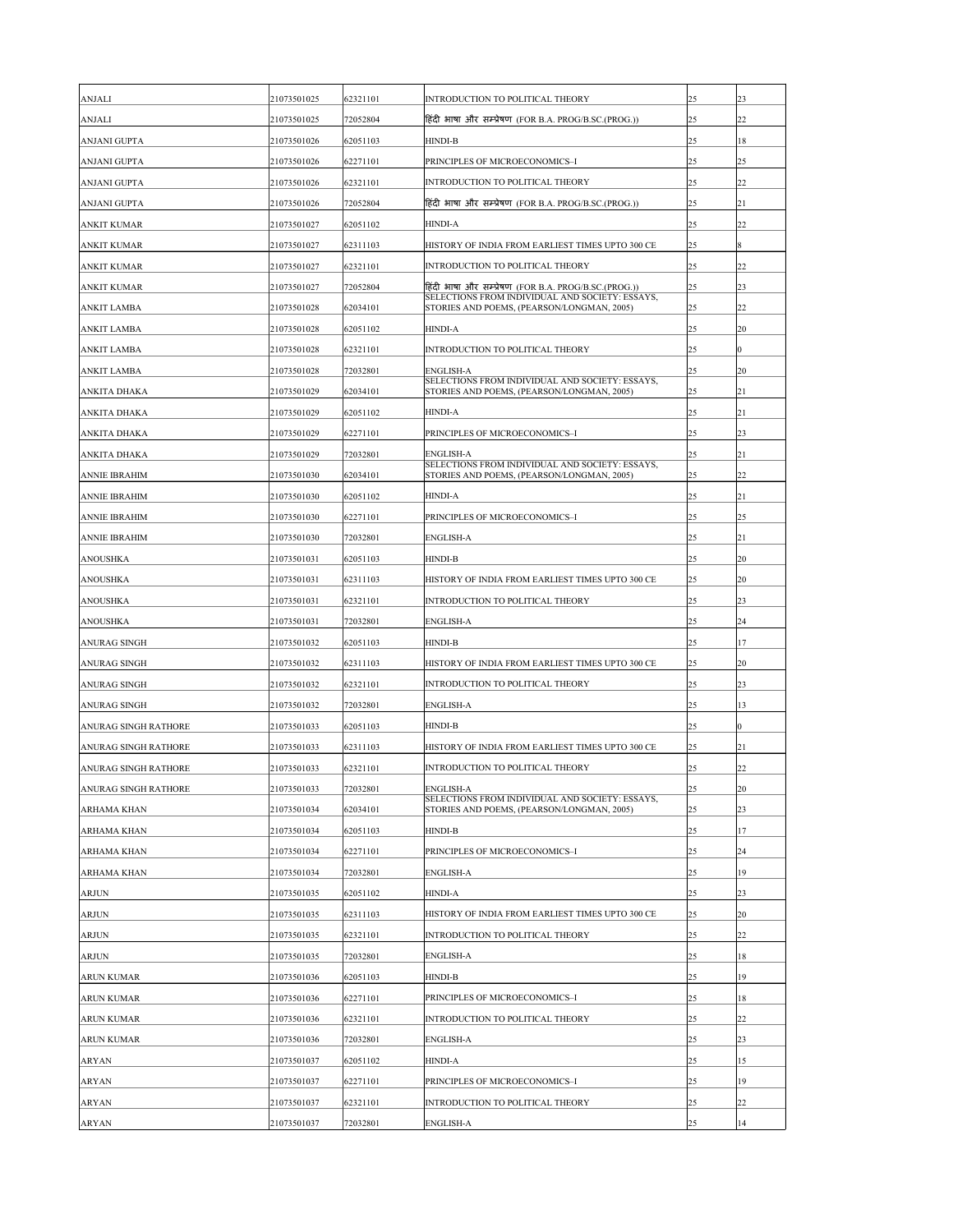| <b>ANJALI</b>               | 21073501025 | 62321101 | <b>INTRODUCTION TO POLITICAL THEORY</b>                                                       | 25 | $ 23\rangle$ |
|-----------------------------|-------------|----------|-----------------------------------------------------------------------------------------------|----|--------------|
| <b>ANJALI</b>               | 21073501025 | 72052804 | हिंदी भाषा और सम्प्रेषण (FOR B.A. PROG/B.SC.(PROG.))                                          | 25 | 22           |
| <b>ANJANI GUPTA</b>         | 21073501026 | 62051103 | <b>HINDI-B</b>                                                                                | 25 | 18           |
| <b>ANJANI GUPTA</b>         | 21073501026 | 62271101 | PRINCIPLES OF MICROECONOMICS-I                                                                | 25 | $ 25\rangle$ |
| <b>ANJANI GUPTA</b>         | 21073501026 | 62321101 | <b>INTRODUCTION TO POLITICAL THEORY</b>                                                       | 25 | 22           |
| <b>ANJANI GUPTA</b>         | 21073501026 | 72052804 | हिंदी भाषा और सम्प्रेषण (FOR B.A. PROG/B.SC.(PROG.))                                          | 25 | 21           |
| <b>ANKIT KUMAR</b>          | 21073501027 | 62051102 | <b>HINDI-A</b>                                                                                | 25 | 22           |
| <b>ANKIT KUMAR</b>          | 21073501027 | 62311103 | HISTORY OF INDIA FROM EARLIEST TIMES UPTO 300 CE                                              | 25 | 8            |
| <b>ANKIT KUMAR</b>          | 21073501027 | 62321101 | INTRODUCTION TO POLITICAL THEORY                                                              | 25 | 22           |
| <b>ANKIT KUMAR</b>          | 21073501027 | 72052804 | हिंदी भाषा और सम्प्रेषण (FOR B.A. PROG/B.SC.(PROG.))                                          | 25 | 23           |
| <b>ANKIT LAMBA</b>          | 21073501028 | 62034101 | SELECTIONS FROM INDIVIDUAL AND SOCIETY: ESSAYS,<br>STORIES AND POEMS, (PEARSON/LONGMAN, 2005) | 25 | 22           |
| <b>ANKIT LAMBA</b>          | 21073501028 | 62051102 | <b>HINDI-A</b>                                                                                | 25 | <b>20</b>    |
| <b>ANKIT LAMBA</b>          | 21073501028 | 62321101 | INTRODUCTION TO POLITICAL THEORY                                                              | 25 | $ 0\rangle$  |
| <b>ANKIT LAMBA</b>          | 21073501028 | 72032801 | <b>ENGLISH-A</b>                                                                              | 25 | <b>20</b>    |
| <b>ANKITA DHAKA</b>         | 21073501029 | 62034101 | SELECTIONS FROM INDIVIDUAL AND SOCIETY: ESSAYS,<br>STORIES AND POEMS, (PEARSON/LONGMAN, 2005) | 25 | 21           |
| <b>ANKITA DHAKA</b>         | 21073501029 | 62051102 | <b>HINDI-A</b>                                                                                | 25 | 21           |
| <b>ANKITA DHAKA</b>         | 21073501029 | 62271101 | PRINCIPLES OF MICROECONOMICS-I                                                                | 25 | 23           |
| <b>ANKITA DHAKA</b>         | 21073501029 | 72032801 | <b>ENGLISH-A</b>                                                                              | 25 | 21           |
| <b>ANNIE IBRAHIM</b>        | 21073501030 | 62034101 | SELECTIONS FROM INDIVIDUAL AND SOCIETY: ESSAYS,<br>STORIES AND POEMS, (PEARSON/LONGMAN, 2005) | 25 | 22           |
| <b>ANNIE IBRAHIM</b>        | 21073501030 | 62051102 | <b>HINDI-A</b>                                                                                | 25 | 21           |
| <b>ANNIE IBRAHIM</b>        | 21073501030 | 62271101 | PRINCIPLES OF MICROECONOMICS-I                                                                | 25 | $ 25\rangle$ |
| <b>ANNIE IBRAHIM</b>        | 21073501030 | 72032801 | <b>ENGLISH-A</b>                                                                              | 25 | 21           |
| <b>ANOUSHKA</b>             | 21073501031 | 62051103 | <b>HINDI-B</b>                                                                                | 25 | <b>20</b>    |
| <b>ANOUSHKA</b>             | 21073501031 | 62311103 | HISTORY OF INDIA FROM EARLIEST TIMES UPTO 300 CE                                              | 25 | 20           |
| <b>ANOUSHKA</b>             | 21073501031 | 62321101 | INTRODUCTION TO POLITICAL THEORY                                                              | 25 | 23           |
| <b>ANOUSHKA</b>             | 21073501031 | 72032801 | <b>ENGLISH-A</b>                                                                              | 25 | 24           |
| <b>ANURAG SINGH</b>         | 21073501032 | 62051103 | <b>HINDI-B</b>                                                                                | 25 | 17           |
| <b>ANURAG SINGH</b>         | 21073501032 | 62311103 | HISTORY OF INDIA FROM EARLIEST TIMES UPTO 300 CE                                              | 25 | 20           |
| <b>ANURAG SINGH</b>         | 21073501032 | 62321101 | INTRODUCTION TO POLITICAL THEORY                                                              | 25 | $ 23\rangle$ |
| <b>ANURAG SINGH</b>         | 21073501032 | 72032801 | <b>ENGLISH-A</b>                                                                              | 25 | 13           |
| <b>ANURAG SINGH RATHORE</b> | 21073501033 | 62051103 | <b>HINDI-B</b>                                                                                | 25 |              |
| <b>ANURAG SINGH RATHORE</b> | 21073501033 | 62311103 | HISTORY OF INDIA FROM EARLIEST TIMES UPTO 300 CE                                              | 25 | 21           |
| <b>ANURAG SINGH RATHORE</b> | 21073501033 | 62321101 | INTRODUCTION TO POLITICAL THEORY                                                              | 25 | 22           |
| <b>ANURAG SINGH RATHORE</b> | 21073501033 | 72032801 | <b>ENGLISH-A</b>                                                                              | 25 | <b>20</b>    |
| <b>ARHAMA KHAN</b>          | 21073501034 | 62034101 | SELECTIONS FROM INDIVIDUAL AND SOCIETY: ESSAYS,<br>STORIES AND POEMS, (PEARSON/LONGMAN, 2005) | 25 | 23           |
| <b>ARHAMA KHAN</b>          | 21073501034 | 62051103 | <b>HINDI-B</b>                                                                                | 25 | 17           |
| <b>ARHAMA KHAN</b>          | 21073501034 | 62271101 | PRINCIPLES OF MICROECONOMICS-I                                                                | 25 | 24           |
| <b>ARHAMA KHAN</b>          | 21073501034 | 72032801 | <b>ENGLISH-A</b>                                                                              | 25 | 19           |
| <b>ARJUN</b>                | 21073501035 | 62051102 | <b>HINDI-A</b>                                                                                | 25 | 23           |
| <b>ARJUN</b>                | 21073501035 | 62311103 | HISTORY OF INDIA FROM EARLIEST TIMES UPTO 300 CE                                              | 25 | <b>20</b>    |
| <b>ARJUN</b>                | 21073501035 | 62321101 | INTRODUCTION TO POLITICAL THEORY                                                              | 25 | 22           |
| <b>ARJUN</b>                | 21073501035 | 72032801 | <b>ENGLISH-A</b>                                                                              | 25 | 18           |
| <b>ARUN KUMAR</b>           | 21073501036 | 62051103 | <b>HINDI-B</b>                                                                                | 25 | 19           |
| <b>ARUN KUMAR</b>           | 21073501036 | 62271101 | PRINCIPLES OF MICROECONOMICS-I                                                                | 25 | 18           |
| <b>ARUN KUMAR</b>           | 21073501036 | 62321101 | <b>INTRODUCTION TO POLITICAL THEORY</b>                                                       | 25 | 22           |
| <b>ARUN KUMAR</b>           | 21073501036 | 72032801 | <b>ENGLISH-A</b>                                                                              | 25 | 23           |
| <b>ARYAN</b>                | 21073501037 | 62051102 | <b>HINDI-A</b>                                                                                | 25 | 15           |
| <b>ARYAN</b>                | 21073501037 | 62271101 | PRINCIPLES OF MICROECONOMICS-I                                                                | 25 | 19           |
| <b>ARYAN</b>                | 21073501037 | 62321101 | <b>INTRODUCTION TO POLITICAL THEORY</b>                                                       | 25 | 22           |
| <b>ARYAN</b>                | 21073501037 | 72032801 | <b>ENGLISH-A</b>                                                                              | 25 | 14           |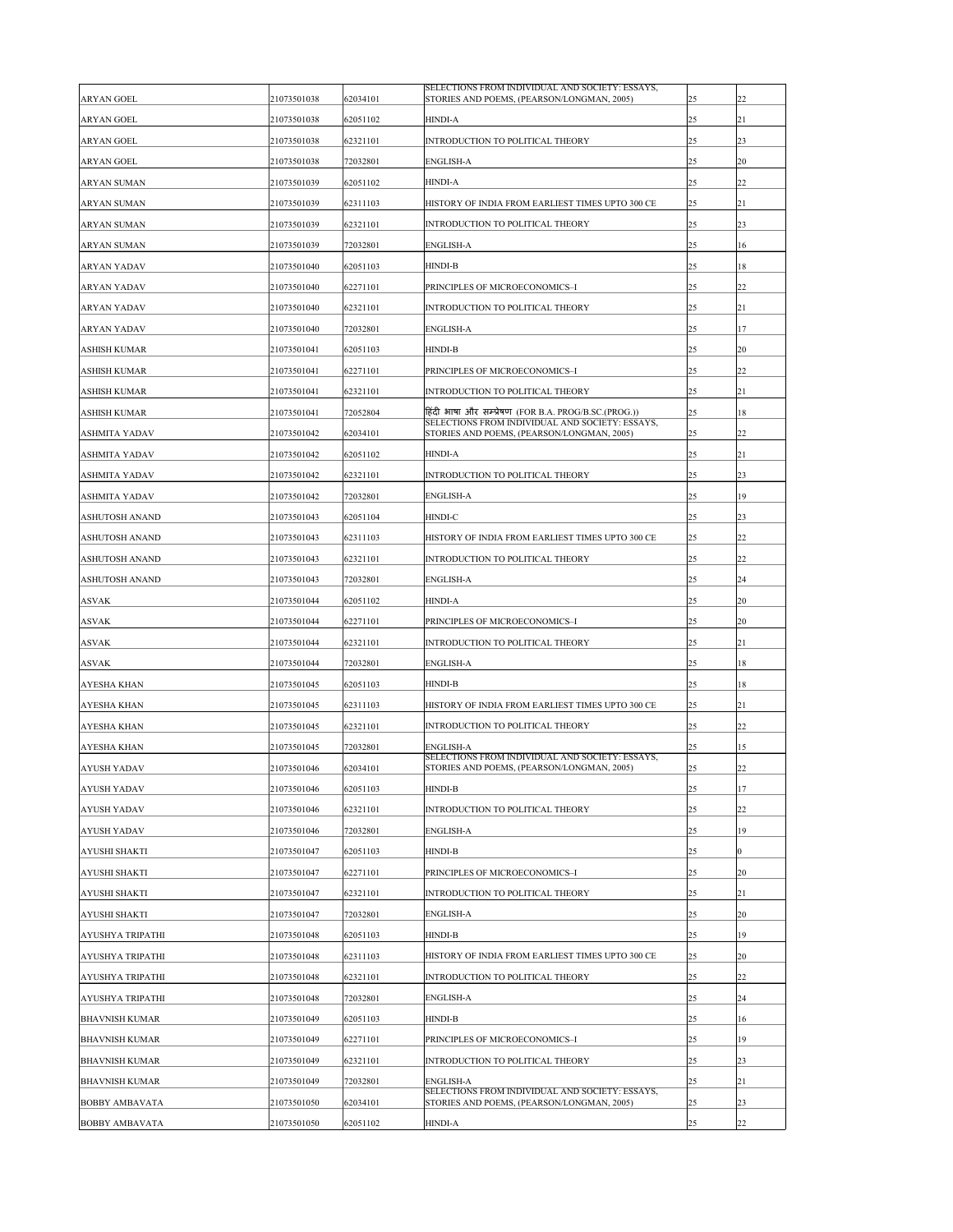| <b>ARYAN GOEL</b>       | 21073501038 | 62034101 | SELECTIONS FROM INDIVIDUAL AND SOCIETY: ESSAYS,<br>STORIES AND POEMS, (PEARSON/LONGMAN, 2005) | 25 | 22             |
|-------------------------|-------------|----------|-----------------------------------------------------------------------------------------------|----|----------------|
| <b>ARYAN GOEL</b>       | 21073501038 | 62051102 | <b>HINDI-A</b>                                                                                | 25 | 21             |
| <b>ARYAN GOEL</b>       | 21073501038 | 62321101 | INTRODUCTION TO POLITICAL THEORY                                                              | 25 | 23             |
| <b>ARYAN GOEL</b>       | 21073501038 | 72032801 | <b>ENGLISH-A</b>                                                                              | 25 | 20             |
| <b>ARYAN SUMAN</b>      | 21073501039 | 62051102 | <b>HINDI-A</b>                                                                                | 25 | 22             |
| <b>ARYAN SUMAN</b>      | 21073501039 | 62311103 | HISTORY OF INDIA FROM EARLIEST TIMES UPTO 300 CE                                              | 25 | 21             |
| <b>ARYAN SUMAN</b>      | 21073501039 | 62321101 | INTRODUCTION TO POLITICAL THEORY                                                              | 25 | 23             |
| <b>ARYAN SUMAN</b>      | 21073501039 | 72032801 | <b>ENGLISH-A</b>                                                                              | 25 | 16             |
| <b>ARYAN YADAV</b>      | 21073501040 | 62051103 | <b>HINDI-B</b>                                                                                | 25 | 18             |
| <b>ARYAN YADAV</b>      | 21073501040 | 62271101 | PRINCIPLES OF MICROECONOMICS-I                                                                | 25 | 22             |
| <b>ARYAN YADAV</b>      | 21073501040 | 62321101 | INTRODUCTION TO POLITICAL THEORY                                                              | 25 | 21             |
| <b>ARYAN YADAV</b>      | 21073501040 | 72032801 | <b>ENGLISH-A</b>                                                                              | 25 | 17             |
| <b>ASHISH KUMAR</b>     | 21073501041 | 62051103 | <b>HINDI-B</b>                                                                                | 25 | 20             |
| <b>ASHISH KUMAR</b>     | 21073501041 | 62271101 | PRINCIPLES OF MICROECONOMICS-I                                                                | 25 | 22             |
| <b>ASHISH KUMAR</b>     | 21073501041 | 62321101 | INTRODUCTION TO POLITICAL THEORY                                                              | 25 | 21             |
| <b>ASHISH KUMAR</b>     | 21073501041 | 72052804 | हिंदी भाषा और सम्प्रेषण (FOR B.A. PROG/B.SC.(PROG.))                                          | 25 | 18             |
| <b>ASHMITA YADAV</b>    | 21073501042 | 62034101 | SELECTIONS FROM INDIVIDUAL AND SOCIETY: ESSAYS,<br>STORIES AND POEMS, (PEARSON/LONGMAN, 2005) | 25 | 22             |
| <b>ASHMITA YADAV</b>    | 21073501042 | 62051102 | <b>HINDI-A</b>                                                                                | 25 | 21             |
| <b>ASHMITA YADAV</b>    | 21073501042 | 62321101 | INTRODUCTION TO POLITICAL THEORY                                                              | 25 | 23             |
| <b>ASHMITA YADAV</b>    | 21073501042 | 72032801 | <b>ENGLISH-A</b>                                                                              | 25 | 19             |
| <b>ASHUTOSH ANAND</b>   | 21073501043 | 62051104 | <b>HINDI-C</b>                                                                                | 25 | 23             |
| <b>ASHUTOSH ANAND</b>   | 21073501043 | 62311103 | HISTORY OF INDIA FROM EARLIEST TIMES UPTO 300 CE                                              | 25 | 22             |
| <b>ASHUTOSH ANAND</b>   | 21073501043 | 62321101 | INTRODUCTION TO POLITICAL THEORY                                                              | 25 | 22             |
| <b>ASHUTOSH ANAND</b>   | 21073501043 | 72032801 | <b>ENGLISH-A</b>                                                                              | 25 | 24             |
| <b>ASVAK</b>            | 21073501044 | 62051102 | <b>HINDI-A</b>                                                                                | 25 | 20             |
| <b>ASVAK</b>            | 21073501044 | 62271101 | PRINCIPLES OF MICROECONOMICS-I                                                                | 25 | 20             |
| <b>ASVAK</b>            | 21073501044 | 62321101 | INTRODUCTION TO POLITICAL THEORY                                                              | 25 | 21             |
| <b>ASVAK</b>            | 21073501044 | 72032801 | <b>ENGLISH-A</b>                                                                              | 25 | 18             |
| <b>AYESHA KHAN</b>      | 21073501045 | 62051103 | <b>HINDI-B</b>                                                                                | 25 | 18             |
| <b>AYESHA KHAN</b>      | 21073501045 | 62311103 | HISTORY OF INDIA FROM EARLIEST TIMES UPTO 300 CE                                              | 25 | 21             |
| <b>AYESHA KHAN</b>      | 21073501045 | 62321101 | INTRODUCTION TO POLITICAL THEORY                                                              | 25 | 22             |
| <b>AYESHA KHAN</b>      | 21073501045 | 72032801 | <b>ENGLISH-A</b>                                                                              | 25 | 15             |
| <b>AYUSH YADAV</b>      | 21073501046 | 62034101 | SELECTIONS FROM INDIVIDUAL AND SOCIETY: ESSAYS,<br>STORIES AND POEMS, (PEARSON/LONGMAN, 2005) | 25 | 22             |
| <b>AYUSH YADAV</b>      | 21073501046 | 62051103 | <b>HINDI-B</b>                                                                                | 25 | 17             |
| <b>AYUSH YADAV</b>      | 21073501046 | 62321101 | INTRODUCTION TO POLITICAL THEORY                                                              | 25 | 22             |
| <b>AYUSH YADAV</b>      | 21073501046 | 72032801 | <b>ENGLISH-A</b>                                                                              | 25 | 19             |
| <b>AYUSHI SHAKTI</b>    | 21073501047 | 62051103 | <b>HINDI-B</b>                                                                                | 25 | $\overline{0}$ |
| <b>AYUSHI SHAKTI</b>    | 21073501047 | 62271101 | PRINCIPLES OF MICROECONOMICS-I                                                                | 25 | 20             |
| <b>AYUSHI SHAKTI</b>    | 21073501047 | 62321101 | INTRODUCTION TO POLITICAL THEORY                                                              | 25 | 21             |
| <b>AYUSHI SHAKTI</b>    | 21073501047 | 72032801 | <b>ENGLISH-A</b>                                                                              | 25 | 20             |
| <b>AYUSHYA TRIPATHI</b> | 21073501048 | 62051103 | <b>HINDI-B</b>                                                                                | 25 | 19             |
| <b>AYUSHYA TRIPATHI</b> | 21073501048 | 62311103 | HISTORY OF INDIA FROM EARLIEST TIMES UPTO 300 CE                                              | 25 | 20             |
| <b>AYUSHYA TRIPATHI</b> | 21073501048 | 62321101 | INTRODUCTION TO POLITICAL THEORY                                                              | 25 | 22             |
| <b>AYUSHYA TRIPATHI</b> | 21073501048 | 72032801 | <b>ENGLISH-A</b>                                                                              | 25 | 24             |
| <b>BHAVNISH KUMAR</b>   | 21073501049 | 62051103 | <b>HINDI-B</b>                                                                                | 25 | 16             |
| <b>BHAVNISH KUMAR</b>   | 21073501049 | 62271101 | PRINCIPLES OF MICROECONOMICS-I                                                                | 25 | 19             |
| <b>BHAVNISH KUMAR</b>   | 21073501049 | 62321101 | INTRODUCTION TO POLITICAL THEORY                                                              | 25 | 23             |
| <b>BHAVNISH KUMAR</b>   | 21073501049 | 72032801 | <b>ENGLISH-A</b><br>SELECTIONS FROM INDIVIDUAL AND SOCIETY: ESSAYS,                           | 25 | 21             |
| <b>BOBBY AMBAVATA</b>   | 21073501050 | 62034101 | STORIES AND POEMS, (PEARSON/LONGMAN, 2005)                                                    | 25 | 23             |
| <b>BOBBY AMBAVATA</b>   | 21073501050 | 62051102 | <b>HINDI-A</b>                                                                                | 25 | 22             |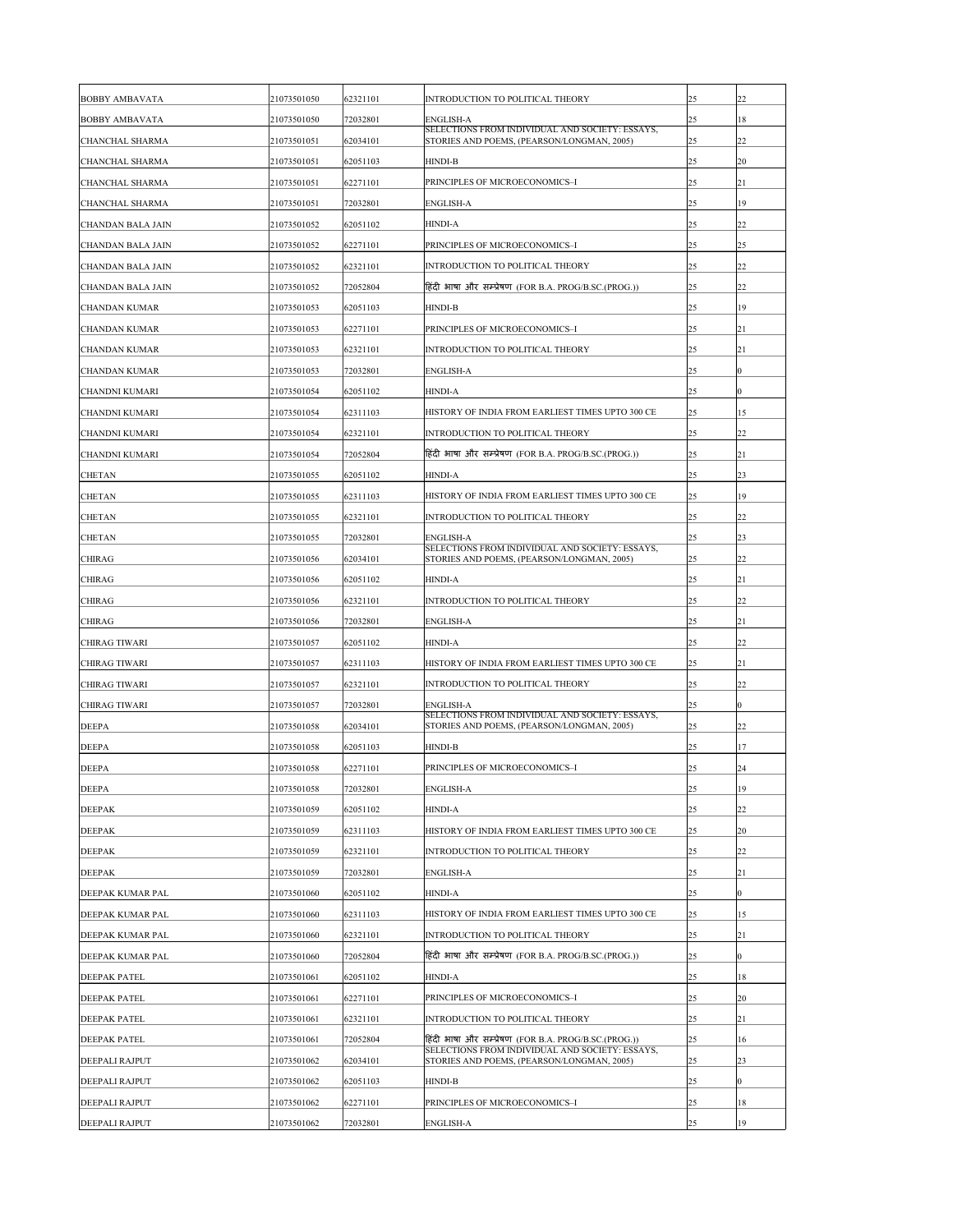| <b>BOBBY AMBAVATA</b>    | 21073501050 | 62321101 | INTRODUCTION TO POLITICAL THEORY                                                              | 25 | 22               |
|--------------------------|-------------|----------|-----------------------------------------------------------------------------------------------|----|------------------|
| <b>BOBBY AMBAVATA</b>    | 21073501050 | 72032801 | <b>ENGLISH-A</b>                                                                              | 25 | 18               |
| <b>CHANCHAL SHARMA</b>   | 21073501051 | 62034101 | SELECTIONS FROM INDIVIDUAL AND SOCIETY: ESSAYS,<br>STORIES AND POEMS, (PEARSON/LONGMAN, 2005) | 25 | 22               |
| <b>CHANCHAL SHARMA</b>   | 21073501051 | 62051103 | <b>HINDI-B</b>                                                                                | 25 | <b>20</b>        |
| <b>CHANCHAL SHARMA</b>   | 21073501051 | 62271101 | PRINCIPLES OF MICROECONOMICS-I                                                                | 25 | 21               |
| <b>CHANCHAL SHARMA</b>   | 21073501051 | 72032801 | <b>ENGLISH-A</b>                                                                              | 25 | 19               |
| <b>CHANDAN BALA JAIN</b> | 21073501052 | 62051102 | <b>HINDI-A</b>                                                                                | 25 | 22               |
| <b>CHANDAN BALA JAIN</b> | 21073501052 | 62271101 | PRINCIPLES OF MICROECONOMICS-I                                                                | 25 | $ 25\rangle$     |
| <b>CHANDAN BALA JAIN</b> | 21073501052 | 62321101 | INTRODUCTION TO POLITICAL THEORY                                                              | 25 | 22               |
| <b>CHANDAN BALA JAIN</b> | 21073501052 | 72052804 | हिंदी भाषा और सम्प्रेषण (FOR B.A. PROG/B.SC.(PROG.))                                          | 25 | 22               |
| <b>CHANDAN KUMAR</b>     | 21073501053 | 62051103 | <b>HINDI-B</b>                                                                                | 25 | 19               |
| <b>CHANDAN KUMAR</b>     | 21073501053 | 62271101 | PRINCIPLES OF MICROECONOMICS-I                                                                | 25 | 21               |
| <b>CHANDAN KUMAR</b>     | 21073501053 | 62321101 | INTRODUCTION TO POLITICAL THEORY                                                              | 25 | 21               |
| <b>CHANDAN KUMAR</b>     | 21073501053 | 72032801 | <b>ENGLISH-A</b>                                                                              | 25 | 0                |
| <b>CHANDNI KUMARI</b>    | 21073501054 | 62051102 | <b>HINDI-A</b>                                                                                | 25 |                  |
| <b>CHANDNI KUMARI</b>    | 21073501054 | 62311103 | HISTORY OF INDIA FROM EARLIEST TIMES UPTO 300 CE                                              | 25 | 15               |
| <b>CHANDNI KUMARI</b>    | 21073501054 | 62321101 | INTRODUCTION TO POLITICAL THEORY                                                              | 25 | 22               |
| <b>CHANDNI KUMARI</b>    | 21073501054 | 72052804 | हिंदी भाषा और सम्प्रेषण (FOR B.A. PROG/B.SC.(PROG.))                                          | 25 | 21               |
| <b>CHETAN</b>            | 21073501055 | 62051102 | <b>HINDI-A</b>                                                                                | 25 | 23               |
| <b>CHETAN</b>            | 21073501055 | 62311103 | HISTORY OF INDIA FROM EARLIEST TIMES UPTO 300 CE                                              | 25 | 19               |
| <b>CHETAN</b>            | 21073501055 | 62321101 | INTRODUCTION TO POLITICAL THEORY                                                              | 25 | 22               |
| <b>CHETAN</b>            | 21073501055 | 72032801 | <b>ENGLISH-A</b>                                                                              | 25 | 23               |
| <b>CHIRAG</b>            | 21073501056 | 62034101 | SELECTIONS FROM INDIVIDUAL AND SOCIETY: ESSAYS,<br>STORIES AND POEMS, (PEARSON/LONGMAN, 2005) | 25 | 22               |
| <b>CHIRAG</b>            | 21073501056 | 62051102 | <b>HINDI-A</b>                                                                                | 25 | 21               |
| <b>CHIRAG</b>            | 21073501056 | 62321101 | <b>INTRODUCTION TO POLITICAL THEORY</b>                                                       | 25 | 22               |
| <b>CHIRAG</b>            | 21073501056 | 72032801 | <b>ENGLISH-A</b>                                                                              | 25 | 21               |
| <b>CHIRAG TIWARI</b>     | 21073501057 | 62051102 | <b>HINDI-A</b>                                                                                | 25 | 22               |
| <b>CHIRAG TIWARI</b>     | 21073501057 | 62311103 | HISTORY OF INDIA FROM EARLIEST TIMES UPTO 300 CE                                              | 25 | 21               |
| <b>CHIRAG TIWARI</b>     | 21073501057 | 62321101 | INTRODUCTION TO POLITICAL THEORY                                                              | 25 | 22               |
| <b>CHIRAG TIWARI</b>     | 21073501057 | 72032801 | <b>ENGLISH-A</b>                                                                              | 25 |                  |
| <b>DEEPA</b>             | 21073501058 | 62034101 | SELECTIONS FROM INDIVIDUAL AND SOCIETY: ESSAYS,<br>STORIES AND POEMS, (PEARSON/LONGMAN, 2005) | 25 | 22               |
| <b>DEEPA</b>             | 21073501058 | 62051103 | <b>HINDI-B</b>                                                                                | 25 | 17               |
| <b>DEEPA</b>             | 21073501058 | 62271101 | PRINCIPLES OF MICROECONOMICS-I                                                                | 25 | 24               |
| <b>DEEPA</b>             | 21073501058 | 72032801 | <b>ENGLISH-A</b>                                                                              | 25 | 19               |
| <b>DEEPAK</b>            | 21073501059 | 62051102 | <b>HINDI-A</b>                                                                                | 25 | 22               |
| <b>DEEPAK</b>            | 21073501059 | 62311103 | HISTORY OF INDIA FROM EARLIEST TIMES UPTO 300 CE                                              | 25 | 20               |
| <b>DEEPAK</b>            | 21073501059 | 62321101 | <b>INTRODUCTION TO POLITICAL THEORY</b>                                                       | 25 | 22               |
| <b>DEEPAK</b>            | 21073501059 | 72032801 | <b>ENGLISH-A</b>                                                                              | 25 | 21               |
| DEEPAK KUMAR PAL         | 21073501060 | 62051102 | <b>HINDI-A</b>                                                                                | 25 | 0                |
| DEEPAK KUMAR PAL         | 21073501060 | 62311103 | HISTORY OF INDIA FROM EARLIEST TIMES UPTO 300 CE                                              | 25 | 15               |
| DEEPAK KUMAR PAL         | 21073501060 | 62321101 | INTRODUCTION TO POLITICAL THEORY                                                              | 25 | 21               |
| DEEPAK KUMAR PAL         | 21073501060 | 72052804 | हिंदी भाषा और सम्प्रेषण (FOR B.A. PROG/B.SC.(PROG.))                                          | 25 | $\boldsymbol{0}$ |
| <b>DEEPAK PATEL</b>      | 21073501061 | 62051102 | <b>HINDI-A</b>                                                                                | 25 | 18               |
| <b>DEEPAK PATEL</b>      | 21073501061 | 62271101 | PRINCIPLES OF MICROECONOMICS-I                                                                | 25 | 20               |
| <b>DEEPAK PATEL</b>      | 21073501061 | 62321101 | <b>INTRODUCTION TO POLITICAL THEORY</b>                                                       | 25 | 21               |
| <b>DEEPAK PATEL</b>      | 21073501061 | 72052804 | हिंदी भाषा और सम्प्रेषण (FOR B.A. PROG/B.SC.(PROG.))                                          | 25 | 16               |
| <b>DEEPALI RAJPUT</b>    | 21073501062 | 62034101 | SELECTIONS FROM INDIVIDUAL AND SOCIETY: ESSAYS,<br>STORIES AND POEMS, (PEARSON/LONGMAN, 2005) | 25 | 23               |
| <b>DEEPALI RAJPUT</b>    | 21073501062 | 62051103 | <b>HINDI-B</b>                                                                                | 25 | $\overline{0}$   |
| DEEPALI RAJPUT           | 21073501062 | 62271101 | PRINCIPLES OF MICROECONOMICS-I                                                                | 25 | 18               |
| DEEPALI RAJPUT           | 21073501062 | 72032801 | <b>ENGLISH-A</b>                                                                              | 25 | 19               |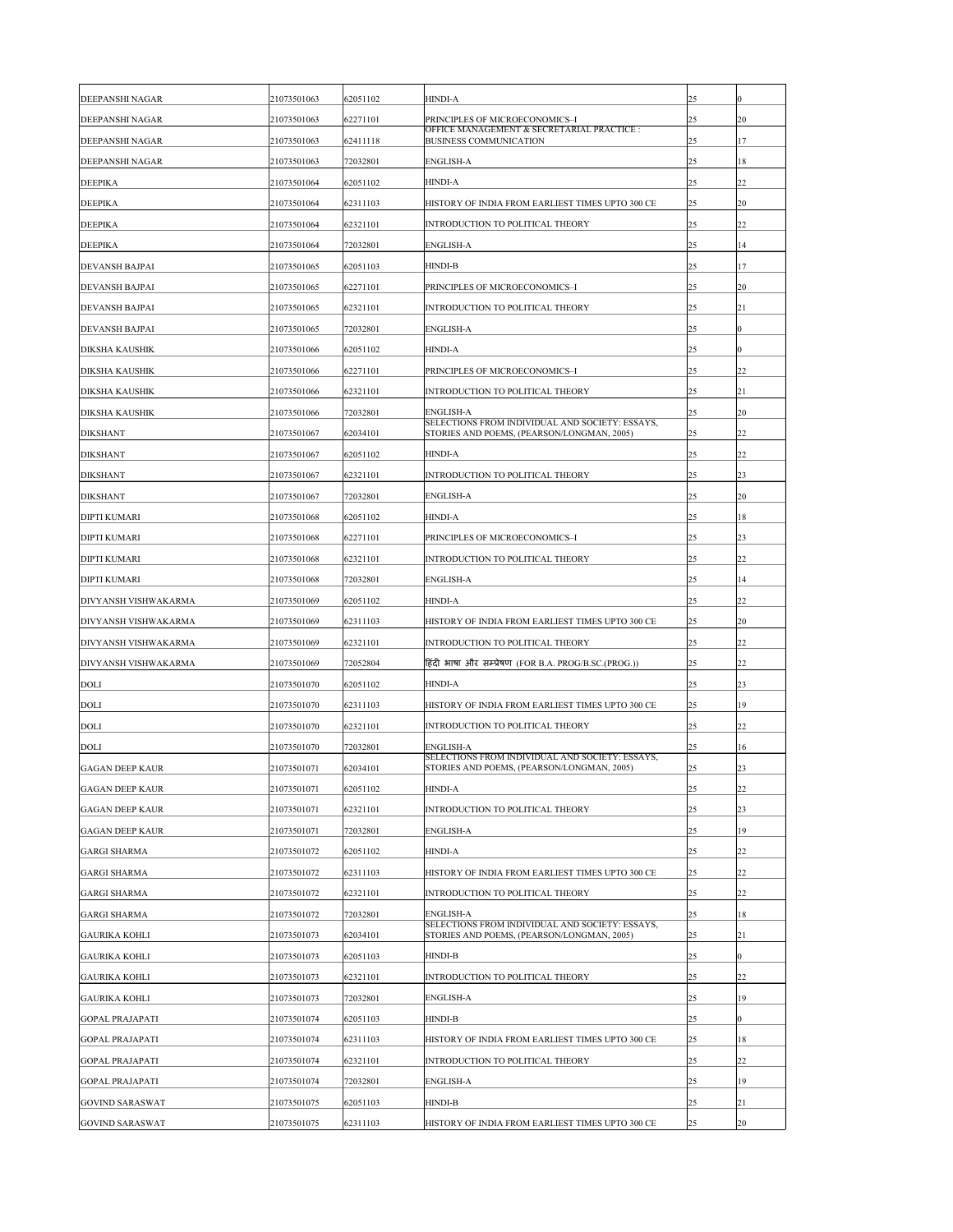| <b>DEEPANSHI NAGAR</b>      | 21073501063 | 62051102 | <b>HINDI-A</b>                                                                                | 25 | $\bf{0}$         |
|-----------------------------|-------------|----------|-----------------------------------------------------------------------------------------------|----|------------------|
| <b>DEEPANSHI NAGAR</b>      | 21073501063 | 62271101 | PRINCIPLES OF MICROECONOMICS-I                                                                | 25 | <b>20</b>        |
| <b>DEEPANSHI NAGAR</b>      | 21073501063 | 62411118 | OFFICE MANAGEMENT & SECRETARIAL PRACTICE :<br><b>BUSINESS COMMUNICATION</b>                   | 25 | 17               |
| <b>DEEPANSHI NAGAR</b>      | 21073501063 | 72032801 | <b>ENGLISH-A</b>                                                                              | 25 | 18               |
| <b>DEEPIKA</b>              | 21073501064 | 62051102 | <b>HINDI-A</b>                                                                                | 25 | 22               |
| <b>DEEPIKA</b>              | 21073501064 | 62311103 | HISTORY OF INDIA FROM EARLIEST TIMES UPTO 300 CE                                              | 25 | <b>20</b>        |
| <b>DEEPIKA</b>              | 21073501064 | 62321101 | <b>INTRODUCTION TO POLITICAL THEORY</b>                                                       | 25 | 22               |
| <b>DEEPIKA</b>              | 21073501064 | 72032801 | <b>ENGLISH-A</b>                                                                              | 25 | 14               |
| <b>DEVANSH BAJPAI</b>       | 21073501065 | 62051103 | <b>HINDI-B</b>                                                                                | 25 | 17               |
| <b>DEVANSH BAJPAI</b>       | 21073501065 | 62271101 | PRINCIPLES OF MICROECONOMICS-I                                                                | 25 | 20               |
| <b>DEVANSH BAJPAI</b>       | 21073501065 | 62321101 | <b>INTRODUCTION TO POLITICAL THEORY</b>                                                       | 25 | 21               |
| <b>DEVANSH BAJPAI</b>       | 21073501065 | 72032801 | <b>ENGLISH-A</b>                                                                              | 25 | $\boldsymbol{0}$ |
| <b>DIKSHA KAUSHIK</b>       | 21073501066 | 62051102 | <b>HINDI-A</b>                                                                                | 25 | $\theta$         |
| <b>DIKSHA KAUSHIK</b>       | 21073501066 | 62271101 | PRINCIPLES OF MICROECONOMICS-I                                                                | 25 | 22               |
| <b>DIKSHA KAUSHIK</b>       | 21073501066 | 62321101 | <b>INTRODUCTION TO POLITICAL THEORY</b>                                                       | 25 | 21               |
| <b>DIKSHA KAUSHIK</b>       | 21073501066 | 72032801 | <b>ENGLISH-A</b>                                                                              | 25 | <b>20</b>        |
| <b>DIKSHANT</b>             | 21073501067 | 62034101 | SELECTIONS FROM INDIVIDUAL AND SOCIETY: ESSAYS,<br>STORIES AND POEMS, (PEARSON/LONGMAN, 2005) | 25 | 22               |
| <b>DIKSHANT</b>             | 21073501067 | 62051102 | <b>HINDI-A</b>                                                                                | 25 | 22               |
| <b>DIKSHANT</b>             | 21073501067 | 62321101 | <b>INTRODUCTION TO POLITICAL THEORY</b>                                                       | 25 | 23               |
| <b>DIKSHANT</b>             | 21073501067 | 72032801 | <b>ENGLISH-A</b>                                                                              | 25 | 20               |
| <b>DIPTI KUMARI</b>         | 21073501068 | 62051102 | <b>HINDI-A</b>                                                                                | 25 | 18               |
| <b>DIPTI KUMARI</b>         | 21073501068 | 62271101 | PRINCIPLES OF MICROECONOMICS-I                                                                | 25 | 23               |
| <b>DIPTI KUMARI</b>         | 21073501068 | 62321101 | <b>INTRODUCTION TO POLITICAL THEORY</b>                                                       | 25 | $ 22\rangle$     |
| <b>DIPTI KUMARI</b>         | 21073501068 | 72032801 | <b>ENGLISH-A</b>                                                                              | 25 | 14               |
| <b>DIVYANSH VISHWAKARMA</b> | 21073501069 | 62051102 | <b>HINDI-A</b>                                                                                | 25 | 22               |
| <b>DIVYANSH VISHWAKARMA</b> | 21073501069 | 62311103 | HISTORY OF INDIA FROM EARLIEST TIMES UPTO 300 CE                                              | 25 | <b>20</b>        |
| <b>DIVYANSH VISHWAKARMA</b> | 21073501069 | 62321101 | INTRODUCTION TO POLITICAL THEORY                                                              | 25 | 22               |
| <b>DIVYANSH VISHWAKARMA</b> | 21073501069 | 72052804 | हिंदी भाषा और सम्प्रेषण (FOR B.A. PROG/B.SC.(PROG.))                                          | 25 | 22               |
| <b>DOLI</b>                 | 21073501070 | 62051102 | <b>HINDI-A</b>                                                                                | 25 | 23               |
| <b>DOLI</b>                 | 21073501070 | 62311103 | HISTORY OF INDIA FROM EARLIEST TIMES UPTO 300 CE                                              | 25 | 19               |
| <b>DOLI</b>                 | 21073501070 | 62321101 | INTRODUCTION TO POLITICAL THEORY                                                              | 25 | 22               |
| <b>DOLI</b>                 | 21073501070 | 72032801 | <b>ENGLISH-A</b>                                                                              | 25 | 16               |
| <b>GAGAN DEEP KAUR</b>      | 21073501071 | 62034101 | SELECTIONS FROM INDIVIDUAL AND SOCIETY: ESSAYS,<br>STORIES AND POEMS, (PEARSON/LONGMAN, 2005) | 25 | 23               |
| <b>GAGAN DEEP KAUR</b>      | 21073501071 | 62051102 | <b>HINDI-A</b>                                                                                | 25 | 22               |
| <b>GAGAN DEEP KAUR</b>      | 21073501071 | 62321101 | <b>INTRODUCTION TO POLITICAL THEORY</b>                                                       | 25 | 23               |
| <b>GAGAN DEEP KAUR</b>      | 21073501071 | 72032801 | <b>ENGLISH-A</b>                                                                              | 25 | 19               |
| <b>GARGI SHARMA</b>         | 21073501072 | 62051102 | <b>HINDI-A</b>                                                                                | 25 | 22               |
| <b>GARGI SHARMA</b>         | 21073501072 | 62311103 | HISTORY OF INDIA FROM EARLIEST TIMES UPTO 300 CE                                              | 25 | $ 22\rangle$     |
| <b>GARGI SHARMA</b>         | 21073501072 | 62321101 | INTRODUCTION TO POLITICAL THEORY                                                              | 25 | $ 22\rangle$     |
| <b>GARGI SHARMA</b>         | 21073501072 | 72032801 | <b>ENGLISH-A</b>                                                                              | 25 | 18               |
| <b>GAURIKA KOHLI</b>        | 21073501073 | 62034101 | SELECTIONS FROM INDIVIDUAL AND SOCIETY: ESSAYS,<br>STORIES AND POEMS, (PEARSON/LONGMAN, 2005) | 25 | 21               |
| <b>GAURIKA KOHLI</b>        | 21073501073 | 62051103 | <b>HINDI-B</b>                                                                                | 25 | $\boldsymbol{0}$ |
| <b>GAURIKA KOHLI</b>        | 21073501073 | 62321101 | INTRODUCTION TO POLITICAL THEORY                                                              | 25 | 22               |
| <b>GAURIKA KOHLI</b>        | 21073501073 | 72032801 | <b>ENGLISH-A</b>                                                                              | 25 | 19               |
| <b>GOPAL PRAJAPATI</b>      | 21073501074 | 62051103 | <b>HINDI-B</b>                                                                                | 25 | $\boldsymbol{0}$ |
| <b>GOPAL PRAJAPATI</b>      | 21073501074 | 62311103 | HISTORY OF INDIA FROM EARLIEST TIMES UPTO 300 CE                                              | 25 | 18               |
| <b>GOPAL PRAJAPATI</b>      | 21073501074 | 62321101 | <b>INTRODUCTION TO POLITICAL THEORY</b>                                                       | 25 | 22               |
| <b>GOPAL PRAJAPATI</b>      | 21073501074 | 72032801 | <b>ENGLISH-A</b>                                                                              | 25 | 19               |
| <b>GOVIND SARASWAT</b>      | 21073501075 | 62051103 | <b>HINDI-B</b>                                                                                | 25 | $ 21\>$          |
| <b>GOVIND SARASWAT</b>      | 21073501075 | 62311103 | HISTORY OF INDIA FROM EARLIEST TIMES UPTO 300 CE                                              | 25 | 20               |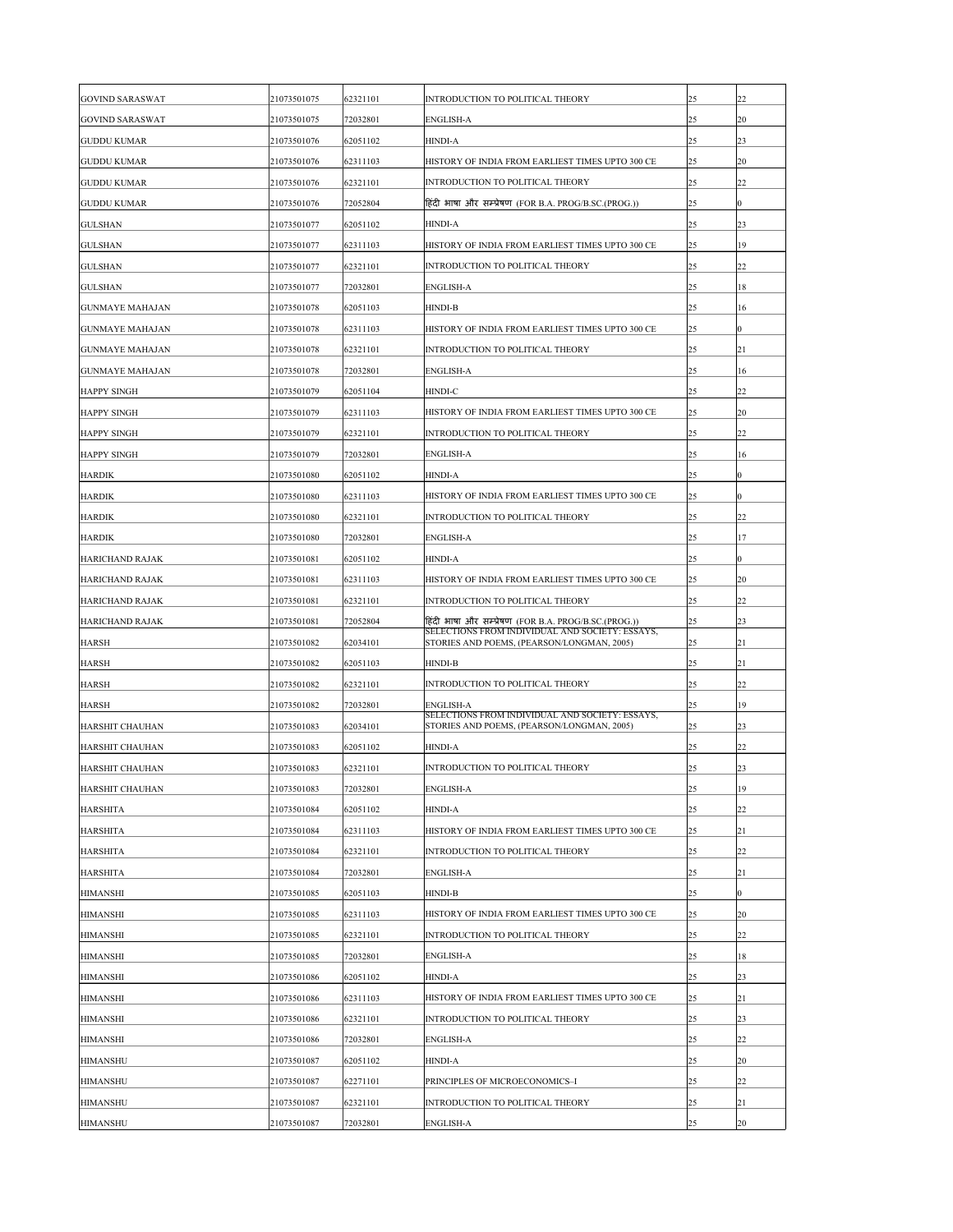| <b>GOVIND SARASWAT</b> | 21073501075 | 62321101 | <b>INTRODUCTION TO POLITICAL THEORY</b>                                                       | 25 | 22               |
|------------------------|-------------|----------|-----------------------------------------------------------------------------------------------|----|------------------|
| <b>GOVIND SARASWAT</b> | 21073501075 | 72032801 | <b>ENGLISH-A</b>                                                                              | 25 | 20               |
| <b>GUDDU KUMAR</b>     | 21073501076 | 62051102 | <b>HINDI-A</b>                                                                                | 25 | 23               |
| <b>GUDDU KUMAR</b>     | 21073501076 | 62311103 | HISTORY OF INDIA FROM EARLIEST TIMES UPTO 300 CE                                              | 25 | <b>20</b>        |
| <b>GUDDU KUMAR</b>     | 21073501076 | 62321101 | <b>INTRODUCTION TO POLITICAL THEORY</b>                                                       | 25 | 22               |
| <b>GUDDU KUMAR</b>     | 21073501076 | 72052804 | हिंदी भाषा और सम्प्रेषण (FOR B.A. PROG/B.SC.(PROG.))                                          | 25 | 0                |
| <b>GULSHAN</b>         | 21073501077 | 62051102 | <b>HINDI-A</b>                                                                                | 25 | 23               |
| <b>GULSHAN</b>         | 21073501077 | 62311103 | HISTORY OF INDIA FROM EARLIEST TIMES UPTO 300 CE                                              | 25 | 19               |
| <b>GULSHAN</b>         | 21073501077 | 62321101 | INTRODUCTION TO POLITICAL THEORY                                                              | 25 | 22               |
| <b>GULSHAN</b>         | 21073501077 | 72032801 | <b>ENGLISH-A</b>                                                                              | 25 | 18               |
| <b>GUNMAYE MAHAJAN</b> | 21073501078 | 62051103 | <b>HINDI-B</b>                                                                                | 25 | 16               |
| <b>GUNMAYE MAHAJAN</b> | 21073501078 | 62311103 | HISTORY OF INDIA FROM EARLIEST TIMES UPTO 300 CE                                              | 25 | $\overline{0}$   |
| <b>GUNMAYE MAHAJAN</b> | 21073501078 | 62321101 | <b>INTRODUCTION TO POLITICAL THEORY</b>                                                       | 25 | 21               |
| <b>GUNMAYE MAHAJAN</b> | 21073501078 | 72032801 | <b>ENGLISH-A</b>                                                                              | 25 | 16               |
| <b>HAPPY SINGH</b>     | 21073501079 | 62051104 | HINDI-C                                                                                       | 25 | 22               |
| <b>HAPPY SINGH</b>     | 21073501079 | 62311103 | HISTORY OF INDIA FROM EARLIEST TIMES UPTO 300 CE                                              | 25 | $ 20\rangle$     |
| <b>HAPPY SINGH</b>     | 21073501079 | 62321101 | <b>INTRODUCTION TO POLITICAL THEORY</b>                                                       | 25 | 22               |
| <b>HAPPY SINGH</b>     | 21073501079 | 72032801 | <b>ENGLISH-A</b>                                                                              | 25 | 16               |
| <b>HARDIK</b>          | 21073501080 | 62051102 | <b>HINDI-A</b>                                                                                | 25 | 0                |
| <b>HARDIK</b>          | 21073501080 | 62311103 | HISTORY OF INDIA FROM EARLIEST TIMES UPTO 300 CE                                              | 25 | $\overline{0}$   |
| <b>HARDIK</b>          | 21073501080 | 62321101 | INTRODUCTION TO POLITICAL THEORY                                                              | 25 | 22               |
| <b>HARDIK</b>          | 21073501080 | 72032801 | <b>ENGLISH-A</b>                                                                              | 25 | 17               |
| <b>HARICHAND RAJAK</b> | 21073501081 | 62051102 | <b>HINDI-A</b>                                                                                | 25 | $\boldsymbol{0}$ |
| <b>HARICHAND RAJAK</b> | 21073501081 | 62311103 | HISTORY OF INDIA FROM EARLIEST TIMES UPTO 300 CE                                              | 25 | 20               |
| HARICHAND RAJAK        | 21073501081 | 62321101 | <b>INTRODUCTION TO POLITICAL THEORY</b>                                                       | 25 | 22               |
| <b>HARICHAND RAJAK</b> | 21073501081 | 72052804 | हिंदी भाषा और सम्प्रेषण (FOR B.A. PROG/B.SC.(PROG.))                                          | 25 | 23               |
| <b>HARSH</b>           | 21073501082 | 62034101 | SELECTIONS FROM INDIVIDUAL AND SOCIETY: ESSAYS,<br>STORIES AND POEMS, (PEARSON/LONGMAN, 2005) | 25 | 21               |
| <b>HARSH</b>           | 21073501082 | 62051103 | <b>HINDI-B</b>                                                                                | 25 | 21               |
| <b>HARSH</b>           | 21073501082 | 62321101 | INTRODUCTION TO POLITICAL THEORY                                                              | 25 | 22               |
| <b>HARSH</b>           | 21073501082 | 72032801 | <b>ENGLISH-A</b>                                                                              | 25 | 19               |
| HARSHIT CHAUHAN        | 21073501083 | 62034101 | SELECTIONS FROM INDIVIDUAL AND SOCIETY: ESSAYS,<br>STORIES AND POEMS, (PEARSON/LONGMAN, 2005) | 25 | 23               |
| HARSHIT CHAUHAN        | 21073501083 | 62051102 | <b>HINDI-A</b>                                                                                | 25 | 22               |
| HARSHIT CHAUHAN        | 21073501083 | 62321101 | INTRODUCTION TO POLITICAL THEORY                                                              | 25 | 23               |
| HARSHIT CHAUHAN        | 21073501083 | 72032801 | <b>ENGLISH-A</b>                                                                              | 25 | 19               |
| <b>HARSHITA</b>        | 21073501084 | 62051102 | <b>HINDI-A</b>                                                                                | 25 | 22               |
| <b>HARSHITA</b>        | 21073501084 | 62311103 | HISTORY OF INDIA FROM EARLIEST TIMES UPTO 300 CE                                              | 25 | 21               |
| <b>HARSHITA</b>        | 21073501084 | 62321101 | <b>INTRODUCTION TO POLITICAL THEORY</b>                                                       | 25 | 22               |
| <b>HARSHITA</b>        | 21073501084 | 72032801 | <b>ENGLISH-A</b>                                                                              | 25 | 21               |
| <b>HIMANSHI</b>        | 21073501085 | 62051103 | <b>HINDI-B</b>                                                                                | 25 | $\theta$         |
| <b>HIMANSHI</b>        | 21073501085 | 62311103 | HISTORY OF INDIA FROM EARLIEST TIMES UPTO 300 CE                                              | 25 | <b>20</b>        |
| <b>HIMANSHI</b>        | 21073501085 | 62321101 | INTRODUCTION TO POLITICAL THEORY                                                              | 25 | 22               |
| <b>HIMANSHI</b>        | 21073501085 | 72032801 | <b>ENGLISH-A</b>                                                                              | 25 | 18               |
| <b>HIMANSHI</b>        | 21073501086 | 62051102 | <b>HINDI-A</b>                                                                                | 25 | 23               |
| <b>HIMANSHI</b>        | 21073501086 | 62311103 | HISTORY OF INDIA FROM EARLIEST TIMES UPTO 300 CE                                              | 25 | 21               |
| <b>HIMANSHI</b>        | 21073501086 | 62321101 | INTRODUCTION TO POLITICAL THEORY                                                              | 25 | 23               |
| <b>HIMANSHI</b>        | 21073501086 | 72032801 | <b>ENGLISH-A</b>                                                                              | 25 | 22               |
| <b>HIMANSHU</b>        | 21073501087 | 62051102 | <b>HINDI-A</b>                                                                                | 25 | 20               |
| <b>HIMANSHU</b>        | 21073501087 | 62271101 | PRINCIPLES OF MICROECONOMICS-I                                                                | 25 | 22               |
| <b>HIMANSHU</b>        | 21073501087 | 62321101 | <b>INTRODUCTION TO POLITICAL THEORY</b>                                                       | 25 | 21               |
| <b>HIMANSHU</b>        | 21073501087 | 72032801 | <b>ENGLISH-A</b>                                                                              | 25 | 20               |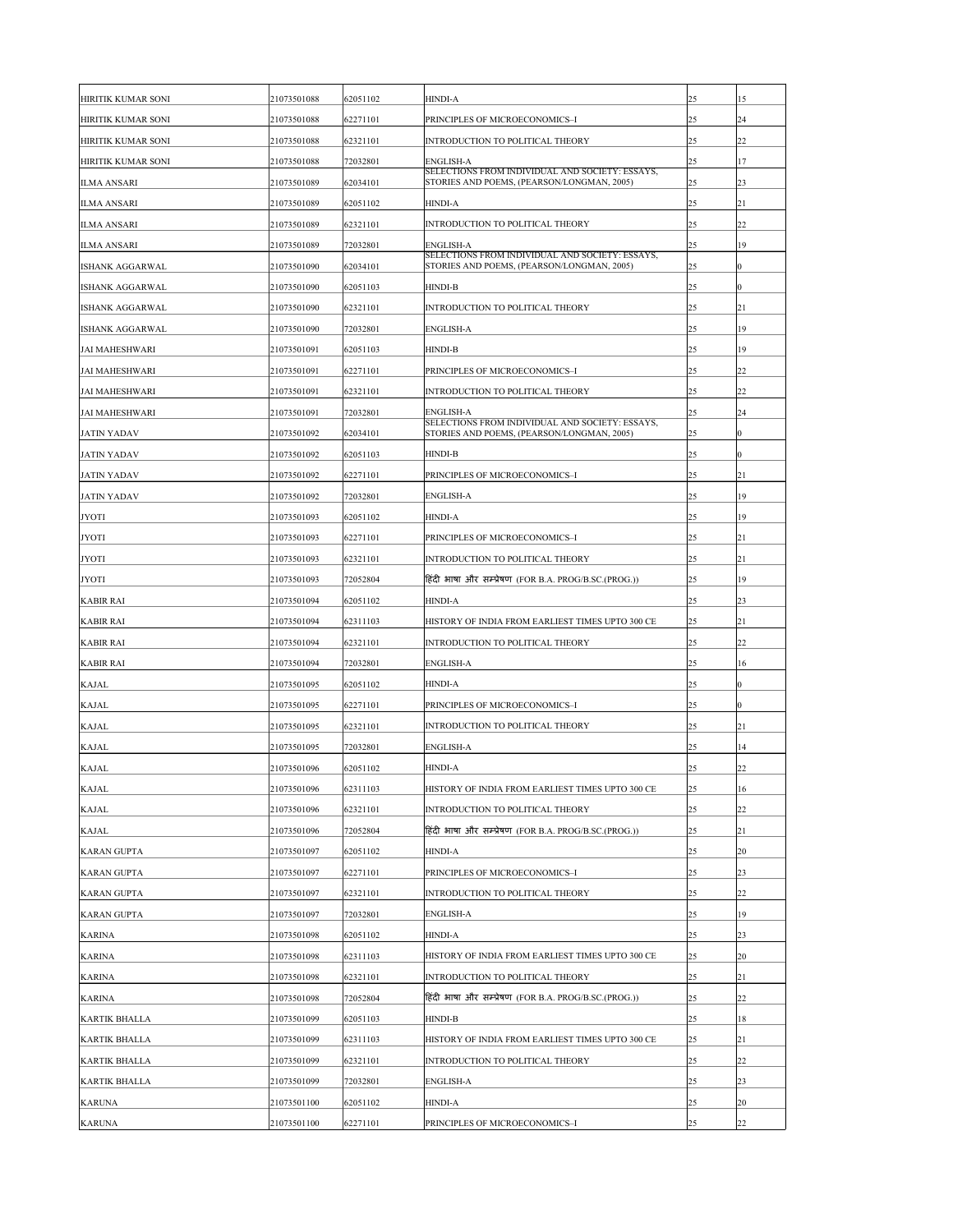| HIRITIK KUMAR SONI             | 21073501088                | 62051102             | <b>HINDI-A</b>                                                                                | 25       | 15             |
|--------------------------------|----------------------------|----------------------|-----------------------------------------------------------------------------------------------|----------|----------------|
| HIRITIK KUMAR SONI             | 21073501088                | 62271101             | PRINCIPLES OF MICROECONOMICS-I                                                                | 25       | 24             |
| HIRITIK KUMAR SONI             | 21073501088                | 62321101             | INTRODUCTION TO POLITICAL THEORY                                                              | 25       | 22             |
| HIRITIK KUMAR SONI             | 21073501088                | 72032801             | <b>ENGLISH-A</b>                                                                              | 25       | 17             |
| <b>ILMA ANSARI</b>             | 21073501089                | 62034101             | SELECTIONS FROM INDIVIDUAL AND SOCIETY: ESSAYS,<br>STORIES AND POEMS, (PEARSON/LONGMAN, 2005) | 25       | 23             |
| <b>ILMA ANSARI</b>             | 21073501089                | 62051102             | <b>HINDI-A</b>                                                                                | 25       | 21             |
| <b>ILMA ANSARI</b>             | 21073501089                | 62321101             | INTRODUCTION TO POLITICAL THEORY                                                              | 25       | 22             |
| <b>ILMA ANSARI</b>             | 21073501089                | 72032801             | <b>ENGLISH-A</b>                                                                              | 25       | 19             |
| <b>ISHANK AGGARWAL</b>         | 21073501090                | 62034101             | SELECTIONS FROM INDIVIDUAL AND SOCIETY: ESSAYS,<br>STORIES AND POEMS, (PEARSON/LONGMAN, 2005) | 25       | 0              |
| <b>ISHANK AGGARWAL</b>         | 21073501090                | 62051103             | <b>HINDI-B</b>                                                                                | 25       | 0              |
| <b>ISHANK AGGARWAL</b>         | 21073501090                | 62321101             | INTRODUCTION TO POLITICAL THEORY                                                              | 25       | 21             |
| <b>ISHANK AGGARWAL</b>         | 21073501090                | 72032801             | <b>ENGLISH-A</b>                                                                              | 25       | 19             |
| <b>JAI MAHESHWARI</b>          | 21073501091                | 62051103             | <b>HINDI-B</b>                                                                                | 25       | 19             |
| <b>JAI MAHESHWARI</b>          | 21073501091                | 62271101             | PRINCIPLES OF MICROECONOMICS-I                                                                | 25       | 22             |
| <b>JAI MAHESHWARI</b>          | 21073501091                | 62321101             | INTRODUCTION TO POLITICAL THEORY                                                              | 25       | 22             |
| <b>JAI MAHESHWARI</b>          | 21073501091                | 72032801             | <b>ENGLISH-A</b>                                                                              | 25       | 24             |
| <b>JATIN YADAV</b>             | 21073501092                | 62034101             | SELECTIONS FROM INDIVIDUAL AND SOCIETY: ESSAYS,<br>STORIES AND POEMS, (PEARSON/LONGMAN, 2005) | 25       | $\overline{0}$ |
| <b>JATIN YADAV</b>             | 21073501092                | 62051103             | <b>HINDI-B</b>                                                                                | 25       | $\theta$       |
| <b>JATIN YADAV</b>             | 21073501092                | 62271101             | PRINCIPLES OF MICROECONOMICS-I                                                                | 25       | 21             |
| <b>JATIN YADAV</b>             | 21073501092                | 72032801             | <b>ENGLISH-A</b>                                                                              | 25       | 19             |
| <b>JYOTI</b>                   | 21073501093                | 62051102             | <b>HINDI-A</b>                                                                                | 25       | 19             |
| <b>JYOTI</b>                   | 21073501093                | 62271101             | PRINCIPLES OF MICROECONOMICS-I                                                                | 25       | 21             |
| <b>JYOTI</b>                   | 21073501093                | 62321101             | INTRODUCTION TO POLITICAL THEORY                                                              | 25       | 21             |
| <b>JYOTI</b>                   | 21073501093                | 72052804             | हिंदी भाषा और सम्प्रेषण (FOR B.A. PROG/B.SC.(PROG.))                                          | 25       | 19             |
| <b>KABIR RAI</b>               | 21073501094                | 62051102             | <b>HINDI-A</b>                                                                                | 25       | 23             |
| <b>KABIR RAI</b>               | 21073501094                | 62311103             | HISTORY OF INDIA FROM EARLIEST TIMES UPTO 300 CE                                              | 25       | 21             |
| <b>KABIR RAI</b>               | 21073501094                | 62321101             | INTRODUCTION TO POLITICAL THEORY                                                              | 25       | 22             |
| <b>KABIR RAI</b>               | 21073501094                | 72032801             | <b>ENGLISH-A</b>                                                                              | 25       | 16             |
| <b>KAJAL</b>                   | 21073501095                | 62051102             | <b>HINDI-A</b>                                                                                | 25       | $\overline{0}$ |
| <b>KAJAL</b>                   | 21073501095                | 62271101             | PRINCIPLES OF MICROECONOMICS-I                                                                | 25       | 0              |
| <b>KAJAL</b>                   | 21073501095                | 62321101             | INTRODUCTION TO POLITICAL THEORY                                                              | 25       | 21             |
| <b>KAJAL</b>                   | 21073501095                | 72032801             | <b>ENGLISH-A</b>                                                                              | 25       | 14             |
| <b>KAJAL</b>                   | 21073501096                | 62051102             | <b>HINDI-A</b>                                                                                | 25       | 22             |
| <b>KAJAL</b>                   | 21073501096                | 62311103             | HISTORY OF INDIA FROM EARLIEST TIMES UPTO 300 CE                                              | 25       | 16             |
| <b>KAJAL</b>                   | 21073501096                | 62321101             | <b>INTRODUCTION TO POLITICAL THEORY</b>                                                       | 25       | 22             |
| <b>KAJAL</b>                   | 21073501096                | 72052804             | हिंदी भाषा और सम्प्रेषण (FOR B.A. PROG/B.SC.(PROG.))                                          | 25       | 21             |
| <b>KARAN GUPTA</b>             | 21073501097                | 62051102             | <b>HINDI-A</b>                                                                                | 25       | 20             |
| <b>KARAN GUPTA</b>             | 21073501097                | 62271101             | PRINCIPLES OF MICROECONOMICS-I                                                                | 25       | 23             |
| <b>KARAN GUPTA</b>             | 21073501097                | 62321101             | INTRODUCTION TO POLITICAL THEORY                                                              | 25       | 22             |
| <b>KARAN GUPTA</b>             | 21073501097                | 72032801             | <b>ENGLISH-A</b>                                                                              | 25       | 19             |
| <b>KARINA</b>                  | 21073501098                | 62051102             | <b>HINDI-A</b>                                                                                | 25       | 23             |
| <b>KARINA</b>                  | 21073501098                | 62311103             | HISTORY OF INDIA FROM EARLIEST TIMES UPTO 300 CE                                              | 25       | 20             |
|                                |                            |                      |                                                                                               |          |                |
| <b>KARINA</b><br><b>KARINA</b> | 21073501098<br>21073501098 | 62321101<br>72052804 | INTRODUCTION TO POLITICAL THEORY<br>हिंदी भाषा और सम्प्रेषण (FOR B.A. PROG/B.SC.(PROG.))      | 25<br>25 | 21<br>22       |
|                                |                            |                      |                                                                                               |          |                |
| <b>KARTIK BHALLA</b>           | 21073501099                | 62051103             | <b>HINDI-B</b>                                                                                | 25       | 18             |
| <b>KARTIK BHALLA</b>           | 21073501099                | 62311103             | HISTORY OF INDIA FROM EARLIEST TIMES UPTO 300 CE                                              | 25       | 21             |
| <b>KARTIK BHALLA</b>           | 21073501099                | 62321101             | INTRODUCTION TO POLITICAL THEORY                                                              | 25       | 22             |
| <b>KARTIK BHALLA</b>           | 21073501099                | 72032801             | <b>ENGLISH-A</b>                                                                              | 25       | 23             |
| <b>KARUNA</b>                  | 21073501100                | 62051102             | <b>HINDI-A</b>                                                                                | 25       | 20             |
| <b>KARUNA</b>                  | 21073501100                | 62271101             | PRINCIPLES OF MICROECONOMICS-I                                                                | 25       | 22             |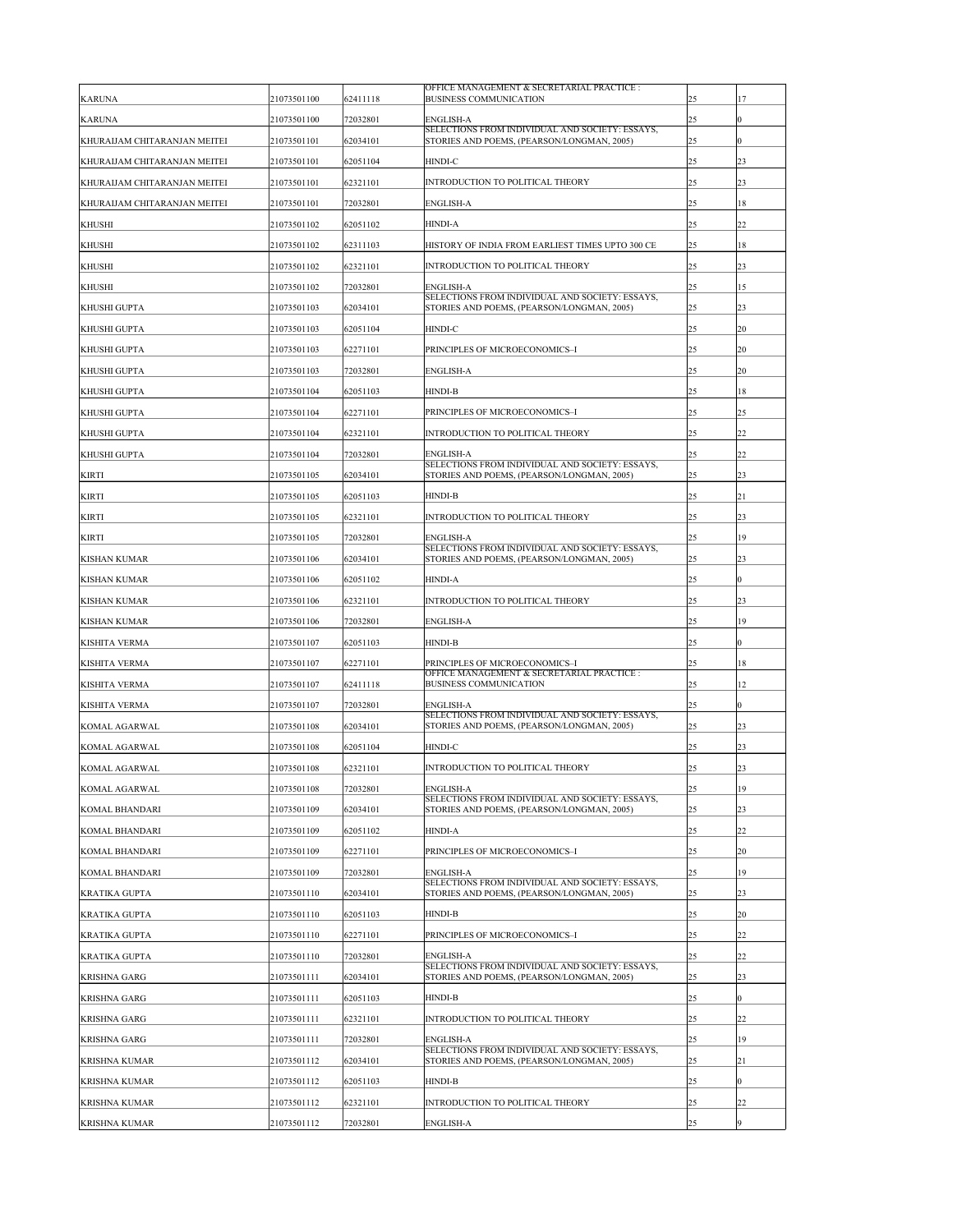| <b>KARUNA</b>                | 21073501100 | 62411118 | OFFICE MANAGEMENT & SECRETARIAL PRACTICE :<br><b>BUSINESS COMMUNICATION</b>                   | 25 | 17               |
|------------------------------|-------------|----------|-----------------------------------------------------------------------------------------------|----|------------------|
| <b>KARUNA</b>                | 21073501100 | 72032801 | <b>ENGLISH-A</b>                                                                              | 25 | $\overline{0}$   |
| KHURAIJAM CHITARANJAN MEITEI | 21073501101 | 62034101 | SELECTIONS FROM INDIVIDUAL AND SOCIETY: ESSAYS,<br>STORIES AND POEMS, (PEARSON/LONGMAN, 2005) | 25 | $\overline{0}$   |
| KHURAIJAM CHITARANJAN MEITEI | 21073501101 | 62051104 | HINDI-C                                                                                       | 25 | 23               |
| KHURAIJAM CHITARANJAN MEITEI | 21073501101 | 62321101 | <b>INTRODUCTION TO POLITICAL THEORY</b>                                                       | 25 | 23               |
| KHURAIJAM CHITARANJAN MEITEI | 21073501101 | 72032801 | <b>ENGLISH-A</b>                                                                              | 25 | 18               |
| <b>KHUSHI</b>                | 21073501102 | 62051102 | <b>HINDI-A</b>                                                                                | 25 | 22               |
| <b>KHUSHI</b>                | 21073501102 | 62311103 | HISTORY OF INDIA FROM EARLIEST TIMES UPTO 300 CE                                              | 25 | 18               |
| <b>KHUSHI</b>                | 21073501102 | 62321101 | INTRODUCTION TO POLITICAL THEORY                                                              | 25 | 23               |
| <b>KHUSHI</b>                | 21073501102 | 72032801 | <b>ENGLISH-A</b>                                                                              | 25 | 15               |
| <b>KHUSHI GUPTA</b>          | 21073501103 | 62034101 | SELECTIONS FROM INDIVIDUAL AND SOCIETY: ESSAYS,<br>STORIES AND POEMS, (PEARSON/LONGMAN, 2005) | 25 | 23               |
| <b>KHUSHI GUPTA</b>          | 21073501103 | 62051104 | <b>HINDI-C</b>                                                                                | 25 | 20               |
| <b>KHUSHI GUPTA</b>          | 21073501103 | 62271101 | PRINCIPLES OF MICROECONOMICS-I                                                                | 25 | 20               |
| <b>KHUSHI GUPTA</b>          | 21073501103 | 72032801 | <b>ENGLISH-A</b>                                                                              | 25 | 20               |
| <b>KHUSHI GUPTA</b>          | 21073501104 | 62051103 | <b>HINDI-B</b>                                                                                | 25 | 18               |
| KHUSHI GUPTA                 | 21073501104 | 62271101 | PRINCIPLES OF MICROECONOMICS-I                                                                | 25 | 25               |
| <b>KHUSHI GUPTA</b>          | 21073501104 | 62321101 | <b>INTRODUCTION TO POLITICAL THEORY</b>                                                       | 25 | 22               |
| <b>KHUSHI GUPTA</b>          | 21073501104 | 72032801 | <b>ENGLISH-A</b>                                                                              | 25 | 22               |
| <b>KIRTI</b>                 | 21073501105 | 62034101 | SELECTIONS FROM INDIVIDUAL AND SOCIETY: ESSAYS,<br>STORIES AND POEMS, (PEARSON/LONGMAN, 2005) | 25 | 23               |
| <b>KIRTI</b>                 | 21073501105 | 62051103 | <b>HINDI-B</b>                                                                                | 25 | 21               |
| <b>KIRTI</b>                 | 21073501105 | 62321101 | <b>INTRODUCTION TO POLITICAL THEORY</b>                                                       | 25 | 23               |
| <b>KIRTI</b>                 | 21073501105 | 72032801 | <b>ENGLISH-A</b>                                                                              | 25 | 19               |
| <b>KISHAN KUMAR</b>          | 21073501106 | 62034101 | SELECTIONS FROM INDIVIDUAL AND SOCIETY: ESSAYS,<br>STORIES AND POEMS, (PEARSON/LONGMAN, 2005) | 25 | 23               |
| <b>KISHAN KUMAR</b>          | 21073501106 | 62051102 | <b>HINDI-A</b>                                                                                | 25 | $\boldsymbol{0}$ |
| <b>KISHAN KUMAR</b>          | 21073501106 | 62321101 | <b>INTRODUCTION TO POLITICAL THEORY</b>                                                       | 25 | 23               |
| <b>KISHAN KUMAR</b>          | 21073501106 | 72032801 | <b>ENGLISH-A</b>                                                                              | 25 | 19               |
| <b>KISHITA VERMA</b>         | 21073501107 | 62051103 | <b>HINDI-B</b>                                                                                | 25 | $\overline{0}$   |
| <b>KISHITA VERMA</b>         | 21073501107 | 62271101 | PRINCIPLES OF MICROECONOMICS-I                                                                | 25 | 18               |
| <b>KISHITA VERMA</b>         | 21073501107 | 62411118 | OFFICE MANAGEMENT & SECRETARIAL PRACTICE :<br><b>BUSINESS COMMUNICATION</b>                   | 25 | 12               |
| <b>KISHITA VERMA</b>         | 21073501107 | 72032801 | <b>ENGLISH-A</b>                                                                              | 25 | $\overline{0}$   |
| <b>KOMAL AGARWAL</b>         | 21073501108 | 62034101 | SELECTIONS FROM INDIVIDUAL AND SOCIETY: ESSAYS,<br>STORIES AND POEMS, (PEARSON/LONGMAN, 2005) | 25 | 23               |
| <b>KOMAL AGARWAL</b>         | 21073501108 | 62051104 | <b>HINDI-C</b>                                                                                | 25 | 23               |
| <b>KOMAL AGARWAL</b>         | 21073501108 | 62321101 | INTRODUCTION TO POLITICAL THEORY                                                              | 25 | 23               |
| <b>KOMAL AGARWAL</b>         | 21073501108 | 72032801 | <b>ENGLISH-A</b>                                                                              | 25 | 19               |
| <b>KOMAL BHANDARI</b>        | 21073501109 | 62034101 | SELECTIONS FROM INDIVIDUAL AND SOCIETY: ESSAYS,<br>STORIES AND POEMS, (PEARSON/LONGMAN, 2005) | 25 | 23               |
| <b>KOMAL BHANDARI</b>        | 21073501109 | 62051102 | <b>HINDI-A</b>                                                                                | 25 | 22               |
| <b>KOMAL BHANDARI</b>        | 21073501109 | 62271101 | PRINCIPLES OF MICROECONOMICS-I                                                                | 25 | 20               |
| <b>KOMAL BHANDARI</b>        | 21073501109 | 72032801 | <b>ENGLISH-A</b>                                                                              | 25 | 19               |
| <b>KRATIKA GUPTA</b>         | 21073501110 | 62034101 | SELECTIONS FROM INDIVIDUAL AND SOCIETY: ESSAYS,<br>STORIES AND POEMS, (PEARSON/LONGMAN, 2005) | 25 | 23               |
| <b>KRATIKA GUPTA</b>         | 21073501110 | 62051103 | <b>HINDI-B</b>                                                                                | 25 | 20               |
| <b>KRATIKA GUPTA</b>         | 21073501110 | 62271101 | PRINCIPLES OF MICROECONOMICS-I                                                                | 25 | 22               |
| <b>KRATIKA GUPTA</b>         | 21073501110 | 72032801 | <b>ENGLISH-A</b>                                                                              | 25 | 22               |
| <b>KRISHNA GARG</b>          | 21073501111 | 62034101 | SELECTIONS FROM INDIVIDUAL AND SOCIETY: ESSAYS,<br>STORIES AND POEMS, (PEARSON/LONGMAN, 2005) | 25 | 23               |
| <b>KRISHNA GARG</b>          | 21073501111 | 62051103 | <b>HINDI-B</b>                                                                                | 25 | $\overline{0}$   |
| <b>KRISHNA GARG</b>          | 21073501111 | 62321101 | <b>INTRODUCTION TO POLITICAL THEORY</b>                                                       | 25 | 22               |
| <b>KRISHNA GARG</b>          | 21073501111 | 72032801 | <b>ENGLISH-A</b>                                                                              | 25 | 19               |
| <b>KRISHNA KUMAR</b>         | 21073501112 | 62034101 | SELECTIONS FROM INDIVIDUAL AND SOCIETY: ESSAYS,<br>STORIES AND POEMS, (PEARSON/LONGMAN, 2005) | 25 | 21               |
| <b>KRISHNA KUMAR</b>         | 21073501112 | 62051103 | <b>HINDI-B</b>                                                                                | 25 | $\boldsymbol{0}$ |
| <b>KRISHNA KUMAR</b>         | 21073501112 | 62321101 | <b>INTRODUCTION TO POLITICAL THEORY</b>                                                       | 25 | 22               |
| <b>KRISHNA KUMAR</b>         | 21073501112 | 72032801 | <b>ENGLISH-A</b>                                                                              | 25 | 9                |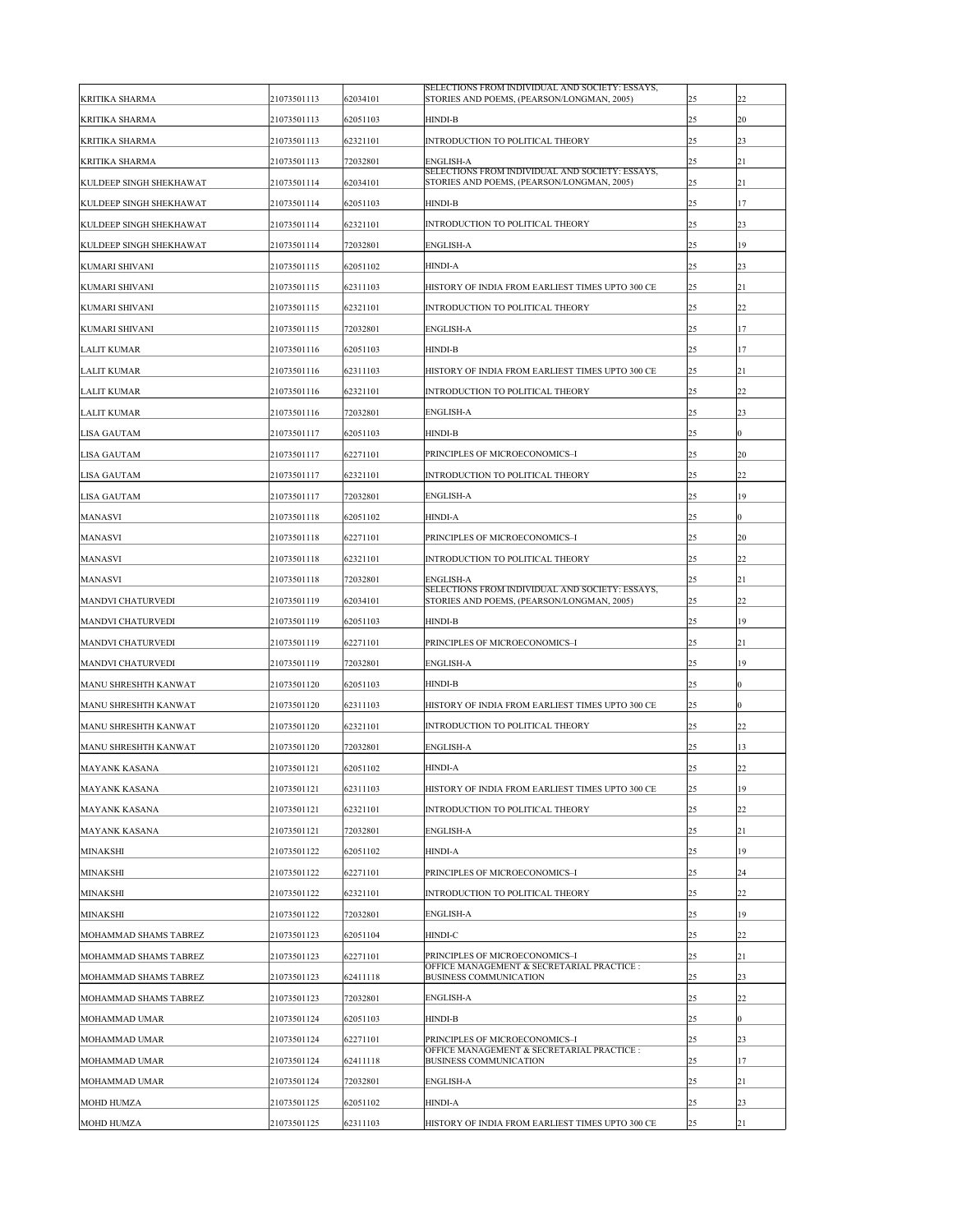| <b>KRITIKA SHARMA</b>          | 21073501113 | 62034101 | SELECTIONS FROM INDIVIDUAL AND SOCIETY: ESSAYS,<br>STORIES AND POEMS, (PEARSON/LONGMAN, 2005) | 25 | 22               |
|--------------------------------|-------------|----------|-----------------------------------------------------------------------------------------------|----|------------------|
| <b>KRITIKA SHARMA</b>          | 21073501113 | 62051103 | <b>HINDI-B</b>                                                                                | 25 | 20               |
| <b>KRITIKA SHARMA</b>          | 21073501113 | 62321101 | INTRODUCTION TO POLITICAL THEORY                                                              | 25 | 23               |
| <b>KRITIKA SHARMA</b>          | 21073501113 | 72032801 | <b>ENGLISH-A</b>                                                                              | 25 | 21               |
| <b>KULDEEP SINGH SHEKHAWAT</b> | 21073501114 | 62034101 | SELECTIONS FROM INDIVIDUAL AND SOCIETY: ESSAYS,<br>STORIES AND POEMS, (PEARSON/LONGMAN, 2005) | 25 | 21               |
| <b>KULDEEP SINGH SHEKHAWAT</b> | 21073501114 | 62051103 | <b>HINDI-B</b>                                                                                | 25 | 17               |
| <b>KULDEEP SINGH SHEKHAWAT</b> | 21073501114 | 62321101 | <b>INTRODUCTION TO POLITICAL THEORY</b>                                                       | 25 | 23               |
| <b>KULDEEP SINGH SHEKHAWAT</b> | 21073501114 | 72032801 | <b>ENGLISH-A</b>                                                                              | 25 | 19               |
| <b>KUMARI SHIVANI</b>          | 21073501115 | 62051102 | <b>HINDI-A</b>                                                                                | 25 | 23               |
| KUMARI SHIVANI                 | 21073501115 | 62311103 | HISTORY OF INDIA FROM EARLIEST TIMES UPTO 300 CE                                              | 25 | 21               |
| <b>KUMARI SHIVANI</b>          | 21073501115 | 62321101 | INTRODUCTION TO POLITICAL THEORY                                                              | 25 | 22               |
| <b>KUMARI SHIVANI</b>          | 21073501115 | 72032801 | <b>ENGLISH-A</b>                                                                              | 25 | 17               |
| <b>LALIT KUMAR</b>             | 21073501116 | 62051103 | <b>HINDI-B</b>                                                                                | 25 | 17               |
| <b>LALIT KUMAR</b>             | 21073501116 | 62311103 | HISTORY OF INDIA FROM EARLIEST TIMES UPTO 300 CE                                              | 25 | 21               |
| <b>LALIT KUMAR</b>             | 21073501116 | 62321101 | INTRODUCTION TO POLITICAL THEORY                                                              | 25 | 22               |
| <b>LALIT KUMAR</b>             | 21073501116 | 72032801 | <b>ENGLISH-A</b>                                                                              | 25 | $ 23\rangle$     |
| <b>LISA GAUTAM</b>             | 21073501117 | 62051103 | <b>HINDI-B</b>                                                                                | 25 | $\mathbf{0}$     |
| <b>LISA GAUTAM</b>             | 21073501117 | 62271101 | PRINCIPLES OF MICROECONOMICS-I                                                                | 25 | 20               |
| <b>LISA GAUTAM</b>             | 21073501117 | 62321101 | INTRODUCTION TO POLITICAL THEORY                                                              | 25 | 22               |
| <b>LISA GAUTAM</b>             | 21073501117 | 72032801 | <b>ENGLISH-A</b>                                                                              | 25 | 19               |
| <b>MANASVI</b>                 | 21073501118 | 62051102 | <b>HINDI-A</b>                                                                                | 25 | $\overline{0}$   |
| <b>MANASVI</b>                 | 21073501118 | 62271101 | PRINCIPLES OF MICROECONOMICS-I                                                                | 25 | 20               |
| <b>MANASVI</b>                 | 21073501118 | 62321101 | INTRODUCTION TO POLITICAL THEORY                                                              | 25 | 22               |
| <b>MANASVI</b>                 | 21073501118 | 72032801 | <b>ENGLISH-A</b>                                                                              | 25 | 21               |
| <b>MANDVI CHATURVEDI</b>       | 21073501119 | 62034101 | SELECTIONS FROM INDIVIDUAL AND SOCIETY: ESSAYS,<br>STORIES AND POEMS, (PEARSON/LONGMAN, 2005) | 25 | 22               |
| <b>MANDVI CHATURVEDI</b>       | 21073501119 | 62051103 | <b>HINDI-B</b>                                                                                | 25 | 19               |
| <b>MANDVI CHATURVEDI</b>       | 21073501119 | 62271101 | PRINCIPLES OF MICROECONOMICS-I                                                                | 25 | 21               |
| <b>MANDVI CHATURVEDI</b>       | 21073501119 | 72032801 | <b>ENGLISH-A</b>                                                                              | 25 | 19               |
| MANU SHRESHTH KANWAT           | 21073501120 | 62051103 | <b>HINDI-B</b>                                                                                | 25 | $\boldsymbol{0}$ |
| MANU SHRESHTH KANWAT           | 21073501120 | 62311103 | HISTORY OF INDIA FROM EARLIEST TIMES UPTO 300 CE                                              | 25 | $\overline{0}$   |
| MANU SHRESHTH KANWAT           | 21073501120 | 62321101 | INTRODUCTION TO POLITICAL THEORY                                                              | 25 | 22               |
| MANU SHRESHTH KANWAT           | 21073501120 | 72032801 | <b>ENGLISH-A</b>                                                                              | 25 | 13               |
| <b>MAYANK KASANA</b>           | 21073501121 | 62051102 | <b>HINDI-A</b>                                                                                | 25 | 22               |
| <b>MAYANK KASANA</b>           | 21073501121 | 62311103 | HISTORY OF INDIA FROM EARLIEST TIMES UPTO 300 CE                                              | 25 | 19               |
| <b>MAYANK KASANA</b>           | 21073501121 | 62321101 | INTRODUCTION TO POLITICAL THEORY                                                              | 25 | 22               |
| <b>MAYANK KASANA</b>           | 21073501121 | 72032801 | <b>ENGLISH-A</b>                                                                              | 25 | 21               |
| <b>MINAKSHI</b>                | 21073501122 | 62051102 | <b>HINDI-A</b>                                                                                | 25 | 19               |
| <b>MINAKSHI</b>                | 21073501122 | 62271101 | PRINCIPLES OF MICROECONOMICS-I                                                                | 25 | 24               |
| <b>MINAKSHI</b>                | 21073501122 | 62321101 | <b>INTRODUCTION TO POLITICAL THEORY</b>                                                       | 25 | 22               |
| <b>MINAKSHI</b>                | 21073501122 | 72032801 | <b>ENGLISH-A</b>                                                                              | 25 | 19               |
| MOHAMMAD SHAMS TABREZ          | 21073501123 | 62051104 | <b>HINDI-C</b>                                                                                | 25 | 22               |
| MOHAMMAD SHAMS TABREZ          | 21073501123 | 62271101 | PRINCIPLES OF MICROECONOMICS-I                                                                | 25 | 21               |
| MOHAMMAD SHAMS TABREZ          | 21073501123 | 62411118 | OFFICE MANAGEMENT & SECRETARIAL PRACTICE :<br><b>BUSINESS COMMUNICATION</b>                   | 25 | 23               |
| <b>MOHAMMAD SHAMS TABREZ</b>   | 21073501123 | 72032801 | <b>ENGLISH-A</b>                                                                              | 25 | 22               |
| <b>MOHAMMAD UMAR</b>           | 21073501124 | 62051103 | <b>HINDI-B</b>                                                                                | 25 | $\overline{0}$   |
| <b>MOHAMMAD UMAR</b>           | 21073501124 | 62271101 | PRINCIPLES OF MICROECONOMICS-I                                                                | 25 | 23               |
| MOHAMMAD UMAR                  | 21073501124 | 62411118 | OFFICE MANAGEMENT & SECRETARIAL PRACTICE :<br><b>BUSINESS COMMUNICATION</b>                   | 25 | 17               |
| <b>MOHAMMAD UMAR</b>           | 21073501124 | 72032801 | <b>ENGLISH-A</b>                                                                              | 25 | 21               |
| <b>MOHD HUMZA</b>              | 21073501125 | 62051102 | <b>HINDI-A</b>                                                                                | 25 | 23               |
| <b>MOHD HUMZA</b>              | 21073501125 | 62311103 | HISTORY OF INDIA FROM EARLIEST TIMES UPTO 300 CE                                              | 25 | 21               |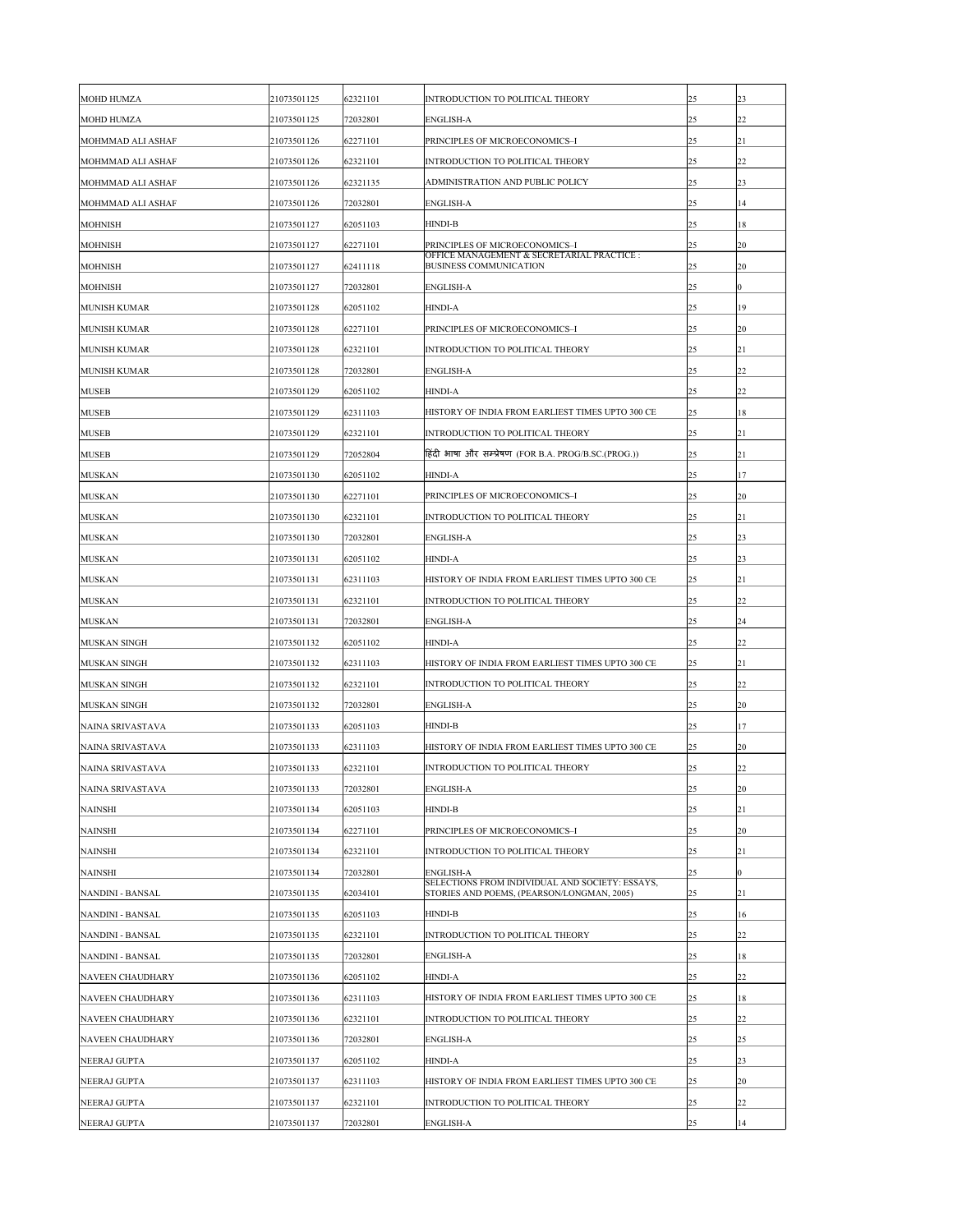| <b>MOHD HUMZA</b>        | 21073501125 | 62321101 | <b>INTRODUCTION TO POLITICAL THEORY</b>                                                       | 25 | $ 23\rangle$   |
|--------------------------|-------------|----------|-----------------------------------------------------------------------------------------------|----|----------------|
| <b>MOHD HUMZA</b>        | 21073501125 | 72032801 | <b>ENGLISH-A</b>                                                                              | 25 | 22             |
| <b>MOHMMAD ALI ASHAF</b> | 21073501126 | 62271101 | PRINCIPLES OF MICROECONOMICS-I                                                                | 25 | 21             |
| MOHMMAD ALI ASHAF        | 21073501126 | 62321101 | INTRODUCTION TO POLITICAL THEORY                                                              | 25 | 22             |
| MOHMMAD ALI ASHAF        | 21073501126 | 62321135 | ADMINISTRATION AND PUBLIC POLICY                                                              | 25 | $ 23\rangle$   |
| MOHMMAD ALI ASHAF        | 21073501126 | 72032801 | <b>ENGLISH-A</b>                                                                              | 25 | 14             |
| <b>MOHNISH</b>           | 21073501127 | 62051103 | <b>HINDI-B</b>                                                                                | 25 | 18             |
| <b>MOHNISH</b>           | 21073501127 | 62271101 | PRINCIPLES OF MICROECONOMICS-I                                                                | 25 | <b>20</b>      |
| <b>MOHNISH</b>           | 21073501127 | 62411118 | OFFICE MANAGEMENT & SECRETARIAL PRACTICE :<br><b>BUSINESS COMMUNICATION</b>                   | 25 | 20             |
| <b>MOHNISH</b>           | 21073501127 | 72032801 | <b>ENGLISH-A</b>                                                                              | 25 | $\overline{0}$ |
| <b>MUNISH KUMAR</b>      | 21073501128 | 62051102 | <b>HINDI-A</b>                                                                                | 25 | 19             |
| <b>MUNISH KUMAR</b>      | 21073501128 | 62271101 | PRINCIPLES OF MICROECONOMICS-I                                                                | 25 | <b>20</b>      |
| <b>MUNISH KUMAR</b>      | 21073501128 | 62321101 | <b>INTRODUCTION TO POLITICAL THEORY</b>                                                       | 25 | 21             |
| <b>MUNISH KUMAR</b>      | 21073501128 | 72032801 | <b>ENGLISH-A</b>                                                                              | 25 | 22             |
| <b>MUSEB</b>             | 21073501129 | 62051102 | <b>HINDI-A</b>                                                                                | 25 | 22             |
| <b>MUSEB</b>             | 21073501129 | 62311103 | HISTORY OF INDIA FROM EARLIEST TIMES UPTO 300 CE                                              | 25 | 18             |
| <b>MUSEB</b>             | 21073501129 | 62321101 | INTRODUCTION TO POLITICAL THEORY                                                              | 25 | 21             |
| <b>MUSEB</b>             | 21073501129 | 72052804 | हिंदी भाषा और सम्प्रेषण (FOR B.A. PROG/B.SC.(PROG.))                                          | 25 | 21             |
| <b>MUSKAN</b>            | 21073501130 | 62051102 | <b>HINDI-A</b>                                                                                | 25 | 17             |
| <b>MUSKAN</b>            | 21073501130 | 62271101 | PRINCIPLES OF MICROECONOMICS-I                                                                | 25 | $ 20\rangle$   |
| <b>MUSKAN</b>            | 21073501130 | 62321101 | INTRODUCTION TO POLITICAL THEORY                                                              | 25 | 21             |
| <b>MUSKAN</b>            | 21073501130 | 72032801 | <b>ENGLISH-A</b>                                                                              | 25 | $ 23\rangle$   |
| <b>MUSKAN</b>            | 21073501131 | 62051102 | <b>HINDI-A</b>                                                                                | 25 | $ 23\rangle$   |
| <b>MUSKAN</b>            | 21073501131 | 62311103 | HISTORY OF INDIA FROM EARLIEST TIMES UPTO 300 CE                                              | 25 | 21             |
| <b>MUSKAN</b>            | 21073501131 | 62321101 | INTRODUCTION TO POLITICAL THEORY                                                              | 25 | 22             |
| <b>MUSKAN</b>            | 21073501131 | 72032801 | <b>ENGLISH-A</b>                                                                              | 25 | 24             |
| <b>MUSKAN SINGH</b>      | 21073501132 | 62051102 | <b>HINDI-A</b>                                                                                | 25 | $ 22\rangle$   |
| <b>MUSKAN SINGH</b>      | 21073501132 | 62311103 | HISTORY OF INDIA FROM EARLIEST TIMES UPTO 300 CE                                              | 25 | 21             |
| <b>MUSKAN SINGH</b>      | 21073501132 | 62321101 | INTRODUCTION TO POLITICAL THEORY                                                              | 25 | $ 22\rangle$   |
| <b>MUSKAN SINGH</b>      | 21073501132 | 72032801 | <b>ENGLISH-A</b>                                                                              | 25 | 20             |
| NAINA SRIVASTAVA         | 21073501133 | 62051103 | <b>HINDI-B</b>                                                                                | 25 | 17             |
| NAINA SRIVASTAVA         | 21073501133 | 62311103 | HISTORY OF INDIA FROM EARLIEST TIMES UPTO 300 CE                                              | 25 | 20             |
| NAINA SRIVASTAVA         | 21073501133 | 62321101 | INTRODUCTION TO POLITICAL THEORY                                                              | 25 | $ 22\rangle$   |
| NAINA SRIVASTAVA         | 21073501133 | 72032801 | <b>ENGLISH-A</b>                                                                              | 25 | 20             |
| <b>NAINSHI</b>           | 21073501134 | 62051103 | <b>HINDI-B</b>                                                                                | 25 | 21             |
| <b>NAINSHI</b>           | 21073501134 | 62271101 | PRINCIPLES OF MICROECONOMICS-I                                                                | 25 | $ 20\rangle$   |
| <b>NAINSHI</b>           | 21073501134 | 62321101 | <b>INTRODUCTION TO POLITICAL THEORY</b>                                                       | 25 | 21             |
| <b>NAINSHI</b>           | 21073501134 | 72032801 | <b>ENGLISH-A</b>                                                                              | 25 | $\overline{0}$ |
| NANDINI - BANSAL         | 21073501135 | 62034101 | SELECTIONS FROM INDIVIDUAL AND SOCIETY: ESSAYS,<br>STORIES AND POEMS, (PEARSON/LONGMAN, 2005) | 25 | 21             |
| <b>NANDINI - BANSAL</b>  | 21073501135 | 62051103 | <b>HINDI-B</b>                                                                                | 25 | 16             |
| NANDINI - BANSAL         | 21073501135 | 62321101 | INTRODUCTION TO POLITICAL THEORY                                                              | 25 | 22             |
| NANDINI - BANSAL         | 21073501135 | 72032801 | <b>ENGLISH-A</b>                                                                              | 25 | 18             |
| NAVEEN CHAUDHARY         | 21073501136 | 62051102 | <b>HINDI-A</b>                                                                                | 25 | $ 22\rangle$   |
| <b>NAVEEN CHAUDHARY</b>  | 21073501136 | 62311103 | HISTORY OF INDIA FROM EARLIEST TIMES UPTO 300 CE                                              | 25 | 18             |
| <b>NAVEEN CHAUDHARY</b>  | 21073501136 | 62321101 | <b>INTRODUCTION TO POLITICAL THEORY</b>                                                       | 25 | 22             |
| <b>NAVEEN CHAUDHARY</b>  | 21073501136 | 72032801 | <b>ENGLISH-A</b>                                                                              | 25 | $ 25\rangle$   |
| NEERAJ GUPTA             | 21073501137 | 62051102 | <b>HINDI-A</b>                                                                                | 25 | $ 23\rangle$   |
| NEERAJ GUPTA             | 21073501137 | 62311103 | HISTORY OF INDIA FROM EARLIEST TIMES UPTO 300 CE                                              | 25 | 20             |
| NEERAJ GUPTA             | 21073501137 | 62321101 | <b>INTRODUCTION TO POLITICAL THEORY</b>                                                       | 25 | 22             |
| NEERAJ GUPTA             | 21073501137 | 72032801 | <b>ENGLISH-A</b>                                                                              | 25 | 14             |
|                          |             |          |                                                                                               |    |                |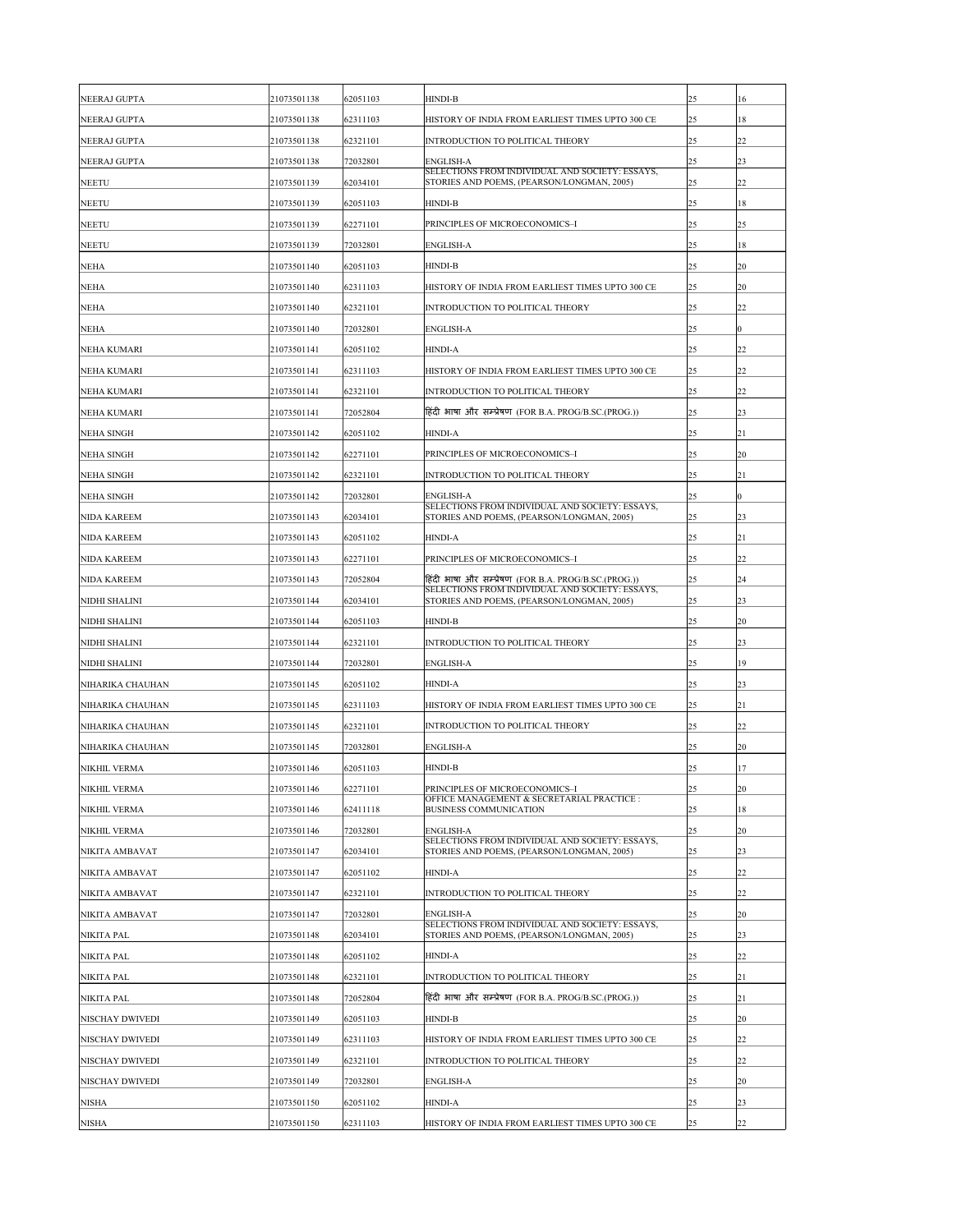| NEERAJ GUPTA         | 21073501138 | 62051103 | <b>HINDI-B</b>                                                                                | 25 | 16               |
|----------------------|-------------|----------|-----------------------------------------------------------------------------------------------|----|------------------|
| NEERAJ GUPTA         | 21073501138 | 62311103 | HISTORY OF INDIA FROM EARLIEST TIMES UPTO 300 CE                                              | 25 | 18               |
| NEERAJ GUPTA         | 21073501138 | 62321101 | <b>INTRODUCTION TO POLITICAL THEORY</b>                                                       | 25 | 22               |
| NEERAJ GUPTA         | 21073501138 | 72032801 | <b>ENGLISH-A</b>                                                                              | 25 | 23               |
| <b>NEETU</b>         | 21073501139 | 62034101 | SELECTIONS FROM INDIVIDUAL AND SOCIETY: ESSAYS,<br>STORIES AND POEMS, (PEARSON/LONGMAN, 2005) | 25 | 22               |
| <b>NEETU</b>         | 21073501139 | 62051103 | <b>HINDI-B</b>                                                                                | 25 | 18               |
| <b>NEETU</b>         | 21073501139 | 62271101 | PRINCIPLES OF MICROECONOMICS-I                                                                | 25 | $ 25\rangle$     |
| <b>NEETU</b>         | 21073501139 | 72032801 | <b>ENGLISH-A</b>                                                                              | 25 | 18               |
| <b>NEHA</b>          | 21073501140 | 62051103 | <b>HINDI-B</b>                                                                                | 25 | 20               |
| <b>NEHA</b>          | 21073501140 | 62311103 | HISTORY OF INDIA FROM EARLIEST TIMES UPTO 300 CE                                              | 25 | <b>20</b>        |
| <b>NEHA</b>          | 21073501140 | 62321101 | INTRODUCTION TO POLITICAL THEORY                                                              | 25 | 22               |
| <b>NEHA</b>          | 21073501140 | 72032801 | <b>ENGLISH-A</b>                                                                              | 25 | $\boldsymbol{0}$ |
| <b>NEHA KUMARI</b>   | 21073501141 | 62051102 | <b>HINDI-A</b>                                                                                | 25 | 22               |
| <b>NEHA KUMARI</b>   | 21073501141 | 62311103 | HISTORY OF INDIA FROM EARLIEST TIMES UPTO 300 CE                                              | 25 | 22               |
| <b>NEHA KUMARI</b>   | 21073501141 | 62321101 | INTRODUCTION TO POLITICAL THEORY                                                              | 25 | 22               |
| <b>NEHA KUMARI</b>   | 21073501141 | 72052804 | हिंदी भाषा और सम्प्रेषण (FOR B.A. PROG/B.SC.(PROG.))                                          | 25 | 23               |
| <b>NEHA SINGH</b>    | 21073501142 | 62051102 | <b>HINDI-A</b>                                                                                | 25 | 21               |
| <b>NEHA SINGH</b>    | 21073501142 | 62271101 | PRINCIPLES OF MICROECONOMICS-I                                                                | 25 | 20               |
| <b>NEHA SINGH</b>    | 21073501142 | 62321101 | INTRODUCTION TO POLITICAL THEORY                                                              | 25 | 21               |
| <b>NEHA SINGH</b>    | 21073501142 | 72032801 | <b>ENGLISH-A</b>                                                                              | 25 | 0                |
| <b>NIDA KAREEM</b>   | 21073501143 | 62034101 | SELECTIONS FROM INDIVIDUAL AND SOCIETY: ESSAYS,<br>STORIES AND POEMS, (PEARSON/LONGMAN, 2005) | 25 | 23               |
| <b>NIDA KAREEM</b>   | 21073501143 | 62051102 | <b>HINDI-A</b>                                                                                | 25 | 21               |
| <b>NIDA KAREEM</b>   | 21073501143 | 62271101 | PRINCIPLES OF MICROECONOMICS-I                                                                | 25 | 22               |
| <b>NIDA KAREEM</b>   | 21073501143 | 72052804 | हिंदी भाषा और सम्प्रेषण (FOR B.A. PROG/B.SC.(PROG.))                                          | 25 | 24               |
| <b>NIDHI SHALINI</b> | 21073501144 | 62034101 | SELECTIONS FROM INDIVIDUAL AND SOCIETY: ESSAYS,<br>STORIES AND POEMS, (PEARSON/LONGMAN, 2005) | 25 | 23               |
| <b>NIDHI SHALINI</b> | 21073501144 | 62051103 | <b>HINDI-B</b>                                                                                | 25 | <b>20</b>        |
| <b>NIDHI SHALINI</b> | 21073501144 | 62321101 | INTRODUCTION TO POLITICAL THEORY                                                              | 25 | 23               |
| <b>NIDHI SHALINI</b> | 21073501144 | 72032801 | <b>ENGLISH-A</b>                                                                              | 25 | 19               |
| NIHARIKA CHAUHAN     | 21073501145 | 62051102 | <b>HINDI-A</b>                                                                                | 25 | 23               |
| NIHARIKA CHAUHAN     | 21073501145 | 62311103 | HISTORY OF INDIA FROM EARLIEST TIMES UPTO 300 CE                                              | 25 | 21               |
| NIHARIKA CHAUHAN     | 21073501145 | 62321101 | INTRODUCTION TO POLITICAL THEORY                                                              | 25 | 22               |
| NIHARIKA CHAUHAN     | 21073501145 | 72032801 | <b>ENGLISH-A</b>                                                                              | 25 | 20               |
| <b>NIKHIL VERMA</b>  | 21073501146 | 62051103 | <b>HINDI-B</b>                                                                                | 25 | 17               |
| <b>NIKHIL VERMA</b>  | 21073501146 | 62271101 | PRINCIPLES OF MICROECONOMICS-I                                                                | 25 | <b>20</b>        |
| <b>NIKHIL VERMA</b>  | 21073501146 | 62411118 | OFFICE MANAGEMENT & SECRETARIAL PRACTICE :<br><b>BUSINESS COMMUNICATION</b>                   | 25 | 18               |
| <b>NIKHIL VERMA</b>  | 21073501146 | 72032801 | <b>ENGLISH-A</b>                                                                              | 25 | 20               |
| NIKITA AMBAVAT       | 21073501147 | 62034101 | SELECTIONS FROM INDIVIDUAL AND SOCIETY: ESSAYS,<br>STORIES AND POEMS, (PEARSON/LONGMAN, 2005) | 25 | 23               |
| NIKITA AMBAVAT       | 21073501147 | 62051102 | <b>HINDI-A</b>                                                                                | 25 | 22               |
| NIKITA AMBAVAT       | 21073501147 | 62321101 | <b>INTRODUCTION TO POLITICAL THEORY</b>                                                       | 25 | 22               |
| NIKITA AMBAVAT       | 21073501147 | 72032801 | <b>ENGLISH-A</b>                                                                              | 25 | 20               |
| NIKITA PAL           | 21073501148 | 62034101 | SELECTIONS FROM INDIVIDUAL AND SOCIETY: ESSAYS,<br>STORIES AND POEMS, (PEARSON/LONGMAN, 2005) | 25 | 23               |
| <b>NIKITA PAL</b>    | 21073501148 | 62051102 | <b>HINDI-A</b>                                                                                | 25 | 22               |
| <b>NIKITA PAL</b>    | 21073501148 | 62321101 | INTRODUCTION TO POLITICAL THEORY                                                              | 25 | 21               |
| <b>NIKITA PAL</b>    | 21073501148 | 72052804 | हिंदी भाषा और सम्प्रेषण (FOR B.A. PROG/B.SC.(PROG.))                                          | 25 | 21               |
| NISCHAY DWIVEDI      | 21073501149 | 62051103 | <b>HINDI-B</b>                                                                                | 25 | <b>20</b>        |
| NISCHAY DWIVEDI      | 21073501149 | 62311103 | HISTORY OF INDIA FROM EARLIEST TIMES UPTO 300 CE                                              | 25 | 22               |
| NISCHAY DWIVEDI      | 21073501149 | 62321101 | INTRODUCTION TO POLITICAL THEORY                                                              | 25 | 22               |
| NISCHAY DWIVEDI      | 21073501149 | 72032801 | <b>ENGLISH-A</b>                                                                              | 25 | 20               |
| <b>NISHA</b>         | 21073501150 | 62051102 | <b>HINDI-A</b>                                                                                | 25 | 23               |
| <b>NISHA</b>         | 21073501150 | 62311103 | HISTORY OF INDIA FROM EARLIEST TIMES UPTO 300 CE                                              | 25 | 22               |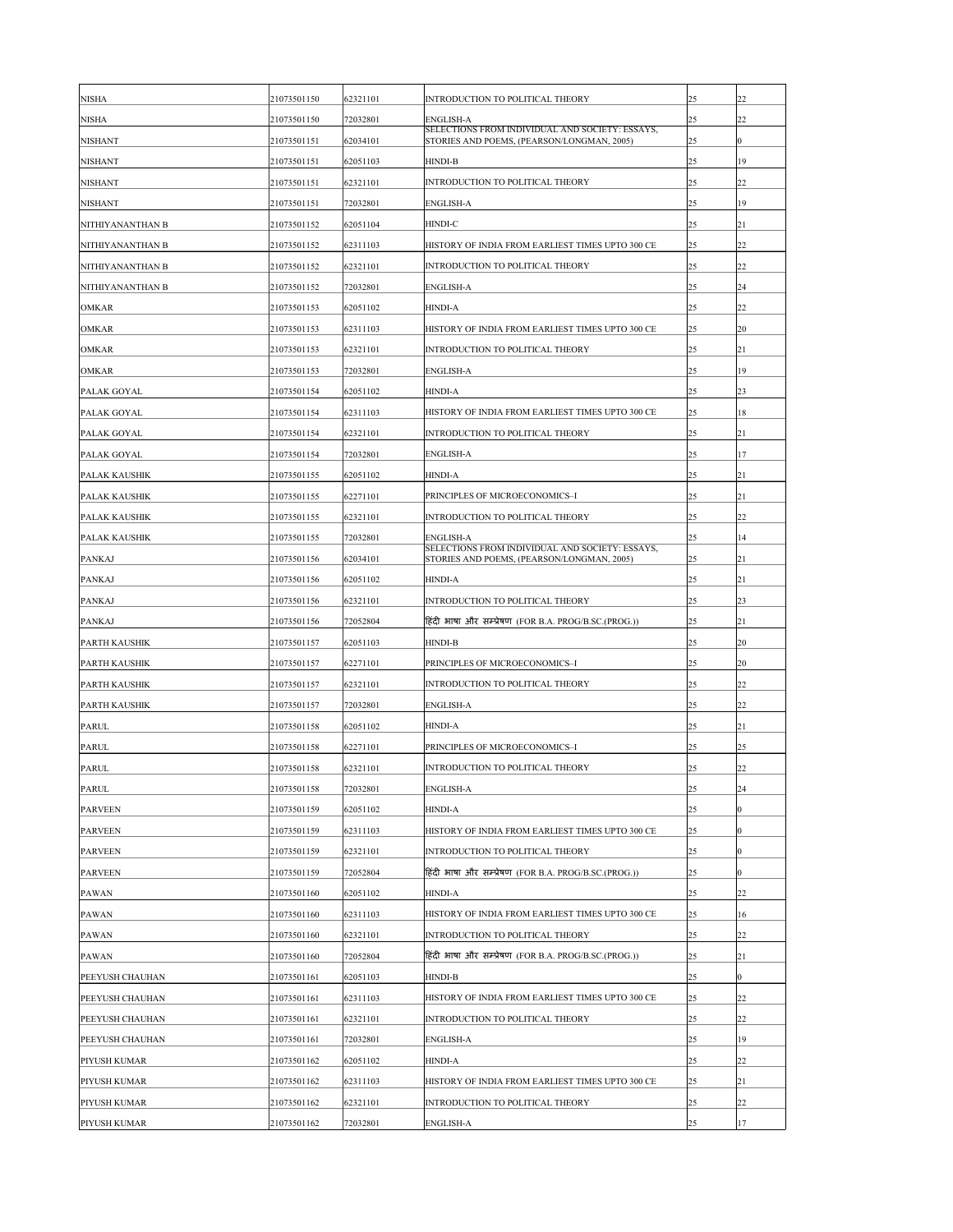| <b>NISHA</b>                       | 21073501150 | 62321101             | <b>INTRODUCTION TO POLITICAL THEORY</b>                                                       | 25       | 22                 |
|------------------------------------|-------------|----------------------|-----------------------------------------------------------------------------------------------|----------|--------------------|
| <b>NISHA</b>                       | 21073501150 | 72032801             | <b>ENGLISH-A</b><br>SELECTIONS FROM INDIVIDUAL AND SOCIETY: ESSAYS,                           | 25       | 22                 |
| <b>NISHANT</b>                     | 21073501151 | 62034101             | STORIES AND POEMS, (PEARSON/LONGMAN, 2005)                                                    | 25       | $ 0\rangle$        |
| <b>NISHANT</b>                     | 21073501151 | 62051103             | <b>HINDI-B</b>                                                                                | 25       | 19                 |
| <b>NISHANT</b>                     | 21073501151 | 62321101             | <b>INTRODUCTION TO POLITICAL THEORY</b>                                                       | 25       | $ 22\rangle$       |
| <b>NISHANT</b>                     | 21073501151 | 72032801             | <b>ENGLISH-A</b>                                                                              | 25       | 19                 |
| NITHIYANANTHAN B                   | 21073501152 | 62051104             | <b>HINDI-C</b>                                                                                | 25       | 21                 |
| NITHIYANANTHAN B                   | 21073501152 | 62311103             | HISTORY OF INDIA FROM EARLIEST TIMES UPTO 300 CE                                              | 25       | 22                 |
| NITHIYANANTHAN B                   | 21073501152 | 62321101             | INTRODUCTION TO POLITICAL THEORY                                                              | 25       | 22                 |
| NITHIYANANTHAN B                   | 21073501152 | 72032801             | <b>ENGLISH-A</b>                                                                              | 25       | 24                 |
| <b>OMKAR</b>                       | 21073501153 | 62051102             | <b>HINDI-A</b>                                                                                | 25       | 22                 |
| <b>OMKAR</b>                       | 21073501153 | 62311103             | HISTORY OF INDIA FROM EARLIEST TIMES UPTO 300 CE                                              | 25       | 20                 |
| <b>OMKAR</b>                       | 21073501153 | 62321101             | <b>INTRODUCTION TO POLITICAL THEORY</b>                                                       | 25       | 21                 |
| <b>OMKAR</b>                       | 21073501153 | 72032801             | <b>ENGLISH-A</b>                                                                              | 25       | 19                 |
| PALAK GOYAL                        | 21073501154 | 62051102             | <b>HINDI-A</b>                                                                                | 25       | $ 23\rangle$       |
| PALAK GOYAL                        | 21073501154 | 62311103             | HISTORY OF INDIA FROM EARLIEST TIMES UPTO 300 CE                                              | 25       | 18                 |
| PALAK GOYAL                        | 21073501154 | 62321101             | <b>INTRODUCTION TO POLITICAL THEORY</b>                                                       | 25       | 21                 |
| PALAK GOYAL                        | 21073501154 | 72032801             | <b>ENGLISH-A</b>                                                                              | 25       | 17                 |
| <b>PALAK KAUSHIK</b>               | 21073501155 | 62051102             | <b>HINDI-A</b>                                                                                | 25       | 21                 |
| <b>PALAK KAUSHIK</b>               | 21073501155 | 62271101             | PRINCIPLES OF MICROECONOMICS-I                                                                | 25       | 21                 |
| <b>PALAK KAUSHIK</b>               | 21073501155 | 62321101             | INTRODUCTION TO POLITICAL THEORY                                                              | 25       | 22                 |
| <b>PALAK KAUSHIK</b>               | 21073501155 | 72032801             | <b>ENGLISH-A</b>                                                                              | 25       | 14                 |
| <b>PANKAJ</b>                      | 21073501156 | 62034101             | SELECTIONS FROM INDIVIDUAL AND SOCIETY: ESSAYS,<br>STORIES AND POEMS, (PEARSON/LONGMAN, 2005) | 25       | 21                 |
| <b>PANKAJ</b>                      | 21073501156 | 62051102             | <b>HINDI-A</b>                                                                                | 25       | 21                 |
| <b>PANKAJ</b>                      | 21073501156 | 62321101             | INTRODUCTION TO POLITICAL THEORY                                                              | 25       | $ 23\rangle$       |
| <b>PANKAJ</b>                      | 21073501156 | 72052804             | हिंदी भाषा और सम्प्रेषण (FOR B.A. PROG/B.SC.(PROG.))                                          | 25       | 21                 |
| <b>PARTH KAUSHIK</b>               | 21073501157 | 62051103             | <b>HINDI-B</b>                                                                                | 25       | 20                 |
| <b>PARTH KAUSHIK</b>               | 21073501157 | 62271101             | PRINCIPLES OF MICROECONOMICS-I                                                                | 25       | 20                 |
| <b>PARTH KAUSHIK</b>               | 21073501157 | 62321101             | INTRODUCTION TO POLITICAL THEORY                                                              | 25       | 22                 |
| <b>PARTH KAUSHIK</b>               | 21073501157 | 72032801             | <b>ENGLISH-A</b>                                                                              | 25       | 22                 |
| <b>PARUL</b>                       | 21073501158 | 62051102             | <b>HINDI-A</b>                                                                                | 25       | 21                 |
| <b>PARUL</b>                       | 21073501158 | 62271101             | PRINCIPLES OF MICROECONOMICS-I                                                                | 25       | $ 25\rangle$       |
| <b>PARUL</b>                       | 21073501158 | 62321101             | INTRODUCTION TO POLITICAL THEORY                                                              | 25       | 22                 |
| <b>PARUL</b>                       | 21073501158 | 72032801             | <b>ENGLISH-A</b>                                                                              | 25       | 24                 |
| <b>PARVEEN</b>                     | 21073501159 | 62051102             | <b>HINDI-A</b>                                                                                | 25       | $ 0\rangle$        |
| <b>PARVEEN</b>                     | 21073501159 | 62311103             | HISTORY OF INDIA FROM EARLIEST TIMES UPTO 300 CE                                              | 25       | $ 0\rangle$        |
| <b>PARVEEN</b>                     | 21073501159 | 62321101             | <b>INTRODUCTION TO POLITICAL THEORY</b>                                                       | 25       | $ 0\rangle$        |
| <b>PARVEEN</b>                     | 21073501159 | 72052804             | हिंदी भाषा और सम्प्रेषण (FOR B.A. PROG/B.SC.(PROG.))                                          | 25       | $ 0\rangle$        |
| <b>PAWAN</b>                       | 21073501160 | 62051102             | <b>HINDI-A</b>                                                                                | 25       | $ 22\rangle$       |
| <b>PAWAN</b>                       | 21073501160 | 62311103             | HISTORY OF INDIA FROM EARLIEST TIMES UPTO 300 CE                                              | 25       | 16                 |
| <b>PAWAN</b>                       | 21073501160 | 62321101             | INTRODUCTION TO POLITICAL THEORY                                                              | 25       | 22                 |
| <b>PAWAN</b>                       | 21073501160 | 72052804             | हिंदी भाषा और सम्प्रेषण (FOR B.A. PROG/B.SC.(PROG.))                                          | 25       | 21                 |
|                                    |             |                      | <b>HINDI-B</b>                                                                                |          |                    |
| PEEYUSH CHAUHAN<br>PEEYUSH CHAUHAN | 21073501161 | 62051103<br>62311103 | HISTORY OF INDIA FROM EARLIEST TIMES UPTO 300 CE                                              | 25<br>25 | $ 0\rangle$<br> 22 |
|                                    | 21073501161 |                      |                                                                                               |          |                    |
| PEEYUSH CHAUHAN                    | 21073501161 | 62321101             | INTRODUCTION TO POLITICAL THEORY                                                              | 25       | $ 22\rangle$       |
| PEEYUSH CHAUHAN                    | 21073501161 | 72032801             | <b>ENGLISH-A</b>                                                                              | 25       | 19                 |
| PIYUSH KUMAR                       | 21073501162 | 62051102             | <b>HINDI-A</b>                                                                                | 25       | 22                 |
| PIYUSH KUMAR                       | 21073501162 | 62311103             | HISTORY OF INDIA FROM EARLIEST TIMES UPTO 300 CE                                              | 25       | 21                 |
| <b>PIYUSH KUMAR</b>                | 21073501162 | 62321101             | <b>INTRODUCTION TO POLITICAL THEORY</b>                                                       | 25       | $ 22\rangle$       |
| PIYUSH KUMAR                       | 21073501162 | 72032801             | <b>ENGLISH-A</b>                                                                              | 25       | 17                 |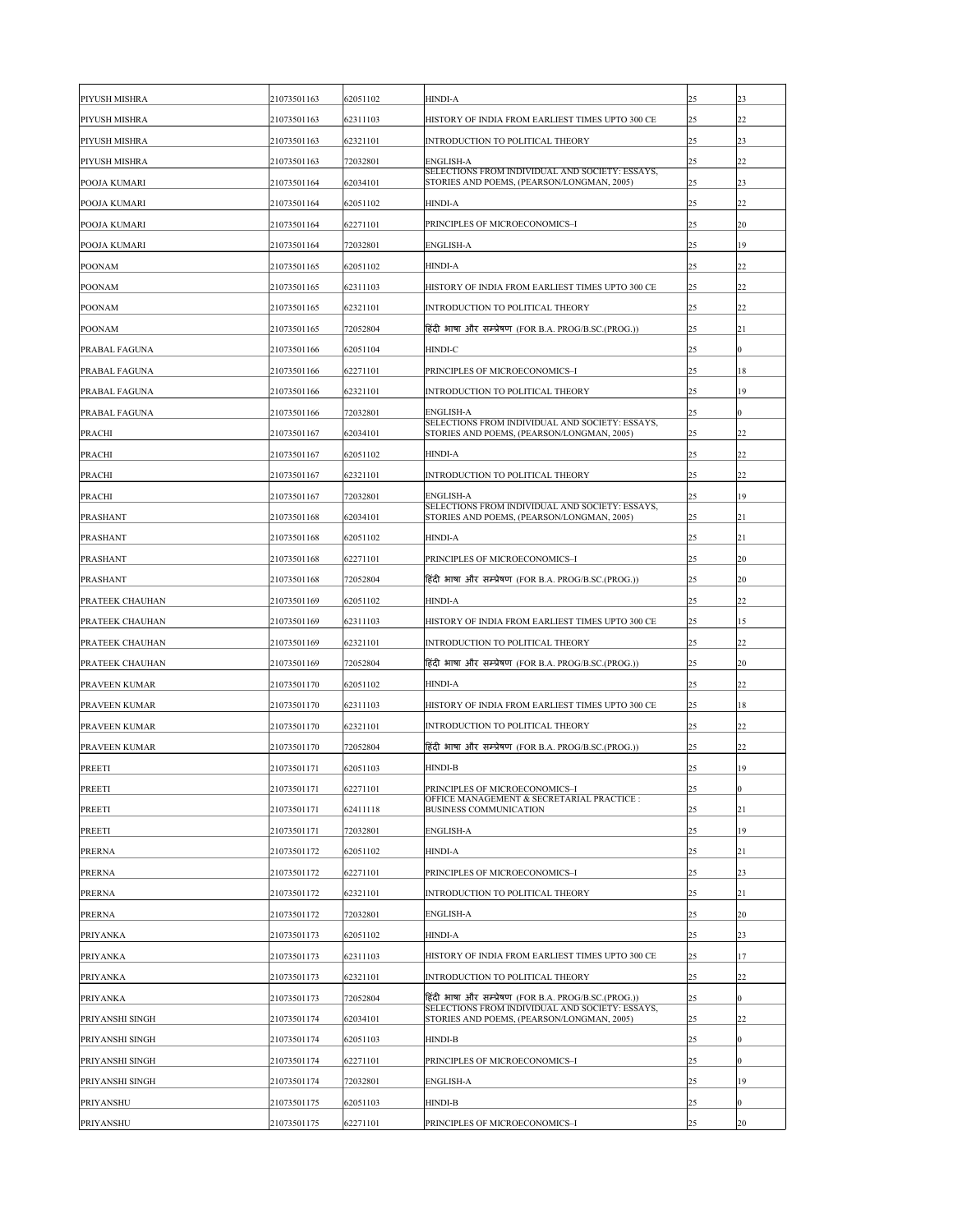| <b>PIYUSH MISHRA</b>   | 21073501163 | 62051102 | <b>HINDI-A</b>                                                                                | 25           | 23          |
|------------------------|-------------|----------|-----------------------------------------------------------------------------------------------|--------------|-------------|
| <b>PIYUSH MISHRA</b>   | 21073501163 | 62311103 | HISTORY OF INDIA FROM EARLIEST TIMES UPTO 300 CE                                              | 25           | 22          |
| <b>PIYUSH MISHRA</b>   | 21073501163 | 62321101 | INTRODUCTION TO POLITICAL THEORY                                                              | 25           | 23          |
| <b>PIYUSH MISHRA</b>   | 21073501163 | 72032801 | <b>ENGLISH-A</b>                                                                              | 25           | 22          |
| <b>POOJA KUMARI</b>    | 21073501164 | 62034101 | SELECTIONS FROM INDIVIDUAL AND SOCIETY: ESSAYS,<br>STORIES AND POEMS, (PEARSON/LONGMAN, 2005) | 25           | 23          |
| <b>POOJA KUMARI</b>    | 21073501164 | 62051102 | <b>HINDI-A</b>                                                                                | 25           | 22          |
| <b>POOJA KUMARI</b>    | 21073501164 | 62271101 | PRINCIPLES OF MICROECONOMICS-I                                                                | 25           | 20          |
| <b>POOJA KUMARI</b>    | 21073501164 | 72032801 | <b>ENGLISH-A</b>                                                                              | 25           | 19          |
| <b>POONAM</b>          | 21073501165 | 62051102 | <b>HINDI-A</b>                                                                                | 25           | 22          |
| <b>POONAM</b>          | 21073501165 | 62311103 | HISTORY OF INDIA FROM EARLIEST TIMES UPTO 300 CE                                              | 25           | 22          |
| <b>POONAM</b>          | 21073501165 | 62321101 | INTRODUCTION TO POLITICAL THEORY                                                              | 25           | 22          |
| <b>POONAM</b>          | 21073501165 | 72052804 | हिंदी भाषा और सम्प्रेषण (FOR B.A. PROG/B.SC.(PROG.))                                          | 25           | 21          |
| <b>PRABAL FAGUNA</b>   | 21073501166 | 62051104 | HINDI-C                                                                                       | 25           | 0           |
| <b>PRABAL FAGUNA</b>   | 21073501166 | 62271101 | PRINCIPLES OF MICROECONOMICS-I                                                                | 25           | 18          |
| <b>PRABAL FAGUNA</b>   | 21073501166 | 62321101 | INTRODUCTION TO POLITICAL THEORY                                                              | 25           | 19          |
| <b>PRABAL FAGUNA</b>   | 21073501166 | 72032801 | <b>ENGLISH-A</b>                                                                              | 25           | $ 0\rangle$ |
| <b>PRACHI</b>          | 21073501167 | 62034101 | SELECTIONS FROM INDIVIDUAL AND SOCIETY: ESSAYS,<br>STORIES AND POEMS, (PEARSON/LONGMAN, 2005) | 25           | 22          |
| PRACHI                 | 21073501167 | 62051102 | <b>HINDI-A</b>                                                                                | 25           | 22          |
| <b>PRACHI</b>          | 21073501167 | 62321101 | INTRODUCTION TO POLITICAL THEORY                                                              | 25           | 22          |
| <b>PRACHI</b>          | 21073501167 | 72032801 | <b>ENGLISH-A</b>                                                                              | 25           | 19          |
| <b>PRASHANT</b>        | 21073501168 | 62034101 | SELECTIONS FROM INDIVIDUAL AND SOCIETY: ESSAYS,<br>STORIES AND POEMS, (PEARSON/LONGMAN, 2005) | 25           | 21          |
| <b>PRASHANT</b>        | 21073501168 | 62051102 | <b>HINDI-A</b>                                                                                | 25           | 21          |
| <b>PRASHANT</b>        | 21073501168 | 62271101 | PRINCIPLES OF MICROECONOMICS-I                                                                | 25           | <b>20</b>   |
| <b>PRASHANT</b>        | 21073501168 | 72052804 | हिंदी भाषा और सम्प्रेषण (FOR B.A. PROG/B.SC.(PROG.))                                          | 25           | <b>20</b>   |
| <b>PRATEEK CHAUHAN</b> | 21073501169 | 62051102 | <b>HINDI-A</b>                                                                                | 25           | 22          |
| <b>PRATEEK CHAUHAN</b> | 21073501169 | 62311103 | HISTORY OF INDIA FROM EARLIEST TIMES UPTO 300 CE                                              | 25           | 15          |
| <b>PRATEEK CHAUHAN</b> | 21073501169 | 62321101 | INTRODUCTION TO POLITICAL THEORY                                                              | 25           | 22          |
| <b>PRATEEK CHAUHAN</b> | 21073501169 | 72052804 | हिंदी भाषा और सम्प्रेषण (FOR B.A. PROG/B.SC.(PROG.))                                          | 25           | <b>20</b>   |
| <b>PRAVEEN KUMAR</b>   | 21073501170 | 62051102 | <b>HINDI-A</b>                                                                                | 25           | 22          |
| <b>PRAVEEN KUMAR</b>   | 21073501170 | 62311103 | HISTORY OF INDIA FROM EARLIEST TIMES UPTO 300 CE                                              | 25           | 18          |
| <b>PRAVEEN KUMAR</b>   | 21073501170 | 62321101 | INTRODUCTION TO POLITICAL THEORY                                                              | 25           | 22          |
| <b>PRAVEEN KUMAR</b>   | 21073501170 | 72052804 | हिंदी भाषा और सम्प्रेषण (FOR B.A. PROG/B.SC.(PROG.))                                          | 25           | 22          |
| <b>PREETI</b>          | 21073501171 | 62051103 | <b>HINDI-B</b>                                                                                | 25           | 19          |
| <b>PREETI</b>          | 21073501171 | 62271101 | PRINCIPLES OF MICROECONOMICS-I                                                                | 25           | 0           |
| <b>PREETI</b>          | 21073501171 | 62411118 | OFFICE MANAGEMENT & SECRETARIAL PRACTICE :<br><b>BUSINESS COMMUNICATION</b>                   | 25           | 21          |
| <b>PREETI</b>          | 21073501171 | 72032801 | <b>ENGLISH-A</b>                                                                              | 25           | 19          |
| <b>PRERNA</b>          | 21073501172 | 62051102 | <b>HINDI-A</b>                                                                                | 25           | 21          |
| <b>PRERNA</b>          | 21073501172 | 62271101 | PRINCIPLES OF MICROECONOMICS-I                                                                | 25           | 23          |
| <b>PRERNA</b>          | 21073501172 | 62321101 | INTRODUCTION TO POLITICAL THEORY                                                              | 25           | 21          |
| <b>PRERNA</b>          | 21073501172 | 72032801 | <b>ENGLISH-A</b>                                                                              | 25           | 20          |
| <b>PRIYANKA</b>        | 21073501173 | 62051102 | <b>HINDI-A</b>                                                                                | 25           | 23          |
| <b>PRIYANKA</b>        | 21073501173 | 62311103 | HISTORY OF INDIA FROM EARLIEST TIMES UPTO 300 CE                                              | 25           | 17          |
| <b>PRIYANKA</b>        | 21073501173 | 62321101 | INTRODUCTION TO POLITICAL THEORY                                                              | 25           | 22          |
| <b>PRIYANKA</b>        | 21073501173 | 72052804 | हिंदी भाषा और सम्प्रेषण (FOR B.A. PROG/B.SC.(PROG.))                                          | 25           | 0           |
| <b>PRIYANSHI SINGH</b> | 21073501174 | 62034101 | SELECTIONS FROM INDIVIDUAL AND SOCIETY: ESSAYS,<br>STORIES AND POEMS, (PEARSON/LONGMAN, 2005) | 25           | 22          |
| <b>PRIYANSHI SINGH</b> | 21073501174 | 62051103 | <b>HINDI-B</b>                                                                                | 25           | 0           |
| <b>PRIYANSHI SINGH</b> | 21073501174 | 62271101 | PRINCIPLES OF MICROECONOMICS-I                                                                | 25           | 0           |
| <b>PRIYANSHI SINGH</b> | 21073501174 | 72032801 | <b>ENGLISH-A</b>                                                                              | 25           | 19          |
| <b>PRIYANSHU</b>       | 21073501175 | 62051103 | <b>HINDI-B</b>                                                                                | 25           | 0           |
| PRIYANSHU              | 21073501175 | 62271101 | PRINCIPLES OF MICROECONOMICS-I                                                                | $ 25\rangle$ | 20          |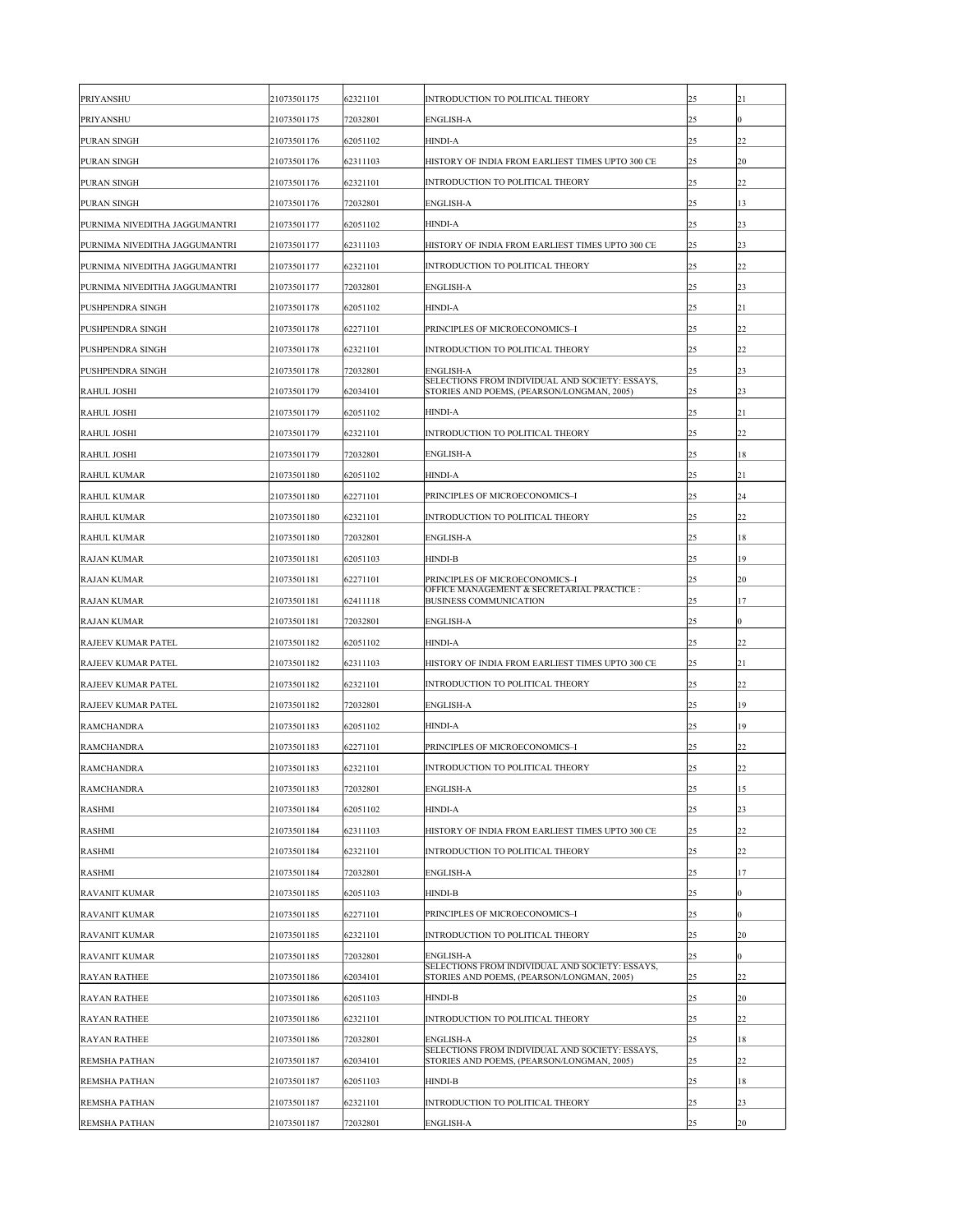| <b>PRIYANSHU</b>              | 21073501175 | 62321101 | <b>INTRODUCTION TO POLITICAL THEORY</b>                                                       | 25 | 21              |
|-------------------------------|-------------|----------|-----------------------------------------------------------------------------------------------|----|-----------------|
| <b>PRIYANSHU</b>              | 21073501175 | 72032801 | <b>ENGLISH-A</b>                                                                              | 25 | $\overline{0}$  |
| <b>PURAN SINGH</b>            | 21073501176 | 62051102 | <b>HINDI-A</b>                                                                                | 25 | 22              |
| <b>PURAN SINGH</b>            | 21073501176 | 62311103 | HISTORY OF INDIA FROM EARLIEST TIMES UPTO 300 CE                                              | 25 | 20              |
| <b>PURAN SINGH</b>            | 21073501176 | 62321101 | <b>INTRODUCTION TO POLITICAL THEORY</b>                                                       | 25 | 22              |
| <b>PURAN SINGH</b>            | 21073501176 | 72032801 | <b>ENGLISH-A</b>                                                                              | 25 | 13              |
| PURNIMA NIVEDITHA JAGGUMANTRI | 21073501177 | 62051102 | <b>HINDI-A</b>                                                                                | 25 | $ 23\rangle$    |
| PURNIMA NIVEDITHA JAGGUMANTRI | 21073501177 | 62311103 | HISTORY OF INDIA FROM EARLIEST TIMES UPTO 300 CE                                              | 25 | $ 23\rangle$    |
| PURNIMA NIVEDITHA JAGGUMANTRI | 21073501177 | 62321101 | <b>INTRODUCTION TO POLITICAL THEORY</b>                                                       | 25 | $ 22\rangle$    |
| PURNIMA NIVEDITHA JAGGUMANTRI | 21073501177 | 72032801 | <b>ENGLISH-A</b>                                                                              | 25 | $ 23\rangle$    |
| <b>PUSHPENDRA SINGH</b>       | 21073501178 | 62051102 | <b>HINDI-A</b>                                                                                | 25 | 21              |
| <b>PUSHPENDRA SINGH</b>       | 21073501178 | 62271101 | PRINCIPLES OF MICROECONOMICS-I                                                                | 25 | 22              |
| <b>PUSHPENDRA SINGH</b>       | 21073501178 | 62321101 | INTRODUCTION TO POLITICAL THEORY                                                              | 25 | 22              |
| <b>PUSHPENDRA SINGH</b>       | 21073501178 | 72032801 | <b>ENGLISH-A</b>                                                                              | 25 | $ 23\rangle$    |
| RAHUL JOSHI                   | 21073501179 | 62034101 | SELECTIONS FROM INDIVIDUAL AND SOCIETY: ESSAYS,<br>STORIES AND POEMS, (PEARSON/LONGMAN, 2005) | 25 | $ 23\rangle$    |
| RAHUL JOSHI                   | 21073501179 | 62051102 | <b>HINDI-A</b>                                                                                | 25 | 21              |
| RAHUL JOSHI                   | 21073501179 | 62321101 | <b>INTRODUCTION TO POLITICAL THEORY</b>                                                       | 25 | 22              |
| RAHUL JOSHI                   | 21073501179 | 72032801 | <b>ENGLISH-A</b>                                                                              | 25 | 18              |
| <b>RAHUL KUMAR</b>            | 21073501180 | 62051102 | <b>HINDI-A</b>                                                                                | 25 | 21              |
| <b>RAHUL KUMAR</b>            | 21073501180 | 62271101 | PRINCIPLES OF MICROECONOMICS-I                                                                | 25 | 24              |
| <b>RAHUL KUMAR</b>            | 21073501180 | 62321101 | INTRODUCTION TO POLITICAL THEORY                                                              | 25 | 22              |
| <b>RAHUL KUMAR</b>            | 21073501180 | 72032801 | <b>ENGLISH-A</b>                                                                              | 25 | 18              |
| <b>RAJAN KUMAR</b>            | 21073501181 | 62051103 | <b>HINDI-B</b>                                                                                | 25 | 19              |
| <b>RAJAN KUMAR</b>            | 21073501181 | 62271101 | PRINCIPLES OF MICROECONOMICS-I                                                                | 25 | 20              |
| <b>RAJAN KUMAR</b>            | 21073501181 | 62411118 | OFFICE MANAGEMENT & SECRETARIAL PRACTICE :<br><b>BUSINESS COMMUNICATION</b>                   | 25 | 17              |
| <b>RAJAN KUMAR</b>            | 21073501181 | 72032801 | <b>ENGLISH-A</b>                                                                              | 25 | $\overline{0}$  |
| <b>RAJEEV KUMAR PATEL</b>     | 21073501182 | 62051102 | <b>HINDI-A</b>                                                                                | 25 | $ 22\rangle$    |
| <b>RAJEEV KUMAR PATEL</b>     | 21073501182 | 62311103 | HISTORY OF INDIA FROM EARLIEST TIMES UPTO 300 CE                                              | 25 | 21              |
| <b>RAJEEV KUMAR PATEL</b>     | 21073501182 | 62321101 | INTRODUCTION TO POLITICAL THEORY                                                              | 25 | 22              |
| <b>RAJEEV KUMAR PATEL</b>     | 21073501182 | 72032801 | <b>ENGLISH-A</b>                                                                              | 25 | 19              |
| <b>RAMCHANDRA</b>             | 21073501183 | 62051102 | <b>HINDI-A</b>                                                                                | 25 | 19              |
| <b>RAMCHANDRA</b>             | 21073501183 | 62271101 | PRINCIPLES OF MICROECONOMICS-I                                                                | 25 | 22              |
| <b>RAMCHANDRA</b>             | 21073501183 | 62321101 | INTRODUCTION TO POLITICAL THEORY                                                              | 25 | $ 22\rangle$    |
| <b>RAMCHANDRA</b>             | 21073501183 | 72032801 | <b>ENGLISH-A</b>                                                                              | 25 | 15              |
| <b>RASHMI</b>                 | 21073501184 | 62051102 | <b>HINDI-A</b>                                                                                | 25 | 23              |
| <b>RASHMI</b>                 | 21073501184 | 62311103 | HISTORY OF INDIA FROM EARLIEST TIMES UPTO 300 CE                                              | 25 | 22              |
| <b>RASHMI</b>                 | 21073501184 | 62321101 | <b>INTRODUCTION TO POLITICAL THEORY</b>                                                       | 25 | $ 22\rangle$    |
| <b>RASHMI</b>                 | 21073501184 | 72032801 | <b>ENGLISH-A</b>                                                                              | 25 | 17              |
| <b>RAVANIT KUMAR</b>          | 21073501185 | 62051103 | <b>HINDI-B</b>                                                                                | 25 | $\vert 0 \vert$ |
| <b>RAVANIT KUMAR</b>          | 21073501185 | 62271101 | PRINCIPLES OF MICROECONOMICS-I                                                                | 25 | $\overline{0}$  |
| <b>RAVANIT KUMAR</b>          | 21073501185 | 62321101 | <b>INTRODUCTION TO POLITICAL THEORY</b>                                                       | 25 | 20              |
| <b>RAVANIT KUMAR</b>          | 21073501185 | 72032801 | <b>ENGLISH-A</b>                                                                              | 25 | $ 0\rangle$     |
| <b>RAYAN RATHEE</b>           | 21073501186 | 62034101 | SELECTIONS FROM INDIVIDUAL AND SOCIETY: ESSAYS,<br>STORIES AND POEMS, (PEARSON/LONGMAN, 2005) | 25 | 22              |
| <b>RAYAN RATHEE</b>           | 21073501186 | 62051103 | <b>HINDI-B</b>                                                                                | 25 | <b>20</b>       |
| <b>RAYAN RATHEE</b>           | 21073501186 | 62321101 | <b>INTRODUCTION TO POLITICAL THEORY</b>                                                       | 25 | 22              |
| <b>RAYAN RATHEE</b>           | 21073501186 | 72032801 | <b>ENGLISH-A</b>                                                                              | 25 | 18              |
| <b>REMSHA PATHAN</b>          | 21073501187 | 62034101 | SELECTIONS FROM INDIVIDUAL AND SOCIETY: ESSAYS,<br>STORIES AND POEMS, (PEARSON/LONGMAN, 2005) | 25 | 22              |
| <b>REMSHA PATHAN</b>          | 21073501187 | 62051103 | HINDI-B                                                                                       | 25 | 18              |
| <b>REMSHA PATHAN</b>          | 21073501187 | 62321101 | <b>INTRODUCTION TO POLITICAL THEORY</b>                                                       | 25 | $ 23\rangle$    |
| <b>REMSHA PATHAN</b>          | 21073501187 | 72032801 | <b>ENGLISH-A</b>                                                                              | 25 | 20              |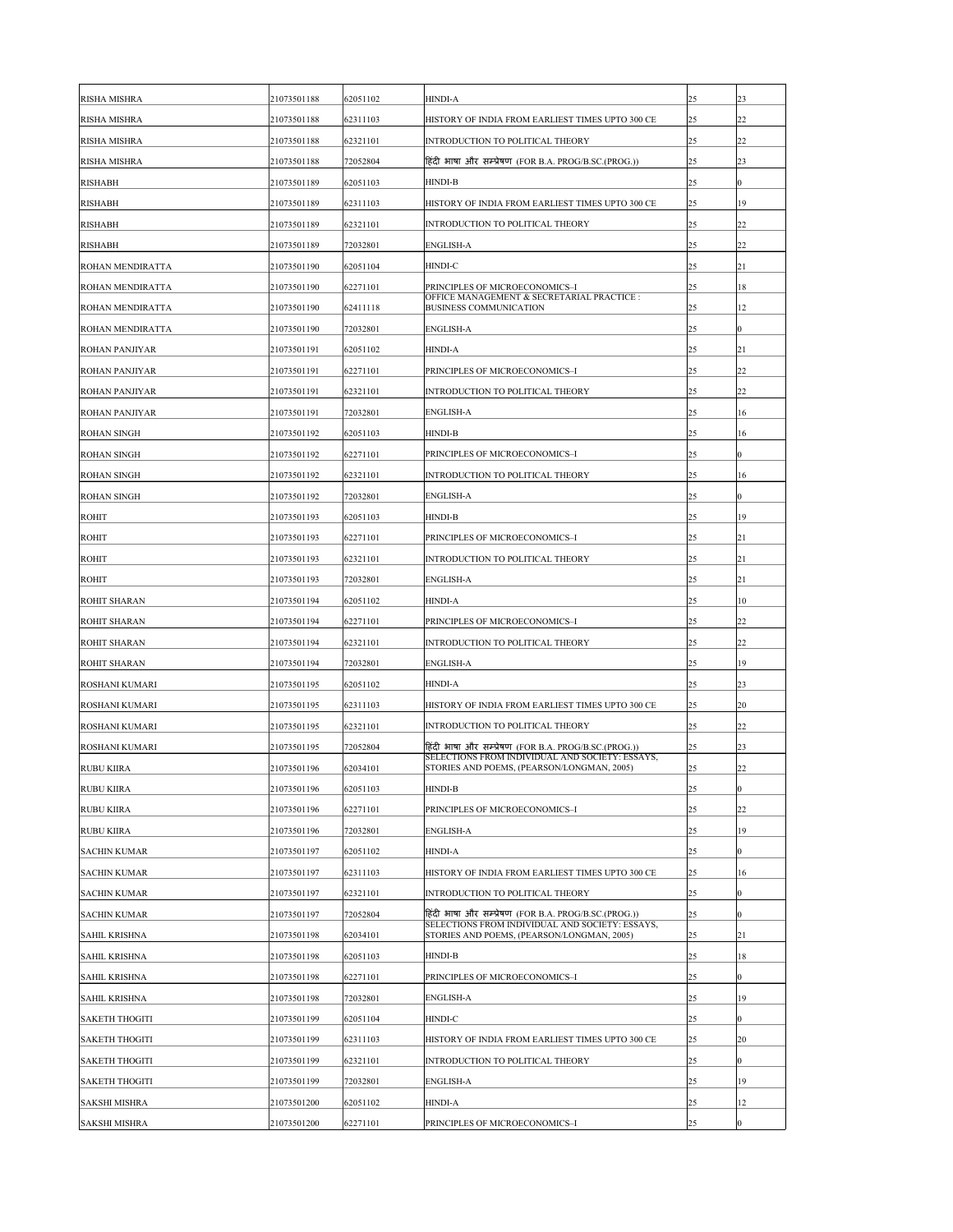| <b>RISHA MISHRA</b>     | 21073501188 | 62051102 | <b>HINDI-A</b>                                                                                | 25 | 23               |
|-------------------------|-------------|----------|-----------------------------------------------------------------------------------------------|----|------------------|
| <b>RISHA MISHRA</b>     | 21073501188 | 62311103 | HISTORY OF INDIA FROM EARLIEST TIMES UPTO 300 CE                                              | 25 | 22               |
| <b>RISHA MISHRA</b>     | 21073501188 | 62321101 | INTRODUCTION TO POLITICAL THEORY                                                              | 25 | 22               |
| <b>RISHA MISHRA</b>     | 21073501188 | 72052804 | हिंदी भाषा और सम्प्रेषण (FOR B.A. PROG/B.SC.(PROG.))                                          | 25 | 23               |
| <b>RISHABH</b>          | 21073501189 | 62051103 | <b>HINDI-B</b>                                                                                | 25 | $\overline{0}$   |
| <b>RISHABH</b>          | 21073501189 | 62311103 | HISTORY OF INDIA FROM EARLIEST TIMES UPTO 300 CE                                              | 25 | 19               |
| <b>RISHABH</b>          | 21073501189 | 62321101 | INTRODUCTION TO POLITICAL THEORY                                                              | 25 | 22               |
| <b>RISHABH</b>          | 21073501189 | 72032801 | <b>ENGLISH-A</b>                                                                              | 25 | 22               |
| <b>ROHAN MENDIRATTA</b> | 21073501190 | 62051104 | HINDI-C                                                                                       | 25 | 21               |
| <b>ROHAN MENDIRATTA</b> | 21073501190 | 62271101 | PRINCIPLES OF MICROECONOMICS-I                                                                | 25 | 18               |
| <b>ROHAN MENDIRATTA</b> | 21073501190 | 62411118 | OFFICE MANAGEMENT & SECRETARIAL PRACTICE :<br><b>BUSINESS COMMUNICATION</b>                   | 25 | 12               |
| <b>ROHAN MENDIRATTA</b> | 21073501190 | 72032801 | <b>ENGLISH-A</b>                                                                              | 25 | $\overline{0}$   |
| <b>ROHAN PANJIYAR</b>   | 21073501191 | 62051102 | <b>HINDI-A</b>                                                                                | 25 | 21               |
| <b>ROHAN PANJIYAR</b>   | 21073501191 | 62271101 | PRINCIPLES OF MICROECONOMICS-I                                                                | 25 | 22               |
| <b>ROHAN PANJIYAR</b>   | 21073501191 | 62321101 | INTRODUCTION TO POLITICAL THEORY                                                              | 25 | 22               |
| <b>ROHAN PANJIYAR</b>   | 21073501191 | 72032801 | <b>ENGLISH-A</b>                                                                              | 25 | 16               |
| <b>ROHAN SINGH</b>      | 21073501192 | 62051103 | <b>HINDI-B</b>                                                                                | 25 | 16               |
| <b>ROHAN SINGH</b>      | 21073501192 | 62271101 | PRINCIPLES OF MICROECONOMICS-I                                                                | 25 | $\overline{0}$   |
| <b>ROHAN SINGH</b>      | 21073501192 | 62321101 | INTRODUCTION TO POLITICAL THEORY                                                              | 25 | 16               |
| <b>ROHAN SINGH</b>      | 21073501192 | 72032801 | <b>ENGLISH-A</b>                                                                              | 25 | $\overline{0}$   |
| <b>ROHIT</b>            | 21073501193 | 62051103 | <b>HINDI-B</b>                                                                                | 25 | 19               |
| <b>ROHIT</b>            | 21073501193 | 62271101 | PRINCIPLES OF MICROECONOMICS-I                                                                | 25 | 21               |
| <b>ROHIT</b>            | 21073501193 | 62321101 | <b>INTRODUCTION TO POLITICAL THEORY</b>                                                       | 25 | 21               |
| <b>ROHIT</b>            | 21073501193 | 72032801 | <b>ENGLISH-A</b>                                                                              | 25 | 21               |
| <b>ROHIT SHARAN</b>     | 21073501194 | 62051102 | <b>HINDI-A</b>                                                                                | 25 | 10               |
| <b>ROHIT SHARAN</b>     | 21073501194 | 62271101 | PRINCIPLES OF MICROECONOMICS-I                                                                | 25 | 22               |
| <b>ROHIT SHARAN</b>     | 21073501194 | 62321101 | INTRODUCTION TO POLITICAL THEORY                                                              | 25 | 22               |
| <b>ROHIT SHARAN</b>     | 21073501194 | 72032801 | <b>ENGLISH-A</b>                                                                              | 25 | 19               |
| <b>ROSHANI KUMARI</b>   | 21073501195 | 62051102 | <b>HINDI-A</b>                                                                                | 25 | 23               |
| <b>ROSHANI KUMARI</b>   | 21073501195 | 62311103 | HISTORY OF INDIA FROM EARLIEST TIMES UPTO 300 CE                                              | 25 | 20               |
| <b>ROSHANI KUMARI</b>   | 21073501195 | 62321101 | INTRODUCTION TO POLITICAL THEORY                                                              | 25 | 22               |
| <b>ROSHANI KUMARI</b>   | 21073501195 | 72052804 | हिंदी भाषा और सम्प्रेषण (FOR B.A. PROG/B.SC.(PROG.))                                          | 25 | 23               |
| <b>RUBU KIIRA</b>       | 21073501196 | 62034101 | SELECTIONS FROM INDIVIDUAL AND SOCIETY: ESSAYS,<br>STORIES AND POEMS, (PEARSON/LONGMAN, 2005) | 25 | 22               |
| <b>RUBU KIIRA</b>       | 21073501196 | 62051103 | <b>HINDI-B</b>                                                                                | 25 | $\overline{0}$   |
| <b>RUBU KIIRA</b>       | 21073501196 | 62271101 | PRINCIPLES OF MICROECONOMICS-I                                                                | 25 | 22               |
| <b>RUBU KIIRA</b>       | 21073501196 | 72032801 | <b>ENGLISH-A</b>                                                                              | 25 | 19               |
| <b>SACHIN KUMAR</b>     | 21073501197 | 62051102 | <b>HINDI-A</b>                                                                                | 25 | $\boldsymbol{0}$ |
| <b>SACHIN KUMAR</b>     | 21073501197 | 62311103 | HISTORY OF INDIA FROM EARLIEST TIMES UPTO 300 CE                                              | 25 | 16               |
| <b>SACHIN KUMAR</b>     | 21073501197 | 62321101 | INTRODUCTION TO POLITICAL THEORY                                                              | 25 | $\overline{0}$   |
| <b>SACHIN KUMAR</b>     | 21073501197 | 72052804 | हिंदी भाषा और सम्प्रेषण (FOR B.A. PROG/B.SC.(PROG.))                                          | 25 | $\overline{0}$   |
| <b>SAHIL KRISHNA</b>    | 21073501198 | 62034101 | SELECTIONS FROM INDIVIDUAL AND SOCIETY: ESSAYS,<br>STORIES AND POEMS, (PEARSON/LONGMAN, 2005) | 25 | 21               |
| <b>SAHIL KRISHNA</b>    | 21073501198 | 62051103 | <b>HINDI-B</b>                                                                                | 25 | 18               |
| <b>SAHIL KRISHNA</b>    | 21073501198 | 62271101 | PRINCIPLES OF MICROECONOMICS-I                                                                | 25 | $\overline{0}$   |
| <b>SAHIL KRISHNA</b>    | 21073501198 | 72032801 | <b>ENGLISH-A</b>                                                                              | 25 | 19               |
| <b>SAKETH THOGITI</b>   | 21073501199 | 62051104 | HINDI-C                                                                                       | 25 | $\overline{0}$   |
| <b>SAKETH THOGITI</b>   | 21073501199 | 62311103 | HISTORY OF INDIA FROM EARLIEST TIMES UPTO 300 CE                                              | 25 | 20               |
| <b>SAKETH THOGITI</b>   | 21073501199 | 62321101 | <b>INTRODUCTION TO POLITICAL THEORY</b>                                                       | 25 | $\overline{0}$   |
| <b>SAKETH THOGITI</b>   | 21073501199 | 72032801 | <b>ENGLISH-A</b>                                                                              | 25 | 19               |
| <b>SAKSHI MISHRA</b>    | 21073501200 | 62051102 | <b>HINDI-A</b>                                                                                | 25 | 12               |
| <b>SAKSHI MISHRA</b>    | 21073501200 | 62271101 | PRINCIPLES OF MICROECONOMICS-I                                                                | 25 | $\boldsymbol{0}$ |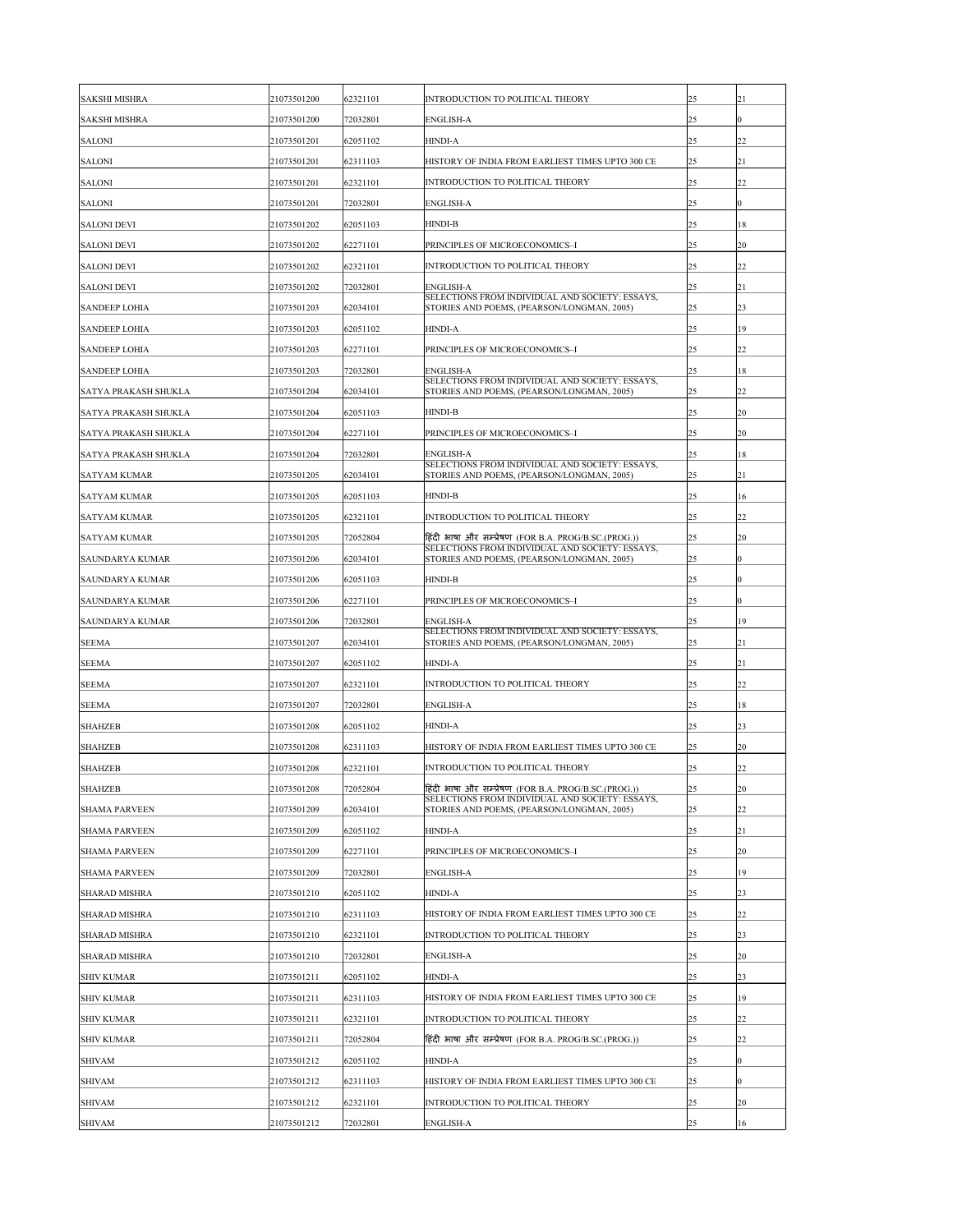| <b>SAKSHI MISHRA</b>        | 21073501200 | 62321101 | INTRODUCTION TO POLITICAL THEORY                                                              | 25 | 21        |
|-----------------------------|-------------|----------|-----------------------------------------------------------------------------------------------|----|-----------|
| <b>SAKSHI MISHRA</b>        | 21073501200 | 72032801 | <b>ENGLISH-A</b>                                                                              | 25 | 0         |
| <b>SALONI</b>               | 21073501201 | 62051102 | HINDI-A                                                                                       | 25 | 22        |
| <b>SALONI</b>               | 21073501201 | 62311103 | HISTORY OF INDIA FROM EARLIEST TIMES UPTO 300 CE                                              | 25 | <b>21</b> |
| <b>SALONI</b>               | 21073501201 | 62321101 | INTRODUCTION TO POLITICAL THEORY                                                              | 25 | 22        |
| <b>SALONI</b>               | 21073501201 | 72032801 | <b>ENGLISH-A</b>                                                                              | 25 | 0         |
| <b>SALONI DEVI</b>          | 21073501202 | 62051103 | <b>HINDI-B</b>                                                                                | 25 | 18        |
| <b>SALONI DEVI</b>          | 21073501202 | 62271101 | PRINCIPLES OF MICROECONOMICS-I                                                                | 25 | <b>20</b> |
| <b>SALONI DEVI</b>          | 21073501202 | 62321101 | INTRODUCTION TO POLITICAL THEORY                                                              | 25 | 22        |
| <b>SALONI DEVI</b>          | 21073501202 | 72032801 | <b>ENGLISH-A</b>                                                                              | 25 | 21        |
| <b>SANDEEP LOHIA</b>        | 21073501203 | 62034101 | SELECTIONS FROM INDIVIDUAL AND SOCIETY: ESSAYS,<br>STORIES AND POEMS, (PEARSON/LONGMAN, 2005) | 25 | 23        |
| <b>SANDEEP LOHIA</b>        | 21073501203 | 62051102 | <b>HINDI-A</b>                                                                                | 25 | 19        |
| <b>SANDEEP LOHIA</b>        | 21073501203 | 62271101 | PRINCIPLES OF MICROECONOMICS-I                                                                | 25 | 22        |
| <b>SANDEEP LOHIA</b>        | 21073501203 | 72032801 | <b>ENGLISH-A</b>                                                                              | 25 | 18        |
| <b>SATYA PRAKASH SHUKLA</b> | 21073501204 | 62034101 | SELECTIONS FROM INDIVIDUAL AND SOCIETY: ESSAYS,<br>STORIES AND POEMS, (PEARSON/LONGMAN, 2005) | 25 | 22        |
| <b>SATYA PRAKASH SHUKLA</b> | 21073501204 | 62051103 | <b>HINDI-B</b>                                                                                | 25 | 20        |
| <b>SATYA PRAKASH SHUKLA</b> | 21073501204 | 62271101 | PRINCIPLES OF MICROECONOMICS-I                                                                | 25 | 20        |
| <b>SATYA PRAKASH SHUKLA</b> | 21073501204 | 72032801 | <b>ENGLISH-A</b>                                                                              | 25 | 18        |
| <b>SATYAM KUMAR</b>         | 21073501205 | 62034101 | SELECTIONS FROM INDIVIDUAL AND SOCIETY: ESSAYS,<br>STORIES AND POEMS, (PEARSON/LONGMAN, 2005) | 25 | 21        |
| <b>SATYAM KUMAR</b>         | 21073501205 | 62051103 | <b>HINDI-B</b>                                                                                | 25 | 16        |
| <b>SATYAM KUMAR</b>         | 21073501205 | 62321101 | INTRODUCTION TO POLITICAL THEORY                                                              | 25 | 22        |
| <b>SATYAM KUMAR</b>         | 21073501205 | 72052804 | हिंदी भाषा और सम्प्रेषण (FOR B.A. PROG/B.SC.(PROG.))                                          | 25 | 20        |
| <b>SAUNDARYA KUMAR</b>      | 21073501206 | 62034101 | SELECTIONS FROM INDIVIDUAL AND SOCIETY: ESSAYS,<br>STORIES AND POEMS, (PEARSON/LONGMAN, 2005) | 25 | 0         |
| <b>SAUNDARYA KUMAR</b>      | 21073501206 | 62051103 | <b>HINDI-B</b>                                                                                | 25 | 0         |
| <b>SAUNDARYA KUMAR</b>      | 21073501206 | 62271101 | PRINCIPLES OF MICROECONOMICS-I                                                                | 25 | 0         |
| <b>SAUNDARYA KUMAR</b>      | 21073501206 | 72032801 | <b>ENGLISH-A</b>                                                                              | 25 | 19        |
| <b>SEEMA</b>                | 21073501207 | 62034101 | SELECTIONS FROM INDIVIDUAL AND SOCIETY: ESSAYS,<br>STORIES AND POEMS, (PEARSON/LONGMAN, 2005) | 25 | 21        |
| <b>SEEMA</b>                | 21073501207 | 62051102 | <b>HINDI-A</b>                                                                                | 25 | 21        |
| <b>SEEMA</b>                | 21073501207 | 62321101 | INTRODUCTION TO POLITICAL THEORY                                                              | 25 | 22        |
| <b>SEEMA</b>                | 21073501207 | 72032801 | <b>ENGLISH-A</b>                                                                              | 25 | 18        |
| <b>SHAHZEB</b>              | 21073501208 | 62051102 | <b>HINDI-A</b>                                                                                | 25 | 23        |
| <b>SHAHZEB</b>              | 21073501208 | 62311103 | HISTORY OF INDIA FROM EARLIEST TIMES UPTO 300 CE                                              | 25 | <b>20</b> |
| <b>SHAHZEB</b>              | 21073501208 | 62321101 | INTRODUCTION TO POLITICAL THEORY                                                              | 25 | 22        |
| <b>SHAHZEB</b>              | 21073501208 | 72052804 | हिंदी भाषा और सम्प्रेषण (FOR B.A. PROG/B.SC.(PROG.))                                          | 25 | <b>20</b> |
| <b>SHAMA PARVEEN</b>        | 21073501209 | 62034101 | SELECTIONS FROM INDIVIDUAL AND SOCIETY: ESSAYS,<br>STORIES AND POEMS, (PEARSON/LONGMAN, 2005) | 25 | 22        |
| <b>SHAMA PARVEEN</b>        | 21073501209 | 62051102 | <b>HINDI-A</b>                                                                                | 25 | 21        |
| <b>SHAMA PARVEEN</b>        | 21073501209 | 62271101 | PRINCIPLES OF MICROECONOMICS-I                                                                | 25 | 20        |
| <b>SHAMA PARVEEN</b>        | 21073501209 | 72032801 | <b>ENGLISH-A</b>                                                                              | 25 | 19        |
| <b>SHARAD MISHRA</b>        | 21073501210 | 62051102 | <b>HINDI-A</b>                                                                                | 25 | 23        |
| <b>SHARAD MISHRA</b>        | 21073501210 | 62311103 | HISTORY OF INDIA FROM EARLIEST TIMES UPTO 300 CE                                              | 25 | 22        |
| <b>SHARAD MISHRA</b>        | 21073501210 | 62321101 | INTRODUCTION TO POLITICAL THEORY                                                              | 25 | 23        |
| <b>SHARAD MISHRA</b>        | 21073501210 | 72032801 | <b>ENGLISH-A</b>                                                                              | 25 | 20        |
| <b>SHIV KUMAR</b>           | 21073501211 | 62051102 | <b>HINDI-A</b>                                                                                | 25 | 23        |
| <b>SHIV KUMAR</b>           | 21073501211 | 62311103 | HISTORY OF INDIA FROM EARLIEST TIMES UPTO 300 CE                                              | 25 | 19        |
| <b>SHIV KUMAR</b>           | 21073501211 | 62321101 | INTRODUCTION TO POLITICAL THEORY                                                              | 25 | 22        |
| <b>SHIV KUMAR</b>           | 21073501211 | 72052804 | हिंदी भाषा और सम्प्रेषण (FOR B.A. PROG/B.SC.(PROG.))                                          | 25 | 22        |
| <b>SHIVAM</b>               | 21073501212 | 62051102 | HINDI-A                                                                                       | 25 | 0         |
| <b>SHIVAM</b>               | 21073501212 | 62311103 | HISTORY OF INDIA FROM EARLIEST TIMES UPTO 300 CE                                              | 25 | 0         |
| <b>SHIVAM</b>               | 21073501212 | 62321101 | INTRODUCTION TO POLITICAL THEORY                                                              | 25 | 20        |
| <b>SHIVAM</b>               | 21073501212 | 72032801 | <b>ENGLISH-A</b>                                                                              | 25 | 16        |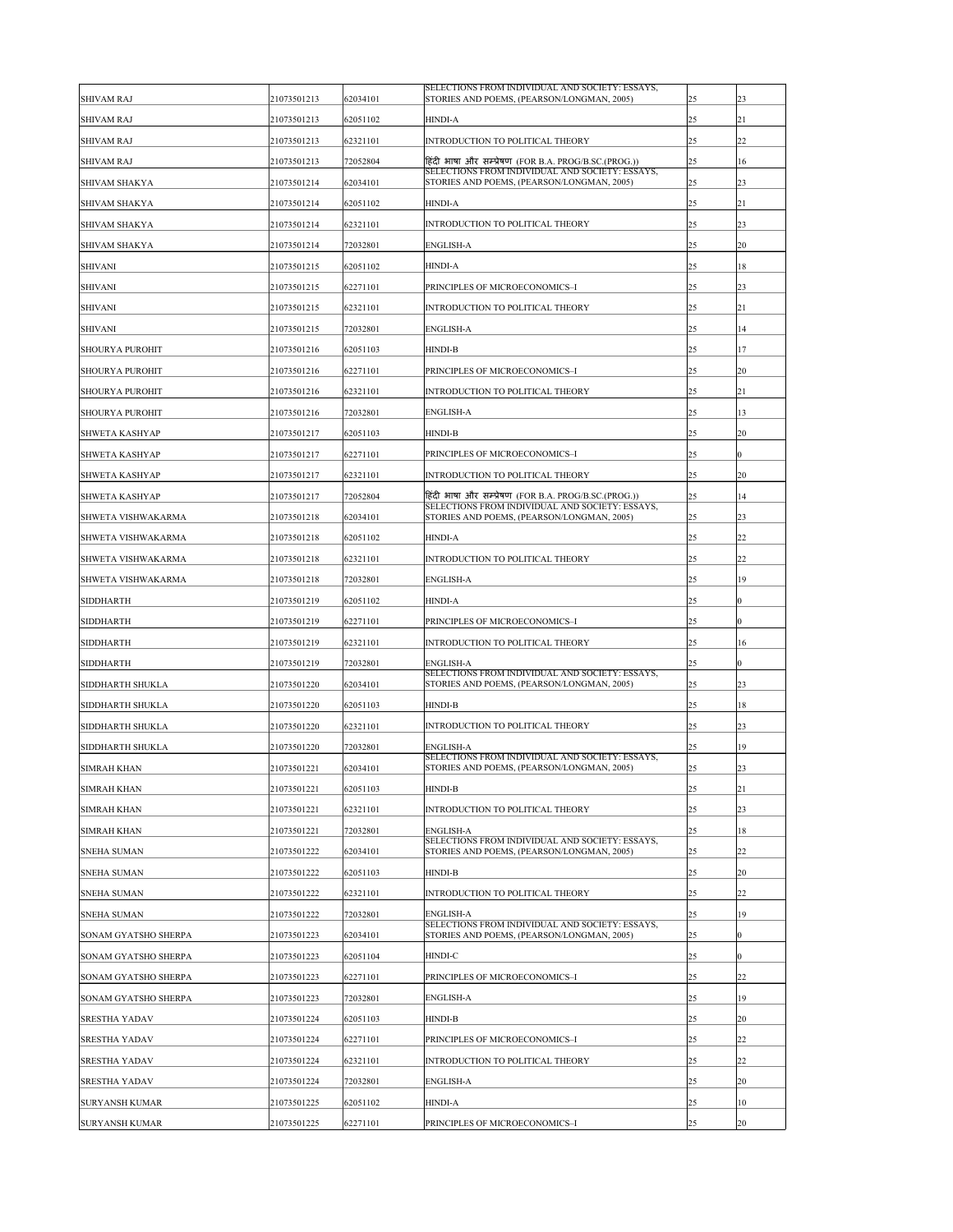| <b>SHIVAM RAJ</b>           | 21073501213 | 62034101 | SELECTIONS FROM INDIVIDUAL AND SOCIETY: ESSAYS,<br>STORIES AND POEMS, (PEARSON/LONGMAN, 2005) | 25 | 23               |
|-----------------------------|-------------|----------|-----------------------------------------------------------------------------------------------|----|------------------|
| <b>SHIVAM RAJ</b>           | 21073501213 | 62051102 | <b>HINDI-A</b>                                                                                | 25 | 21               |
| <b>SHIVAM RAJ</b>           | 21073501213 | 62321101 | <b>INTRODUCTION TO POLITICAL THEORY</b>                                                       | 25 | 22               |
| <b>SHIVAM RAJ</b>           | 21073501213 | 72052804 | हिंदी भाषा और सम्प्रेषण (FOR B.A. PROG/B.SC.(PROG.))                                          | 25 | 16               |
| <b>SHIVAM SHAKYA</b>        | 21073501214 | 62034101 | SELECTIONS FROM INDIVIDUAL AND SOCIETY: ESSAYS,<br>STORIES AND POEMS, (PEARSON/LONGMAN, 2005) | 25 | 23               |
| <b>SHIVAM SHAKYA</b>        | 21073501214 | 62051102 | <b>HINDI-A</b>                                                                                | 25 | 21               |
| <b>SHIVAM SHAKYA</b>        | 21073501214 | 62321101 | <b>INTRODUCTION TO POLITICAL THEORY</b>                                                       | 25 | 23               |
| <b>SHIVAM SHAKYA</b>        | 21073501214 | 72032801 | <b>ENGLISH-A</b>                                                                              | 25 | 20               |
| <b>SHIVANI</b>              | 21073501215 | 62051102 | <b>HINDI-A</b>                                                                                | 25 | 18               |
| <b>SHIVANI</b>              | 21073501215 | 62271101 | PRINCIPLES OF MICROECONOMICS-I                                                                | 25 | 23               |
| <b>SHIVANI</b>              | 21073501215 | 62321101 | INTRODUCTION TO POLITICAL THEORY                                                              | 25 | 21               |
| <b>SHIVANI</b>              | 21073501215 | 72032801 | <b>ENGLISH-A</b>                                                                              | 25 | 14               |
| <b>SHOURYA PUROHIT</b>      | 21073501216 | 62051103 | <b>HINDI-B</b>                                                                                | 25 | 17               |
| <b>SHOURYA PUROHIT</b>      | 21073501216 | 62271101 | PRINCIPLES OF MICROECONOMICS-I                                                                | 25 | 20               |
| <b>SHOURYA PUROHIT</b>      | 21073501216 | 62321101 | <b>INTRODUCTION TO POLITICAL THEORY</b>                                                       | 25 | 21               |
| <b>SHOURYA PUROHIT</b>      | 21073501216 | 72032801 | <b>ENGLISH-A</b>                                                                              | 25 | 13               |
| <b>SHWETA KASHYAP</b>       | 21073501217 | 62051103 | <b>HINDI-B</b>                                                                                | 25 | 20               |
| <b>SHWETA KASHYAP</b>       | 21073501217 | 62271101 | PRINCIPLES OF MICROECONOMICS-I                                                                | 25 | $\overline{0}$   |
| <b>SHWETA KASHYAP</b>       | 21073501217 | 62321101 | <b>INTRODUCTION TO POLITICAL THEORY</b>                                                       | 25 | 20               |
| <b>SHWETA KASHYAP</b>       | 21073501217 | 72052804 | हिंदी भाषा और सम्प्रेषण (FOR B.A. PROG/B.SC.(PROG.))                                          | 25 | 14               |
| <b>SHWETA VISHWAKARMA</b>   | 21073501218 | 62034101 | SELECTIONS FROM INDIVIDUAL AND SOCIETY: ESSAYS,<br>STORIES AND POEMS, (PEARSON/LONGMAN, 2005) | 25 | 23               |
| <b>SHWETA VISHWAKARMA</b>   | 21073501218 | 62051102 | <b>HINDI-A</b>                                                                                | 25 | 22               |
| <b>SHWETA VISHWAKARMA</b>   | 21073501218 | 62321101 | <b>INTRODUCTION TO POLITICAL THEORY</b>                                                       | 25 | 22               |
| <b>SHWETA VISHWAKARMA</b>   | 21073501218 | 72032801 | <b>ENGLISH-A</b>                                                                              | 25 | 19               |
| <b>SIDDHARTH</b>            | 21073501219 | 62051102 | <b>HINDI-A</b>                                                                                | 25 | $\boldsymbol{0}$ |
| <b>SIDDHARTH</b>            | 21073501219 | 62271101 | PRINCIPLES OF MICROECONOMICS-I                                                                | 25 | $\overline{0}$   |
| <b>SIDDHARTH</b>            | 21073501219 | 62321101 | <b>INTRODUCTION TO POLITICAL THEORY</b>                                                       | 25 | 16               |
| <b>SIDDHARTH</b>            | 21073501219 | 72032801 | <b>ENGLISH-A</b>                                                                              | 25 | $\overline{0}$   |
| <b>SIDDHARTH SHUKLA</b>     | 21073501220 | 62034101 | SELECTIONS FROM INDIVIDUAL AND SOCIETY: ESSAYS,<br>STORIES AND POEMS, (PEARSON/LONGMAN, 2005) | 25 | 23               |
| <b>SIDDHARTH SHUKLA</b>     | 21073501220 | 62051103 | <b>HINDI-B</b>                                                                                | 25 | 18               |
| <b>SIDDHARTH SHUKLA</b>     | 21073501220 | 62321101 | <b>INTRODUCTION TO POLITICAL THEORY</b>                                                       | 25 | 23               |
| <b>SIDDHARTH SHUKLA</b>     | 21073501220 | 72032801 | <b>ENGLISH-A</b>                                                                              | 25 | 19               |
| <b>SIMRAH KHAN</b>          | 21073501221 | 62034101 | SELECTIONS FROM INDIVIDUAL AND SOCIETY: ESSAYS,<br>STORIES AND POEMS, (PEARSON/LONGMAN, 2005) | 25 | 23               |
| <b>SIMRAH KHAN</b>          | 21073501221 | 62051103 | <b>HINDI-B</b>                                                                                | 25 | 21               |
| <b>SIMRAH KHAN</b>          | 21073501221 | 62321101 | <b>INTRODUCTION TO POLITICAL THEORY</b>                                                       | 25 | 23               |
| <b>SIMRAH KHAN</b>          | 21073501221 | 72032801 | <b>ENGLISH-A</b>                                                                              | 25 | 18               |
| <b>SNEHA SUMAN</b>          | 21073501222 | 62034101 | SELECTIONS FROM INDIVIDUAL AND SOCIETY: ESSAYS,<br>STORIES AND POEMS, (PEARSON/LONGMAN, 2005) | 25 | 22               |
| <b>SNEHA SUMAN</b>          | 21073501222 | 62051103 | <b>HINDI-B</b>                                                                                | 25 | 20               |
| <b>SNEHA SUMAN</b>          | 21073501222 | 62321101 | <b>INTRODUCTION TO POLITICAL THEORY</b>                                                       | 25 | 22               |
| <b>SNEHA SUMAN</b>          | 21073501222 | 72032801 | <b>ENGLISH-A</b>                                                                              | 25 | 19               |
| <b>SONAM GYATSHO SHERPA</b> | 21073501223 | 62034101 | SELECTIONS FROM INDIVIDUAL AND SOCIETY: ESSAYS,<br>STORIES AND POEMS, (PEARSON/LONGMAN, 2005) | 25 | $\boldsymbol{0}$ |
| <b>SONAM GYATSHO SHERPA</b> | 21073501223 | 62051104 | <b>HINDI-C</b>                                                                                | 25 | $\overline{0}$   |
| <b>SONAM GYATSHO SHERPA</b> | 21073501223 | 62271101 | PRINCIPLES OF MICROECONOMICS-I                                                                | 25 | 22               |
| <b>SONAM GYATSHO SHERPA</b> | 21073501223 | 72032801 | <b>ENGLISH-A</b>                                                                              | 25 | 19               |
| <b>SRESTHA YADAV</b>        | 21073501224 | 62051103 | <b>HINDI-B</b>                                                                                | 25 | 20               |
| <b>SRESTHA YADAV</b>        | 21073501224 | 62271101 | PRINCIPLES OF MICROECONOMICS-I                                                                | 25 | 22               |
| <b>SRESTHA YADAV</b>        | 21073501224 | 62321101 | <b>INTRODUCTION TO POLITICAL THEORY</b>                                                       | 25 | 22               |
| <b>SRESTHA YADAV</b>        | 21073501224 | 72032801 | <b>ENGLISH-A</b>                                                                              | 25 | 20               |
| <b>SURYANSH KUMAR</b>       | 21073501225 | 62051102 | <b>HINDI-A</b>                                                                                | 25 | 10               |
| <b>SURYANSH KUMAR</b>       | 21073501225 | 62271101 | PRINCIPLES OF MICROECONOMICS-I                                                                | 25 | 20               |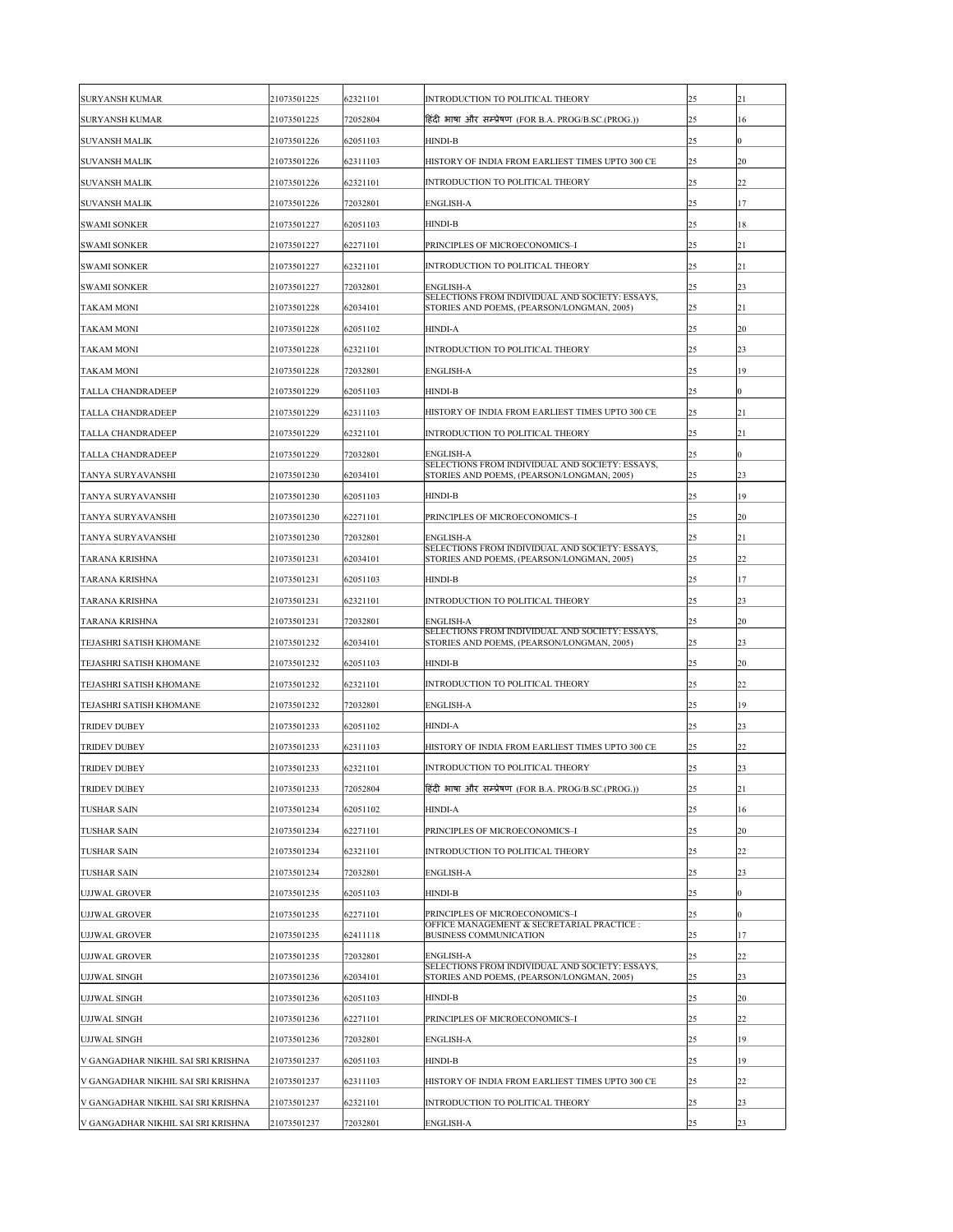| <b>SURYANSH KUMAR</b>              | 21073501225 | 62321101 | INTRODUCTION TO POLITICAL THEORY                                                              | 25 | 21        |
|------------------------------------|-------------|----------|-----------------------------------------------------------------------------------------------|----|-----------|
| <b>SURYANSH KUMAR</b>              | 21073501225 | 72052804 | हिंदी भाषा और सम्प्रेषण (FOR B.A. PROG/B.SC.(PROG.))                                          | 25 | 16        |
| <b>SUVANSH MALIK</b>               | 21073501226 | 62051103 | <b>HINDI-B</b>                                                                                | 25 | 0         |
| <b>SUVANSH MALIK</b>               | 21073501226 | 62311103 | HISTORY OF INDIA FROM EARLIEST TIMES UPTO 300 CE                                              | 25 | <b>20</b> |
| <b>SUVANSH MALIK</b>               | 21073501226 | 62321101 | INTRODUCTION TO POLITICAL THEORY                                                              | 25 | 22        |
| <b>SUVANSH MALIK</b>               | 21073501226 | 72032801 | <b>ENGLISH-A</b>                                                                              | 25 | 17        |
| <b>SWAMI SONKER</b>                | 21073501227 | 62051103 | <b>HINDI-B</b>                                                                                | 25 | 18        |
| <b>SWAMI SONKER</b>                | 21073501227 | 62271101 | PRINCIPLES OF MICROECONOMICS-I                                                                | 25 | 21        |
| <b>SWAMI SONKER</b>                | 21073501227 | 62321101 | INTRODUCTION TO POLITICAL THEORY                                                              | 25 | 21        |
| <b>SWAMI SONKER</b>                | 21073501227 | 72032801 | <b>ENGLISH-A</b><br>SELECTIONS FROM INDIVIDUAL AND SOCIETY: ESSAYS,                           | 25 | 23        |
| <b>TAKAM MONI</b>                  | 21073501228 | 62034101 | STORIES AND POEMS, (PEARSON/LONGMAN, 2005)                                                    | 25 | 21        |
| <b>TAKAM MONI</b>                  | 21073501228 | 62051102 | <b>HINDI-A</b>                                                                                | 25 | <b>20</b> |
| <b>TAKAM MONI</b>                  | 21073501228 | 62321101 | <b>INTRODUCTION TO POLITICAL THEORY</b>                                                       | 25 | 23        |
| <b>TAKAM MONI</b>                  | 21073501228 | 72032801 | <b>ENGLISH-A</b>                                                                              | 25 | 19        |
| <b>TALLA CHANDRADEEP</b>           | 21073501229 | 62051103 | <b>HINDI-B</b>                                                                                | 25 |           |
| <b>TALLA CHANDRADEEP</b>           | 21073501229 | 62311103 | HISTORY OF INDIA FROM EARLIEST TIMES UPTO 300 CE                                              | 25 | 21        |
| <b>TALLA CHANDRADEEP</b>           | 21073501229 | 62321101 | INTRODUCTION TO POLITICAL THEORY                                                              | 25 | 21        |
| <b>TALLA CHANDRADEEP</b>           | 21073501229 | 72032801 | <b>ENGLISH-A</b>                                                                              | 25 | $\theta$  |
| <b>TANYA SURYAVANSHI</b>           | 21073501230 | 62034101 | SELECTIONS FROM INDIVIDUAL AND SOCIETY: ESSAYS,<br>STORIES AND POEMS, (PEARSON/LONGMAN, 2005) | 25 | 23        |
| <b>TANYA SURYAVANSHI</b>           | 21073501230 | 62051103 | <b>HINDI-B</b>                                                                                | 25 | 19        |
| <b>TANYA SURYAVANSHI</b>           | 21073501230 | 62271101 | PRINCIPLES OF MICROECONOMICS-I                                                                | 25 | 20        |
| <b>TANYA SURYAVANSHI</b>           | 21073501230 | 72032801 | <b>ENGLISH-A</b>                                                                              | 25 | 21        |
| <b>TARANA KRISHNA</b>              | 21073501231 | 62034101 | SELECTIONS FROM INDIVIDUAL AND SOCIETY: ESSAYS,<br>STORIES AND POEMS, (PEARSON/LONGMAN, 2005) | 25 | 22        |
| <b>TARANA KRISHNA</b>              | 21073501231 | 62051103 | <b>HINDI-B</b>                                                                                | 25 | 17        |
| <b>TARANA KRISHNA</b>              | 21073501231 | 62321101 | INTRODUCTION TO POLITICAL THEORY                                                              | 25 | 23        |
| <b>TARANA KRISHNA</b>              | 21073501231 | 72032801 | <b>ENGLISH-A</b>                                                                              | 25 | 20        |
| <b>TEJASHRI SATISH KHOMANE</b>     | 21073501232 | 62034101 | SELECTIONS FROM INDIVIDUAL AND SOCIETY: ESSAYS,<br>STORIES AND POEMS, (PEARSON/LONGMAN, 2005) | 25 | 23        |
| <b>TEJASHRI SATISH KHOMANE</b>     |             |          | <b>HINDI-B</b>                                                                                | 25 | 20        |
|                                    | 21073501232 | 62051103 |                                                                                               |    |           |
| <b>TEJASHRI SATISH KHOMANE</b>     | 21073501232 | 62321101 | INTRODUCTION TO POLITICAL THEORY                                                              | 25 | 22        |
| <b>TEJASHRI SATISH KHOMANE</b>     | 21073501232 | 72032801 | <b>ENGLISH-A</b>                                                                              | 25 | 19        |
| <b>TRIDEV DUBEY</b>                | 21073501233 | 62051102 | <b>HINDI-A</b>                                                                                | 25 | 23        |
| <b>TRIDEV DUBEY</b>                | 21073501233 | 62311103 | HISTORY OF INDIA FROM EARLIEST TIMES UPTO 300 CE                                              | 25 | 22        |
| <b>TRIDEV DUBEY</b>                | 21073501233 | 62321101 | INTRODUCTION TO POLITICAL THEORY                                                              | 25 | 23        |
| <b>TRIDEV DUBEY</b>                | 21073501233 | 72052804 | हिंदी भाषा और सम्प्रेषण (FOR B.A. PROG/B.SC.(PROG.))                                          | 25 | 21        |
| <b>TUSHAR SAIN</b>                 | 21073501234 | 62051102 | <b>HINDI-A</b>                                                                                | 25 | 16        |
| <b>TUSHAR SAIN</b>                 | 21073501234 | 62271101 | PRINCIPLES OF MICROECONOMICS-I                                                                | 25 | 20        |
| <b>TUSHAR SAIN</b>                 | 21073501234 | 62321101 | INTRODUCTION TO POLITICAL THEORY                                                              | 25 | 22        |
| <b>TUSHAR SAIN</b>                 | 21073501234 | 72032801 | <b>ENGLISH-A</b>                                                                              | 25 | 23        |
| <b>UJJWAL GROVER</b>               | 21073501235 | 62051103 | <b>HINDI-B</b>                                                                                | 25 | 0         |
| <b>UJJWAL GROVER</b>               | 21073501235 | 62271101 | PRINCIPLES OF MICROECONOMICS-I<br>OFFICE MANAGEMENT & SECRETARIAL PRACTICE :                  | 25 | 0         |
| UJJWAL GROVER                      | 21073501235 | 62411118 | <b>BUSINESS COMMUNICATION</b>                                                                 | 25 | 17        |
| <b>UJJWAL GROVER</b>               | 21073501235 | 72032801 | <b>ENGLISH-A</b>                                                                              | 25 | 22        |
| UJJWAL SINGH                       | 21073501236 | 62034101 | SELECTIONS FROM INDIVIDUAL AND SOCIETY: ESSAYS,<br>STORIES AND POEMS, (PEARSON/LONGMAN, 2005) | 25 | 23        |
| UJJWAL SINGH                       | 21073501236 | 62051103 | <b>HINDI-B</b>                                                                                | 25 | 20        |
| UJJWAL SINGH                       | 21073501236 | 62271101 | PRINCIPLES OF MICROECONOMICS-I                                                                | 25 | 22        |
| UJJWAL SINGH                       | 21073501236 | 72032801 | <b>ENGLISH-A</b>                                                                              | 25 | 19        |
| V GANGADHAR NIKHIL SAI SRI KRISHNA | 21073501237 | 62051103 | <b>HINDI-B</b>                                                                                | 25 | 19        |
| V GANGADHAR NIKHIL SAI SRI KRISHNA | 21073501237 | 62311103 | HISTORY OF INDIA FROM EARLIEST TIMES UPTO 300 CE                                              | 25 | 22        |
| V GANGADHAR NIKHIL SAI SRI KRISHNA | 21073501237 | 62321101 | INTRODUCTION TO POLITICAL THEORY                                                              | 25 | 23        |
| V GANGADHAR NIKHIL SAI SRI KRISHNA | 21073501237 | 72032801 | <b>ENGLISH-A</b>                                                                              | 25 | 23        |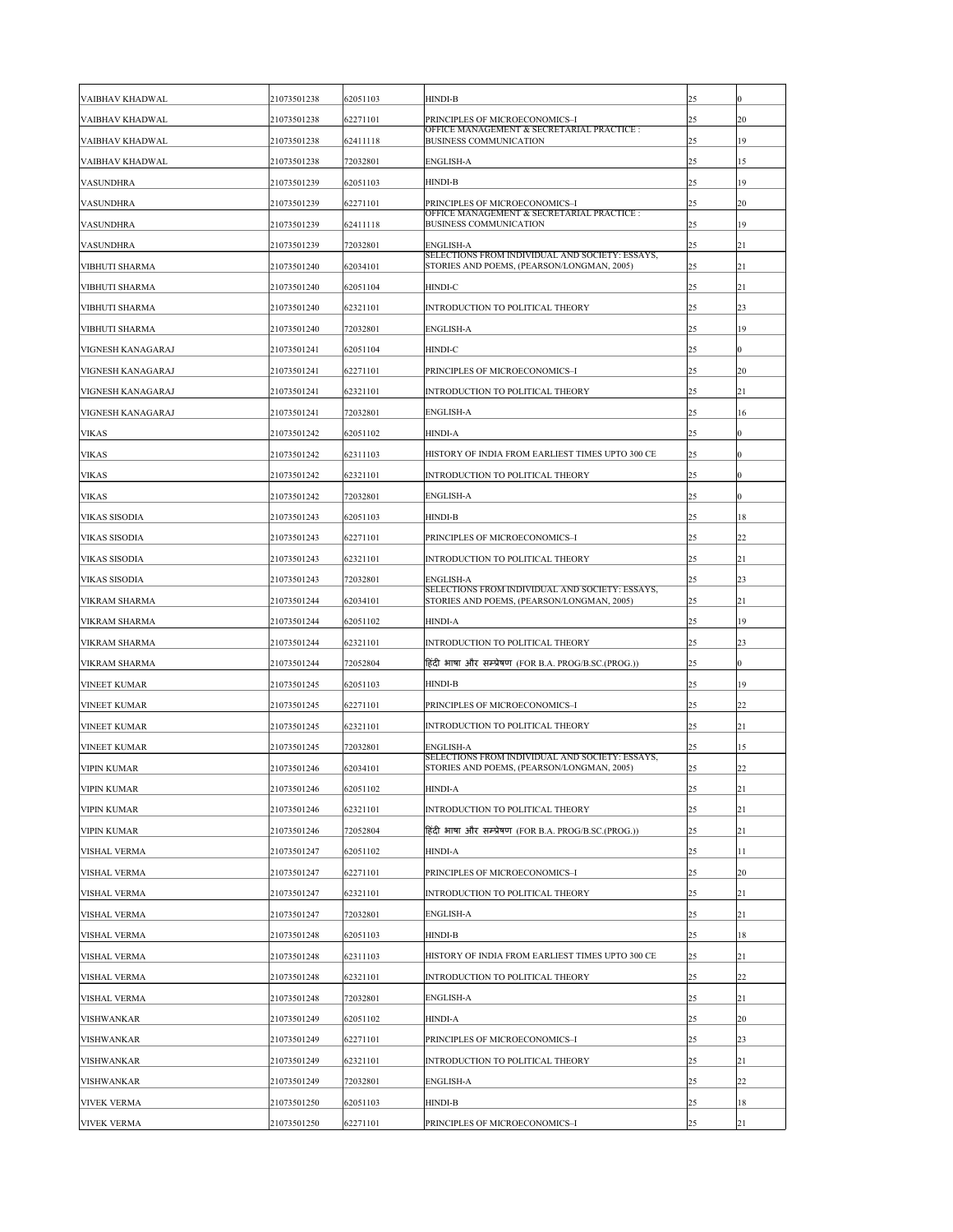| <b>VAIBHAV KHADWAL</b> | 21073501238 | 62051103 | <b>HINDI-B</b>                                                                                | 25 | 0              |
|------------------------|-------------|----------|-----------------------------------------------------------------------------------------------|----|----------------|
| <b>VAIBHAV KHADWAL</b> | 21073501238 | 62271101 | PRINCIPLES OF MICROECONOMICS-I                                                                | 25 | 20             |
| <b>VAIBHAV KHADWAL</b> | 21073501238 | 62411118 | OFFICE MANAGEMENT & SECRETARIAL PRACTICE :<br><b>BUSINESS COMMUNICATION</b>                   | 25 | 19             |
| VAIBHAV KHADWAL        | 21073501238 | 72032801 | <b>ENGLISH-A</b>                                                                              | 25 | 15             |
| <b>VASUNDHRA</b>       | 21073501239 | 62051103 | <b>HINDI-B</b>                                                                                | 25 | 19             |
| <b>VASUNDHRA</b>       | 21073501239 | 62271101 | PRINCIPLES OF MICROECONOMICS-I                                                                | 25 | <b>20</b>      |
| <b>VASUNDHRA</b>       | 21073501239 | 62411118 | OFFICE MANAGEMENT & SECRETARIAL PRACTICE :<br><b>BUSINESS COMMUNICATION</b>                   | 25 | 19             |
| <b>VASUNDHRA</b>       | 21073501239 | 72032801 | <b>ENGLISH-A</b>                                                                              | 25 | 21             |
| <b>VIBHUTI SHARMA</b>  | 21073501240 | 62034101 | SELECTIONS FROM INDIVIDUAL AND SOCIETY: ESSAYS,<br>STORIES AND POEMS, (PEARSON/LONGMAN, 2005) | 25 | 21             |
| <b>VIBHUTI SHARMA</b>  | 21073501240 | 62051104 | <b>HINDI-C</b>                                                                                | 25 | 21             |
| <b>VIBHUTI SHARMA</b>  | 21073501240 | 62321101 | INTRODUCTION TO POLITICAL THEORY                                                              | 25 | 23             |
| <b>VIBHUTI SHARMA</b>  | 21073501240 | 72032801 | <b>ENGLISH-A</b>                                                                              | 25 | 19             |
| VIGNESH KANAGARAJ      | 21073501241 | 62051104 | <b>HINDI-C</b>                                                                                | 25 | 0              |
| VIGNESH KANAGARAJ      | 21073501241 | 62271101 | PRINCIPLES OF MICROECONOMICS-I                                                                | 25 | 20             |
| VIGNESH KANAGARAJ      | 21073501241 | 62321101 | <b>INTRODUCTION TO POLITICAL THEORY</b>                                                       | 25 | 21             |
| VIGNESH KANAGARAJ      | 21073501241 | 72032801 | <b>ENGLISH-A</b>                                                                              | 25 | 16             |
| <b>VIKAS</b>           | 21073501242 | 62051102 | <b>HINDI-A</b>                                                                                | 25 | 0              |
| <b>VIKAS</b>           | 21073501242 | 62311103 | HISTORY OF INDIA FROM EARLIEST TIMES UPTO 300 CE                                              | 25 | 0              |
| <b>VIKAS</b>           | 21073501242 | 62321101 | INTRODUCTION TO POLITICAL THEORY                                                              | 25 | 0              |
| <b>VIKAS</b>           | 21073501242 | 72032801 | <b>ENGLISH-A</b>                                                                              | 25 | 0              |
| <b>VIKAS SISODIA</b>   | 21073501243 | 62051103 | <b>HINDI-B</b>                                                                                | 25 | 18             |
| <b>VIKAS SISODIA</b>   | 21073501243 | 62271101 | PRINCIPLES OF MICROECONOMICS-I                                                                | 25 | 22             |
| <b>VIKAS SISODIA</b>   | 21073501243 | 62321101 | INTRODUCTION TO POLITICAL THEORY                                                              | 25 | 21             |
| <b>VIKAS SISODIA</b>   | 21073501243 | 72032801 | <b>ENGLISH-A</b>                                                                              | 25 | 23             |
| <b>VIKRAM SHARMA</b>   | 21073501244 | 62034101 | SELECTIONS FROM INDIVIDUAL AND SOCIETY: ESSAYS,<br>STORIES AND POEMS, (PEARSON/LONGMAN, 2005) | 25 | 21             |
| <b>VIKRAM SHARMA</b>   | 21073501244 | 62051102 | <b>HINDI-A</b>                                                                                | 25 | 19             |
| <b>VIKRAM SHARMA</b>   | 21073501244 | 62321101 | INTRODUCTION TO POLITICAL THEORY                                                              | 25 | 23             |
| <b>VIKRAM SHARMA</b>   | 21073501244 | 72052804 | हिंदी भाषा और सम्प्रेषण (FOR B.A. PROG/B.SC.(PROG.))                                          | 25 | $\overline{0}$ |
| <b>VINEET KUMAR</b>    | 21073501245 | 62051103 | <b>HINDI-B</b>                                                                                | 25 | 19             |
| <b>VINEET KUMAR</b>    | 21073501245 | 62271101 | PRINCIPLES OF MICROECONOMICS-I                                                                | 25 | 22             |
| <b>VINEET KUMAR</b>    | 21073501245 | 62321101 | INTRODUCTION TO POLITICAL THEORY                                                              | 25 | 21             |
| <b>VINEET KUMAR</b>    | 21073501245 | 72032801 | <b>ENGLISH-A</b>                                                                              | 25 | 15             |
| <b>VIPIN KUMAR</b>     | 21073501246 | 62034101 | SELECTIONS FROM INDIVIDUAL AND SOCIETY: ESSAYS,<br>STORIES AND POEMS, (PEARSON/LONGMAN, 2005) | 25 | 22             |
| <b>VIPIN KUMAR</b>     | 21073501246 | 62051102 | <b>HINDI-A</b>                                                                                | 25 | 21             |
| <b>VIPIN KUMAR</b>     | 21073501246 | 62321101 | INTRODUCTION TO POLITICAL THEORY                                                              | 25 | 21             |
| <b>VIPIN KUMAR</b>     | 21073501246 | 72052804 | हिंदी भाषा और सम्प्रेषण (FOR B.A. PROG/B.SC.(PROG.))                                          | 25 | 21             |
| <b>VISHAL VERMA</b>    | 21073501247 | 62051102 | <b>HINDI-A</b>                                                                                | 25 | 11             |
| <b>VISHAL VERMA</b>    | 21073501247 | 62271101 | PRINCIPLES OF MICROECONOMICS-I                                                                | 25 | 20             |
| <b>VISHAL VERMA</b>    | 21073501247 | 62321101 | <b>INTRODUCTION TO POLITICAL THEORY</b>                                                       | 25 | 21             |
| <b>VISHAL VERMA</b>    | 21073501247 | 72032801 | <b>ENGLISH-A</b>                                                                              | 25 | 21             |
| <b>VISHAL VERMA</b>    | 21073501248 | 62051103 | <b>HINDI-B</b>                                                                                | 25 | 18             |
| <b>VISHAL VERMA</b>    | 21073501248 | 62311103 | HISTORY OF INDIA FROM EARLIEST TIMES UPTO 300 CE                                              | 25 | 21             |
| <b>VISHAL VERMA</b>    | 21073501248 | 62321101 | INTRODUCTION TO POLITICAL THEORY                                                              | 25 | 22             |
| <b>VISHAL VERMA</b>    | 21073501248 | 72032801 | <b>ENGLISH-A</b>                                                                              | 25 | 21             |
| <b>VISHWANKAR</b>      | 21073501249 | 62051102 | <b>HINDI-A</b>                                                                                | 25 | 20             |
| <b>VISHWANKAR</b>      | 21073501249 | 62271101 | PRINCIPLES OF MICROECONOMICS-I                                                                | 25 | 23             |
| <b>VISHWANKAR</b>      | 21073501249 | 62321101 | INTRODUCTION TO POLITICAL THEORY                                                              | 25 | 21             |
| <b>VISHWANKAR</b>      | 21073501249 | 72032801 | <b>ENGLISH-A</b>                                                                              | 25 | 22             |
| <b>VIVEK VERMA</b>     | 21073501250 | 62051103 | <b>HINDI-B</b>                                                                                | 25 | 18             |
| <b>VIVEK VERMA</b>     | 21073501250 | 62271101 | PRINCIPLES OF MICROECONOMICS-I                                                                | 25 | 21             |